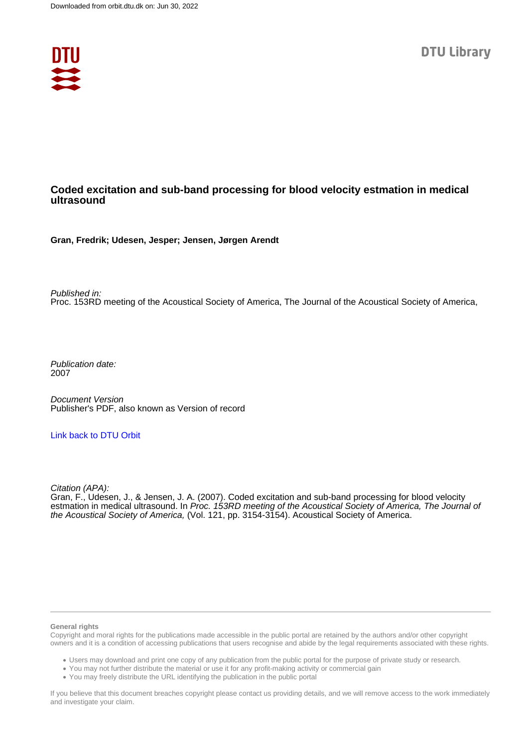

# **Coded excitation and sub-band processing for blood velocity estmation in medical ultrasound**

**Gran, Fredrik; Udesen, Jesper; Jensen, Jørgen Arendt**

Published in: Proc. 153RD meeting of the Acoustical Society of America, The Journal of the Acoustical Society of America,

Publication date: 2007

Document Version Publisher's PDF, also known as Version of record

# [Link back to DTU Orbit](https://orbit.dtu.dk/en/publications/042fee38-692c-4828-8a96-bbf44c52573d)

Citation (APA):

Gran, F., Udesen, J., & Jensen, J. A. (2007). Coded excitation and sub-band processing for blood velocity estmation in medical ultrasound. In Proc. 153RD meeting of the Acoustical Society of America, The Journal of the Acoustical Society of America, (Vol. 121, pp. 3154-3154). Acoustical Society of America.

## **General rights**

Copyright and moral rights for the publications made accessible in the public portal are retained by the authors and/or other copyright owners and it is a condition of accessing publications that users recognise and abide by the legal requirements associated with these rights.

Users may download and print one copy of any publication from the public portal for the purpose of private study or research.

- You may not further distribute the material or use it for any profit-making activity or commercial gain
- You may freely distribute the URL identifying the publication in the public portal

If you believe that this document breaches copyright please contact us providing details, and we will remove access to the work immediately and investigate your claim.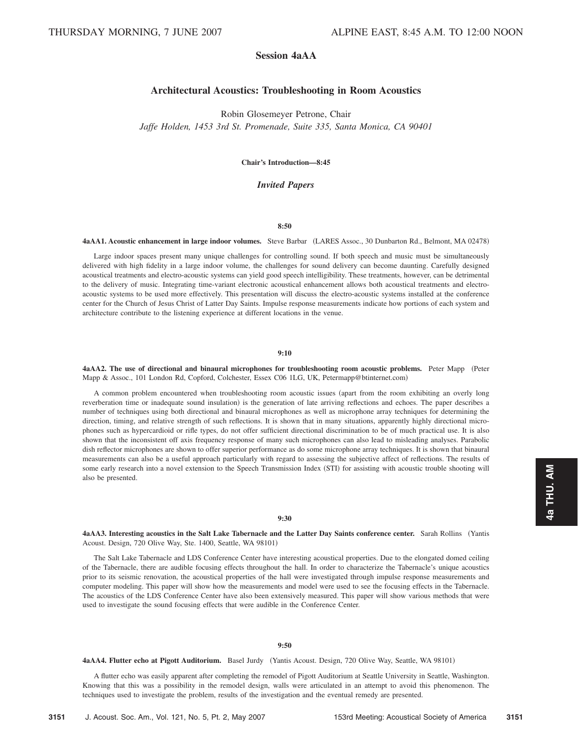# **Session 4aAA**

## **Architectural Acoustics: Troubleshooting in Room Acoustics**

Robin Glosemeyer Petrone, Chair *Jaffe Holden, 1453 3rd St. Promenade, Suite 335, Santa Monica, CA 90401*

**Chair's Introduction—8:45**

## *Invited Papers*

#### **8:50**

#### **4aAA1. Acoustic enhancement in large indoor volumes.** Steve Barbar (LARES Assoc., 30 Dunbarton Rd., Belmont, MA 02478)

Large indoor spaces present many unique challenges for controlling sound. If both speech and music must be simultaneously delivered with high fidelity in a large indoor volume, the challenges for sound delivery can become daunting. Carefully designed acoustical treatments and electro-acoustic systems can yield good speech intelligibility. These treatments, however, can be detrimental to the delivery of music. Integrating time-variant electronic acoustical enhancement allows both acoustical treatments and electroacoustic systems to be used more effectively. This presentation will discuss the electro-acoustic systems installed at the conference center for the Church of Jesus Christ of Latter Day Saints. Impulse response measurements indicate how portions of each system and architecture contribute to the listening experience at different locations in the venue.

## **9:10**

**4aAA2.** The use of directional and binaural microphones for troubleshooting room acoustic problems. Peter Mapp (Peter Mapp & Assoc., 101 London Rd, Copford, Colchester, Essex C06 1LG, UK, Petermapp@btinternet.com)

A common problem encountered when troubleshooting room acoustic issues (apart from the room exhibiting an overly long reverberation time or inadequate sound insulation) is the generation of late arriving reflections and echoes. The paper describes a number of techniques using both directional and binaural microphones as well as microphone array techniques for determining the direction, timing, and relative strength of such reflections. It is shown that in many situations, apparently highly directional microphones such as hypercardioid or rifle types, do not offer sufficient directional discrimination to be of much practical use. It is also shown that the inconsistent off axis frequency response of many such microphones can also lead to misleading analyses. Parabolic dish reflector microphones are shown to offer superior performance as do some microphone array techniques. It is shown that binaural measurements can also be a useful approach particularly with regard to assessing the subjective affect of reflections. The results of some early research into a novel extension to the Speech Transmission Index (STI) for assisting with acoustic trouble shooting will also be presented.

#### **9:30**

**4aAA3. Interesting acoustics in the Salt Lake Tabernacle and the Latter Day Saints conference center.** Sarah Rollins Yantis Acoust. Design, 720 Olive Way, Ste. 1400, Seattle, WA 98101)

The Salt Lake Tabernacle and LDS Conference Center have interesting acoustical properties. Due to the elongated domed ceiling of the Tabernacle, there are audible focusing effects throughout the hall. In order to characterize the Tabernacle's unique acoustics prior to its seismic renovation, the acoustical properties of the hall were investigated through impulse response measurements and computer modeling. This paper will show how the measurements and model were used to see the focusing effects in the Tabernacle. The acoustics of the LDS Conference Center have also been extensively measured. This paper will show various methods that were used to investigate the sound focusing effects that were audible in the Conference Center.

### **9:50**

4aAA4. Flutter echo at Pigott Auditorium. Basel Jurdy (Yantis Acoust. Design, 720 Olive Way, Seattle, WA 98101)

A flutter echo was easily apparent after completing the remodel of Pigott Auditorium at Seattle University in Seattle, Washington. Knowing that this was a possibility in the remodel design, walls were articulated in an attempt to avoid this phenomenon. The techniques used to investigate the problem, results of the investigation and the eventual remedy are presented.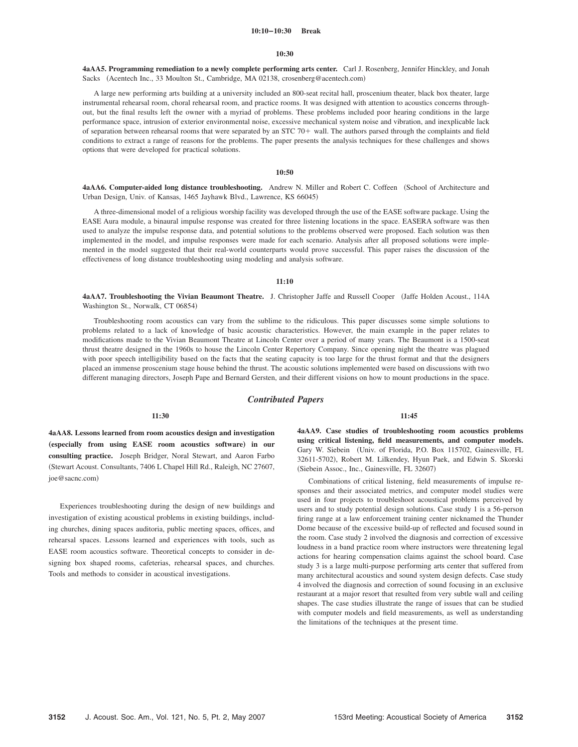#### **10:10–10:30 Break**

#### **10:30**

**4aAA5. Programming remediation to a newly complete performing arts center.** Carl J. Rosenberg, Jennifer Hinckley, and Jonah Sacks (Acentech Inc., 33 Moulton St., Cambridge, MA 02138, crosenberg@acentech.com)

A large new performing arts building at a university included an 800-seat recital hall, proscenium theater, black box theater, large instrumental rehearsal room, choral rehearsal room, and practice rooms. It was designed with attention to acoustics concerns throughout, but the final results left the owner with a myriad of problems. These problems included poor hearing conditions in the large performance space, intrusion of exterior environmental noise, excessive mechanical system noise and vibration, and inexplicable lack of separation between rehearsal rooms that were separated by an  $STC$  70+ wall. The authors parsed through the complaints and field conditions to extract a range of reasons for the problems. The paper presents the analysis techniques for these challenges and shows options that were developed for practical solutions.

## **10:50**

4aAA6. Computer-aided long distance troubleshooting. Andrew N. Miller and Robert C. Coffeen (School of Architecture and Urban Design, Univ. of Kansas, 1465 Jayhawk Blvd., Lawrence, KS 66045)

A three-dimensional model of a religious worship facility was developed through the use of the EASE software package. Using the EASE Aura module, a binaural impulse response was created for three listening locations in the space. EASERA software was then used to analyze the impulse response data, and potential solutions to the problems observed were proposed. Each solution was then implemented in the model, and impulse responses were made for each scenario. Analysis after all proposed solutions were implemented in the model suggested that their real-world counterparts would prove successful. This paper raises the discussion of the effectiveness of long distance troubleshooting using modeling and analysis software.

## **11:10**

**4aAA7. Troubleshooting the Vivian Beaumont Theatre.** J. Christopher Jaffe and Russell Cooper Jaffe Holden Acoust., 114A Washington St., Norwalk, CT 06854)

Troubleshooting room acoustics can vary from the sublime to the ridiculous. This paper discusses some simple solutions to problems related to a lack of knowledge of basic acoustic characteristics. However, the main example in the paper relates to modifications made to the Vivian Beaumont Theatre at Lincoln Center over a period of many years. The Beaumont is a 1500-seat thrust theatre designed in the 1960s to house the Lincoln Center Repertory Company. Since opening night the theatre was plagued with poor speech intelligibility based on the facts that the seating capacity is too large for the thrust format and that the designers placed an immense proscenium stage house behind the thrust. The acoustic solutions implemented were based on discussions with two different managing directors, Joseph Pape and Bernard Gersten, and their different visions on how to mount productions in the space.

## *Contributed Papers*

#### **11:30**

**4aAA8. Lessons learned from room acoustics design and investigation** (especially from using EASE room acoustics software) in our **consulting practice.** Joseph Bridger, Noral Stewart, and Aaron Farbo Stewart Acoust. Consultants, 7406 L Chapel Hill Rd., Raleigh, NC 27607, joe@sacnc.com)

Experiences troubleshooting during the design of new buildings and investigation of existing acoustical problems in existing buildings, including churches, dining spaces auditoria, public meeting spaces, offices, and rehearsal spaces. Lessons learned and experiences with tools, such as EASE room acoustics software. Theoretical concepts to consider in designing box shaped rooms, cafeterias, rehearsal spaces, and churches. Tools and methods to consider in acoustical investigations.

**11:45**

**4aAA9. Case studies of troubleshooting room acoustics problems using critical listening, field measurements, and computer models.** Gary W. Siebein Univ. of Florida, P.O. Box 115702, Gainesville, FL 32611-5702), Robert M. Lilkendey, Hyun Paek, and Edwin S. Skorski (Siebein Assoc., Inc., Gainesville, FL 32607)

Combinations of critical listening, field measurements of impulse responses and their associated metrics, and computer model studies were used in four projects to troubleshoot acoustical problems perceived by users and to study potential design solutions. Case study 1 is a 56-person firing range at a law enforcement training center nicknamed the Thunder Dome because of the excessive build-up of reflected and focused sound in the room. Case study 2 involved the diagnosis and correction of excessive loudness in a band practice room where instructors were threatening legal actions for hearing compensation claims against the school board. Case study 3 is a large multi-purpose performing arts center that suffered from many architectural acoustics and sound system design defects. Case study 4 involved the diagnosis and correction of sound focusing in an exclusive restaurant at a major resort that resulted from very subtle wall and ceiling shapes. The case studies illustrate the range of issues that can be studied with computer models and field measurements, as well as understanding the limitations of the techniques at the present time.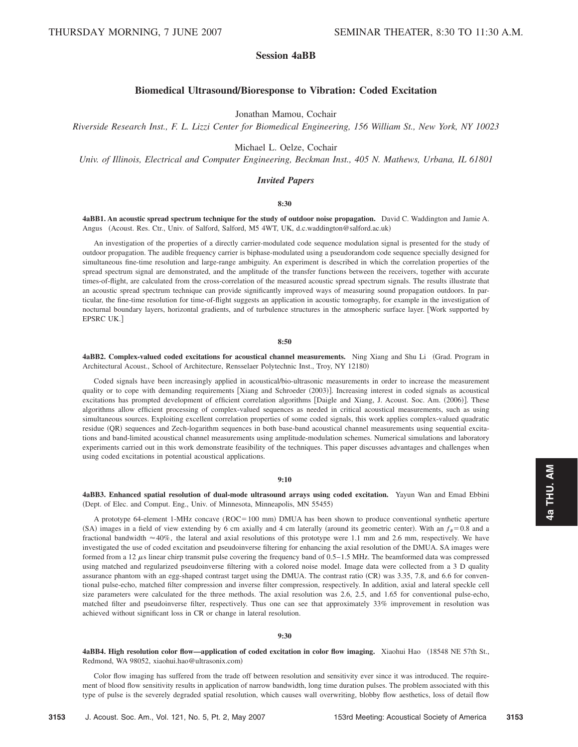# **Session 4aBB**

## **Biomedical UltrasoundÕBioresponse to Vibration: Coded Excitation**

Jonathan Mamou, Cochair

*Riverside Research Inst., F. L. Lizzi Center for Biomedical Engineering, 156 William St., New York, NY 10023*

Michael L. Oelze, Cochair

*Univ. of Illinois, Electrical and Computer Engineering, Beckman Inst., 405 N. Mathews, Urbana, IL 61801*

## *Invited Papers*

### **8:30**

**4aBB1. An acoustic spread spectrum technique for the study of outdoor noise propagation.** David C. Waddington and Jamie A. Angus (Acoust. Res. Ctr., Univ. of Salford, Salford, M5 4WT, UK, d.c.waddington@salford.ac.uk)

An investigation of the properties of a directly carrier-modulated code sequence modulation signal is presented for the study of outdoor propagation. The audible frequency carrier is biphase-modulated using a pseudorandom code sequence specially designed for simultaneous fine-time resolution and large-range ambiguity. An experiment is described in which the correlation properties of the spread spectrum signal are demonstrated, and the amplitude of the transfer functions between the receivers, together with accurate times-of-flight, are calculated from the cross-correlation of the measured acoustic spread spectrum signals. The results illustrate that an acoustic spread spectrum technique can provide significantly improved ways of measuring sound propagation outdoors. In particular, the fine-time resolution for time-of-flight suggests an application in acoustic tomography, for example in the investigation of nocturnal boundary layers, horizontal gradients, and of turbulence structures in the atmospheric surface layer. Work supported by EPSRC UK.

#### **8:50**

**4aBB2. Complex-valued coded excitations for acoustical channel measurements.** Ning Xiang and Shu Li Grad. Program in Architectural Acoust., School of Architecture, Rensselaer Polytechnic Inst., Troy, NY 12180-

Coded signals have been increasingly applied in acoustical/bio-ultrasonic measurements in order to increase the measurement quality or to cope with demanding requirements [Xiang and Schroeder (2003)]. Increasing interest in coded signals as acoustical excitations has prompted development of efficient correlation algorithms [Daigle and Xiang, J. Acoust. Soc. Am. (2006)]. These algorithms allow efficient processing of complex-valued sequences as needed in critical acoustical measurements, such as using simultaneous sources. Exploiting excellent correlation properties of some coded signals, this work applies complex-valued quadratic residue (QR) sequences and Zech-logarithm sequences in both base-band acoustical channel measurements using sequential excitations and band-limited acoustical channel measurements using amplitude-modulation schemes. Numerical simulations and laboratory experiments carried out in this work demonstrate feasibility of the techniques. This paper discusses advantages and challenges when using coded excitations in potential acoustical applications.

#### **9:10**

**4aBB3. Enhanced spatial resolution of dual-mode ultrasound arrays using coded excitation.** Yayun Wan and Emad Ebbini (Dept. of Elec. and Comput. Eng., Univ. of Minnesota, Minneapolis, MN 55455)

A prototype 64-element 1-MHz concave (ROC=100 mm) DMUA has been shown to produce conventional synthetic aperture (SA) images in a field of view extending by 6 cm axially and 4 cm laterally (around its geometric center). With an  $f_{\#}=0.8$  and a fractional bandwidth  $\approx 40\%$ , the lateral and axial resolutions of this prototype were 1.1 mm and 2.6 mm, respectively. We have investigated the use of coded excitation and pseudoinverse filtering for enhancing the axial resolution of the DMUA. SA images were formed from a 12  $\mu$ s linear chirp transmit pulse covering the frequency band of 0.5–1.5 MHz. The beamformed data was compressed using matched and regularized pseudoinverse filtering with a colored noise model. Image data were collected from a 3 D quality assurance phantom with an egg-shaped contrast target using the DMUA. The contrast ratio (CR) was 3.35, 7.8, and 6.6 for conventional pulse-echo, matched filter compression and inverse filter compression, respectively. In addition, axial and lateral speckle cell size parameters were calculated for the three methods. The axial resolution was 2.6, 2.5, and 1.65 for conventional pulse-echo, matched filter and pseudoinverse filter, respectively. Thus one can see that approximately 33% improvement in resolution was achieved without significant loss in CR or change in lateral resolution.

#### **9:30**

**4aBB4. High resolution color flow—application of coded excitation in color flow imaging.** Xiaohui Hao 18548 NE 57th St., Redmond, WA 98052, xiaohui.hao@ultrasonix.com-

Color flow imaging has suffered from the trade off between resolution and sensitivity ever since it was introduced. The requirement of blood flow sensitivity results in application of narrow bandwidth, long time duration pulses. The problem associated with this type of pulse is the severely degraded spatial resolution, which causes wall overwriting, blobby flow aesthetics, loss of detail flow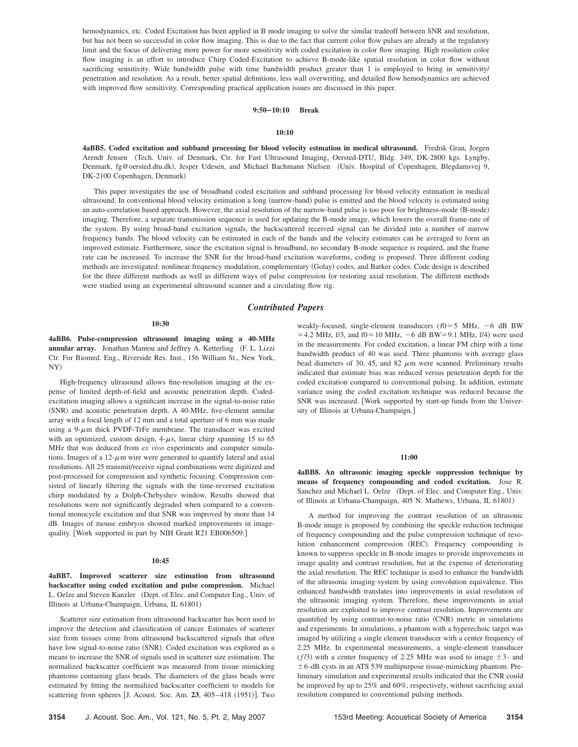hemodynamics, etc. Coded Excitation has been applied in B mode imaging to solve the similar tradeoff between SNR and resolution, but has not been so successful in color flow imaging. This is due to the fact that current color flow pulses are already at the regulatory limit and the focus of delivering more power for more sensitivity with coded excitation in color flow imaging. High resolution color flow imaging is an effort to introduce Chirp Coded-Excitation to achieve B-mode-like spatial resolution in color flow without sacrificing sensitivity. Wide bandwidth pulse with time bandwidth product greater than 1 is employed to bring in sensitivity/ penetration and resolution. As a result, better spatial definitions, less wall overwriting, and detailed flow hemodynamics are achieved with improved flow sensitivity. Corresponding practical application issues are discussed in this paper.

## **9:50–10:10 Break**

#### **10:10**

**4aBB5. Coded excitation and subband processing for blood velocity estmation in medical ultrasound.** Fredrik Gran, Jorgen Arendt Jensen Tech. Univ. of Denmark, Ctr. for Fast Ultrasound Imaging, Oersted-DTU, Bldg. 349, DK-2800 kgs. Lyngby, Denmark, fg@oersted.dtu.dk), Jesper Udesen, and Michael Bachmann Nielsen (Univ. Hospital of Copenhagen, Blegdamsvej 9, DK-2100 Copenhagen, Denmark)

This paper investigates the use of broadband coded excitation and subband processing for blood velocity estimation in medical ultrasound. In conventional blood velocity estimation a long (narrow-band) pulse is emitted and the blood velocity is estimated using an auto-correlation based approach. However, the axial resolution of the narrow-band pulse is too poor for brightness-mode (B-mode) imaging. Therefore, a separate transmission sequence is used for updating the B-mode image, which lowers the overall frame-rate of the system. By using broad-band excitation signals, the backscattered received signal can be divided into a number of narrow frequency bands. The blood velocity can be estimated in each of the bands and the velocity estimates can be averaged to form an improved estimate. Furthermore, since the excitation signal is broadband, no secondary B-mode sequence is required, and the frame rate can be increased. To increase the SNR for the broad-band excitation waveforms, coding is proposed. Three different coding methods are investigated: nonlinear frequency modulation, complementary (Golay) codes, and Barker codes. Code design is described for the three different methods as well as different ways of pulse compression for restoring axial resolution. The different methods were studied using an experimental ultrasound scanner and a circulating flow rig.

## *Contributed Papers*

#### **10:30**

**4aBB6. Pulse-compression ultrasound imaging using a 40-MHz** annular array. Jonathan Mamou and Jeffrey A. Ketterling (F. L. Lizzi Ctr. For Biomed. Eng., Riverside Res. Inst., 156 William St., New York, NY)

High-frequency ultrasound allows fine-resolution imaging at the expense of limited depth-of-field and acoustic penetration depth. Codedexcitation imaging allows a significant increase in the signal-to-noise ratio (SNR) and acoustic penetration depth. A 40-MHz, five-element annular array with a focal length of 12 mm and a total aperture of 6 mm was made using a 9- $\mu$ m thick PVDF-TrFe membrane. The transducer was excited with an optimized, custom design,  $4-\mu s$ , linear chirp spanning 15 to 65 MHz that was deduced from *ex vivo* experiments and computer simulations. Images of a  $12-\mu m$  wire were generated to quantify lateral and axial resolutions. All 25 transmit/receive signal combinations were digitized and post-processed for compression and synthetic focusing. Compression consisted of linearly filtering the signals with the time-reversed excitation chirp modulated by a Dolph-Chebyshev window. Results showed that resolutions were not significantly degraded when compared to a conventional monocycle excitation and that SNR was improved by more than 14 dB. Images of mouse embryos showed marked improvements in imagequality. [Work supported in part by NIH Grant R21 EB006509.]

#### **10:45**

**4aBB7. Improved scatterer size estimation from ultrasound backscatter using coded excitation and pulse compression.** Michael L. Oelze and Steven Kanzler (Dept. of Elec. and Computer Eng., Univ. of Illinois at Urbana-Champaign, Urbana, IL 61801)

Scatterer size estimation from ultrasound backscatter has been used to improve the detection and classification of cancer. Estimates of scatterer size from tissues come from ultrasound backscattered signals that often have low signal-to-noise ratio (SNR). Coded excitation was explored as a means to increase the SNR of signals used in scatterer size estimation. The normalized backscatter coefficient was measured from tissue mimicking phantoms containing glass beads. The diameters of the glass beads were estimated by fitting the normalized backscatter coefficient to models for scattering from spheres [J. Acoust. Soc. Am. 23, 405-418 (1951)]. Two

weakly-focused, single-element transducers  $(f0=5$  MHz,  $-6$  dB BW  $=$  4.2 MHz, f/3, and f0 = 10 MHz,  $-6$  dB BW = 9.1 MHz, f/4) were used in the measurements. For coded excitation, a linear FM chirp with a time bandwidth product of 40 was used. Three phantoms with average glass bead diameters of 30, 45, and 82  $\mu$ m were scanned. Preliminary results indicated that estimate bias was reduced versus penetration depth for the coded excitation compared to conventional pulsing. In addition, estimate variance using the coded excitation technique was reduced because the SNR was increased. [Work supported by start-up funds from the University of Illinois at Urbana-Champaign.

#### **11:00**

**4aBB8. An ultrasonic imaging speckle suppression technique by means of frequency compounding and coded excitation.** Jose R. Sanchez and Michael L. Oelze (Dept. of Elec. and Computer Eng., Univ. of Illinois at Urbana-Champaign, 405 N. Mathews, Urbana, IL 61801)

A method for improving the contrast resolution of an ultrasonic B-mode image is proposed by combining the speckle reduction technique of frequency compounding and the pulse compression technique of resolution enhancement compression (REC). Frequency compounding is known to suppress speckle in B-mode images to provide improvements in image quality and contrast resolution, but at the expense of deteriorating the axial resolution. The REC technique is used to enhance the bandwidth of the ultrasonic imaging system by using convolution equivalence. This enhanced bandwidth translates into improvements in axial resolution of the ultrasonic imaging system. Therefore, these improvements in axial resolution are exploited to improve contrast resolution. Improvements are quantified by using contrast-to-noise ratio (CNR) metric in simulations and experiments. In simulations, a phantom with a hyperechoic target was imaged by utilizing a single element transducer with a center frequency of 2.25 MHz. In experimental measurements, a single-element transducer ( $f/3$ ) with a center frequency of 2.25 MHz was used to image  $\pm$ 3- and  $\pm$  6-dB cysts in an ATS 539 multipurpose tissue-mimicking phantom. Preliminary simulation and experimental results indicated that the CNR could be improved by up to 25% and 60%, respectively, without sacrificing axial resolution compared to conventional pulsing methods.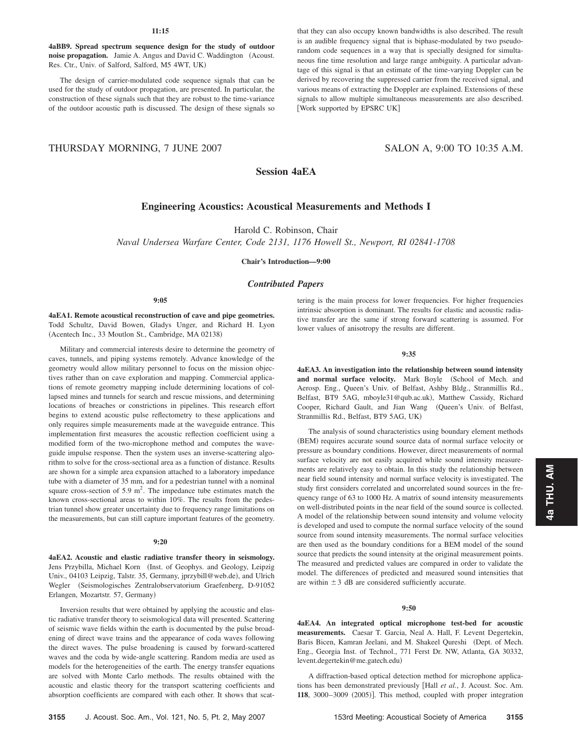## **11:15**

**4aBB9. Spread spectrum sequence design for the study of outdoor noise propagation.** Jamie A. Angus and David C. Waddington (Acoust. Res. Ctr., Univ. of Salford, Salford, M5 4WT, UK-

The design of carrier-modulated code sequence signals that can be used for the study of outdoor propagation, are presented. In particular, the construction of these signals such that they are robust to the time-variance of the outdoor acoustic path is discussed. The design of these signals so that they can also occupy known bandwidths is also described. The result is an audible frequency signal that is biphase-modulated by two pseudorandom code sequences in a way that is specially designed for simultaneous fine time resolution and large range ambiguity. A particular advantage of this signal is that an estimate of the time-varying Doppler can be derived by recovering the suppressed carrier from the received signal, and various means of extracting the Doppler are explained. Extensions of these signals to allow multiple simultaneous measurements are also described. [Work supported by EPSRC UK]

# THURSDAY MORNING, 7 JUNE 2007 SALON A, 9:00 TO 10:35 A.M.

# **Session 4aEA**

# **Engineering Acoustics: Acoustical Measurements and Methods I**

Harold C. Robinson, Chair

*Naval Undersea Warfare Center, Code 2131, 1176 Howell St., Newport, RI 02841-1708*

**Chair's Introduction—9:00**

## *Contributed Papers*

#### **9:05**

**4aEA1. Remote acoustical reconstruction of cave and pipe geometries.** Todd Schultz, David Bowen, Gladys Unger, and Richard H. Lyon (Acentech Inc., 33 Moutlon St., Cambridge, MA 02138)

Military and commercial interests desire to determine the geometry of caves, tunnels, and piping systems remotely. Advance knowledge of the geometry would allow military personnel to focus on the mission objectives rather than on cave exploration and mapping. Commercial applications of remote geometry mapping include determining locations of collapsed mines and tunnels for search and rescue missions, and determining locations of breaches or constrictions in pipelines. This research effort begins to extend acoustic pulse reflectometry to these applications and only requires simple measurements made at the waveguide entrance. This implementation first measures the acoustic reflection coefficient using a modified form of the two-microphone method and computes the waveguide impulse response. Then the system uses an inverse-scattering algorithm to solve for the cross-sectional area as a function of distance. Results are shown for a simple area expansion attached to a laboratory impedance tube with a diameter of 35 mm, and for a pedestrian tunnel with a nominal square cross-section of  $5.9 \text{ m}^2$ . The impedance tube estimates match the known cross-sectional areas to within 10%. The results from the pedestrian tunnel show greater uncertainty due to frequency range limitations on the measurements, but can still capture important features of the geometry.

#### **9:20**

**4aEA2. Acoustic and elastic radiative transfer theory in seismology.** Jens Przybilla, Michael Korn (Inst. of Geophys. and Geology, Leipzig Univ., 04103 Leipzig, Talstr. 35, Germany, jprzybill@web.de), and Ulrich Wegler (Seismologisches Zentralobservatorium Graefenberg, D-91052 Erlangen, Mozartstr. 57, Germany)

Inversion results that were obtained by applying the acoustic and elastic radiative transfer theory to seismological data will presented. Scattering of seismic wave fields within the earth is documented by the pulse broadening of direct wave trains and the appearance of coda waves following the direct waves. The pulse broadening is caused by forward-scattered waves and the coda by wide-angle scattering. Random media are used as models for the heterogeneities of the earth. The energy transfer equations are solved with Monte Carlo methods. The results obtained with the acoustic and elastic theory for the transport scattering coefficients and absorption coefficients are compared with each other. It shows that scattering is the main process for lower frequencies. For higher frequencies intrinsic absorption is dominant. The results for elastic and acoustic radiative transfer are the same if strong forward scattering is assumed. For lower values of anisotropy the results are different.

#### **9:35**

**4aEA3. An investigation into the relationship between sound intensity** and normal surface velocity. Mark Boyle (School of Mech. and Aerosp. Eng., Queen's Univ. of Belfast, Ashby Bldg., Stranmillis Rd., Belfast, BT9 5AG, mboyle31@qub.ac.uk), Matthew Cassidy, Richard Cooper, Richard Gault, and Jian Wang Queen's Univ. of Belfast, Stranmillis Rd., Belfast, BT9 5AG, UK-

The analysis of sound characteristics using boundary element methods (BEM) requires accurate sound source data of normal surface velocity or pressure as boundary conditions. However, direct measurements of normal surface velocity are not easily acquired while sound intensity measurements are relatively easy to obtain. In this study the relationship between near field sound intensity and normal surface velocity is investigated. The study first considers correlated and uncorrelated sound sources in the frequency range of 63 to 1000 Hz. A matrix of sound intensity measurements on well-distributed points in the near field of the sound source is collected. A model of the relationship between sound intensity and volume velocity is developed and used to compute the normal surface velocity of the sound source from sound intensity measurements. The normal surface velocities are then used as the boundary conditions for a BEM model of the sound source that predicts the sound intensity at the original measurement points. The measured and predicted values are compared in order to validate the model. The differences of predicted and measured sound intensities that are within  $\pm 3$  dB are considered sufficiently accurate.

## **9:50**

**4aEA4. An integrated optical microphone test-bed for acoustic measurements.** Caesar T. Garcia, Neal A. Hall, F. Levent Degertekin, Baris Bicen, Kamran Jeelani, and M. Shakeel Qureshi (Dept. of Mech. Eng., Georgia Inst. of Technol., 771 Ferst Dr. NW, Atlanta, GA 30332, levent.degertekin@me.gatech.edu-

A diffraction-based optical detection method for microphone applications has been demonstrated previously Hall *et al.*, J. Acoust. Soc. Am. 118, 3000-3009 (2005)]. This method, coupled with proper integration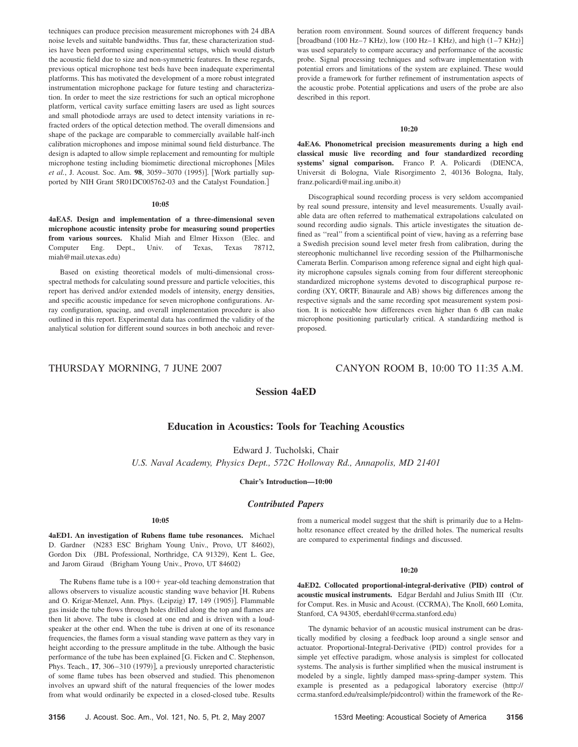techniques can produce precision measurement microphones with 24 dBA noise levels and suitable bandwidths. Thus far, these characterization studies have been performed using experimental setups, which would disturb the acoustic field due to size and non-symmetric features. In these regards, previous optical microphone test beds have been inadequate experimental platforms. This has motivated the development of a more robust integrated instrumentation microphone package for future testing and characterization. In order to meet the size restrictions for such an optical microphone platform, vertical cavity surface emitting lasers are used as light sources and small photodiode arrays are used to detect intensity variations in refracted orders of the optical detection method. The overall dimensions and shape of the package are comparable to commercially available half-inch calibration microphones and impose minimal sound field disturbance. The design is adapted to allow simple replacement and remounting for multiple microphone testing including biomimetic directional microphones [Miles et al., J. Acoust. Soc. Am. 98, 3059-3070 (1995)]. [Work partially supported by NIH Grant 5R01DC005762-03 and the Catalyst Foundation.

## **10:05**

**4aEA5. Design and implementation of a three-dimensional seven microphone acoustic intensity probe for measuring sound properties** from various sources. Khalid Miah and Elmer Hixson (Elec. and Computer Eng. Dept., Univ. of Texas, Texas 78712, miah@mail.utexas.edu-

Based on existing theoretical models of multi-dimensional crossspectral methods for calculating sound pressure and particle velocities, this report has derived and/or extended models of intensity, energy densities, and specific acoustic impedance for seven microphone configurations. Array configuration, spacing, and overall implementation procedure is also outlined in this report. Experimental data has confirmed the validity of the analytical solution for different sound sources in both anechoic and reverberation room environment. Sound sources of different frequency bands [broadband  $(100 \text{ Hz}-7 \text{ KHz})$ , low  $(100 \text{ Hz}-1 \text{ KHz})$ , and high  $(1-7 \text{ KHz})$ ] was used separately to compare accuracy and performance of the acoustic probe. Signal processing techniques and software implementation with potential errors and limitations of the system are explained. These would provide a framework for further refinement of instrumentation aspects of the acoustic probe. Potential applications and users of the probe are also described in this report.

#### **10:20**

**4aEA6. Phonometrical precision measurements during a high end classical music live recording and four standardized recording** systems' signal comparison. Franco P. A. Policardi (DIENCA, Universit di Bologna, Viale Risorgimento 2, 40136 Bologna, Italy, franz.policardi@mail.ing.unibo.it-

Discographical sound recording process is very seldom accompanied by real sound pressure, intensity and level measurements. Usually available data are often referred to mathematical extrapolations calculated on sound recording audio signals. This article investigates the situation defined as ''real'' from a scientifical point of view, having as a referring base a Swedish precision sound level meter fresh from calibration, during the stereophonic multichannel live recording session of the Philharmonische Camerata Berlin. Comparison among reference signal and eight high quality microphone capsules signals coming from four different stereophonic standardized microphone systems devoted to discographical purpose recording (XY, ORTF, Binaurale and AB) shows big differences among the respective signals and the same recording spot measurement system position. It is noticeable how differences even higher than 6 dB can make microphone positioning particularly critical. A standardizing method is proposed.

## THURSDAY MORNING, 7 JUNE 2007 CANYON ROOM B, 10:00 TO 11:35 A.M.

**Session 4aED**

## **Education in Acoustics: Tools for Teaching Acoustics**

Edward J. Tucholski, Chair *U.S. Naval Academy, Physics Dept., 572C Holloway Rd., Annapolis, MD 21401*

#### **Chair's Introduction—10:00**

## *Contributed Papers*

#### **10:05**

**4aED1. An investigation of Rubens flame tube resonances.** Michael D. Gardner (N283 ESC Brigham Young Univ., Provo, UT 84602), Gordon Dix (JBL Professional, Northridge, CA 91329), Kent L. Gee, and Jarom Giraud (Brigham Young Univ., Provo, UT 84602)

The Rubens flame tube is a  $100+$  year-old teaching demonstration that allows observers to visualize acoustic standing wave behavior [H. Rubens and O. Krigar-Menzel, Ann. Phys. (Leipzig) 17, 149 (1905)]. Flammable gas inside the tube flows through holes drilled along the top and flames are then lit above. The tube is closed at one end and is driven with a loudspeaker at the other end. When the tube is driven at one of its resonance frequencies, the flames form a visual standing wave pattern as they vary in height according to the pressure amplitude in the tube. Although the basic performance of the tube has been explained [G. Ficken and C. Stephenson, Phys. Teach., 17, 306-310 (1979)], a previously unreported characteristic of some flame tubes has been observed and studied. This phenomenon involves an upward shift of the natural frequencies of the lower modes from what would ordinarily be expected in a closed-closed tube. Results

from a numerical model suggest that the shift is primarily due to a Helmholtz resonance effect created by the drilled holes. The numerical results are compared to experimental findings and discussed.

#### **10:20**

**4aED2.** Collocated proportional-integral-derivative (PID) control of **acoustic musical instruments.** Edgar Berdahl and Julius Smith III Ctr. for Comput. Res. in Music and Acoust. (CCRMA), The Knoll, 660 Lomita, Stanford, CA 94305, eberdahl@ccrma.stanford.edu)

The dynamic behavior of an acoustic musical instrument can be drastically modified by closing a feedback loop around a single sensor and actuator. Proportional-Integral-Derivative (PID) control provides for a simple yet effective paradigm, whose analysis is simplest for collocated systems. The analysis is further simplified when the musical instrument is modeled by a single, lightly damped mass-spring-damper system. This example is presented as a pedagogical laboratory exercise http:// ccrma.stanford.edu/realsimple/pidcontrol) within the framework of the Re-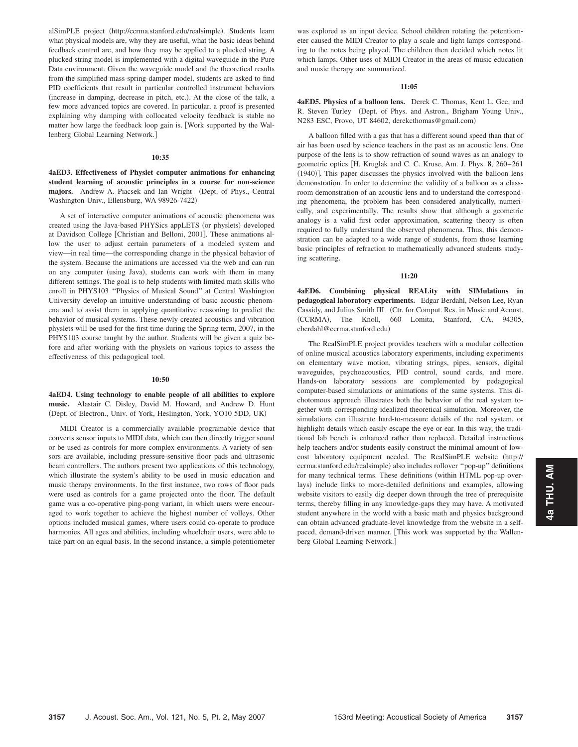alSimPLE project (http://ccrma.stanford.edu/realsimple). Students learn what physical models are, why they are useful, what the basic ideas behind feedback control are, and how they may be applied to a plucked string. A plucked string model is implemented with a digital waveguide in the Pure Data environment. Given the waveguide model and the theoretical results from the simplified mass-spring-damper model, students are asked to find PID coefficients that result in particular controlled instrument behaviors (increase in damping, decrease in pitch, etc.). At the close of the talk, a few more advanced topics are covered. In particular, a proof is presented explaining why damping with collocated velocity feedback is stable no matter how large the feedback loop gain is. Work supported by the Wallenberg Global Learning Network.

#### **10:35**

**4aED3. Effectiveness of Physlet computer animations for enhancing student learning of acoustic principles in a course for non-science** majors. Andrew A. Piacsek and Ian Wright (Dept. of Phys., Central Washington Univ., Ellensburg, WA 98926-7422)

A set of interactive computer animations of acoustic phenomena was created using the Java-based PHYSics appLETS (or physlets) developed at Davidson College [Christian and Belloni, 2001]. These animations allow the user to adjust certain parameters of a modeled system and view—in real time—the corresponding change in the physical behavior of the system. Because the animations are accessed via the web and can run on any computer (using Java), students can work with them in many different settings. The goal is to help students with limited math skills who enroll in PHYS103 ''Physics of Musical Sound'' at Central Washington University develop an intuitive understanding of basic acoustic phenomena and to assist them in applying quantitative reasoning to predict the behavior of musical systems. These newly-created acoustics and vibration physlets will be used for the first time during the Spring term, 2007, in the PHYS103 course taught by the author. Students will be given a quiz before and after working with the physlets on various topics to assess the effectiveness of this pedagogical tool.

#### **10:50**

## **4aED4. Using technology to enable people of all abilities to explore music.** Alastair C. Disley, David M. Howard, and Andrew D. Hunt (Dept. of Electron., Univ. of York, Heslington, York, YO10 5DD, UK)

MIDI Creator is a commercially available programable device that converts sensor inputs to MIDI data, which can then directly trigger sound or be used as controls for more complex environments. A variety of sensors are available, including pressure-sensitive floor pads and ultrasonic beam controllers. The authors present two applications of this technology, which illustrate the system's ability to be used in music education and music therapy environments. In the first instance, two rows of floor pads were used as controls for a game projected onto the floor. The default game was a co-operative ping-pong variant, in which users were encouraged to work together to achieve the highest number of volleys. Other options included musical games, where users could co-operate to produce harmonies. All ages and abilities, including wheelchair users, were able to take part on an equal basis. In the second instance, a simple potentiometer

was explored as an input device. School children rotating the potentiometer caused the MIDI Creator to play a scale and light lamps corresponding to the notes being played. The children then decided which notes lit which lamps. Other uses of MIDI Creator in the areas of music education and music therapy are summarized.

## **11:05**

**4aED5. Physics of a balloon lens.** Derek C. Thomas, Kent L. Gee, and R. Steven Turley (Dept. of Phys. and Astron., Brigham Young Univ., N283 ESC, Provo, UT 84602, derekcthomas@gmail.com)

A balloon filled with a gas that has a different sound speed than that of air has been used by science teachers in the past as an acoustic lens. One purpose of the lens is to show refraction of sound waves as an analogy to geometric optics H. Kruglak and C. C. Kruse, Am. J. Phys. **8**, 260–261 (1940)]. This paper discusses the physics involved with the balloon lens demonstration. In order to determine the validity of a balloon as a classroom demonstration of an acoustic lens and to understand the corresponding phenomena, the problem has been considered analytically, numerically, and experimentally. The results show that although a geometric analogy is a valid first order approximation, scattering theory is often required to fully understand the observed phenomena. Thus, this demonstration can be adapted to a wide range of students, from those learning basic principles of refraction to mathematically advanced students studying scattering.

### **11:20**

**4aED6. Combining physical REALity with SIMulations in pedagogical laboratory experiments.** Edgar Berdahl, Nelson Lee, Ryan Cassidy, and Julius Smith III (Ctr. for Comput. Res. in Music and Acoust. (CCRMA), The Knoll, 660 Lomita, Stanford, CA, 94305, eberdahl@ccrma.stanford.edu-

The RealSimPLE project provides teachers with a modular collection of online musical acoustics laboratory experiments, including experiments on elementary wave motion, vibrating strings, pipes, sensors, digital waveguides, psychoacoustics, PID control, sound cards, and more. Hands-on laboratory sessions are complemented by pedagogical computer-based simulations or animations of the same systems. This dichotomous approach illustrates both the behavior of the real system together with corresponding idealized theoretical simulation. Moreover, the simulations can illustrate hard-to-measure details of the real system, or highlight details which easily escape the eye or ear. In this way, the traditional lab bench is enhanced rather than replaced. Detailed instructions help teachers and/or students easily construct the minimal amount of lowcost laboratory equipment needed. The RealSimPLE website http:// ccrma.stanford.edu/realsimple) also includes rollover "pop-up" definitions for many technical terms. These definitions (within HTML pop-up overlays) include links to more-detailed definitions and examples, allowing website visitors to easily dig deeper down through the tree of prerequisite terms, thereby filling in any knowledge-gaps they may have. A motivated student anywhere in the world with a basic math and physics background can obtain advanced graduate-level knowledge from the website in a selfpaced, demand-driven manner. [This work was supported by the Wallenberg Global Learning Network.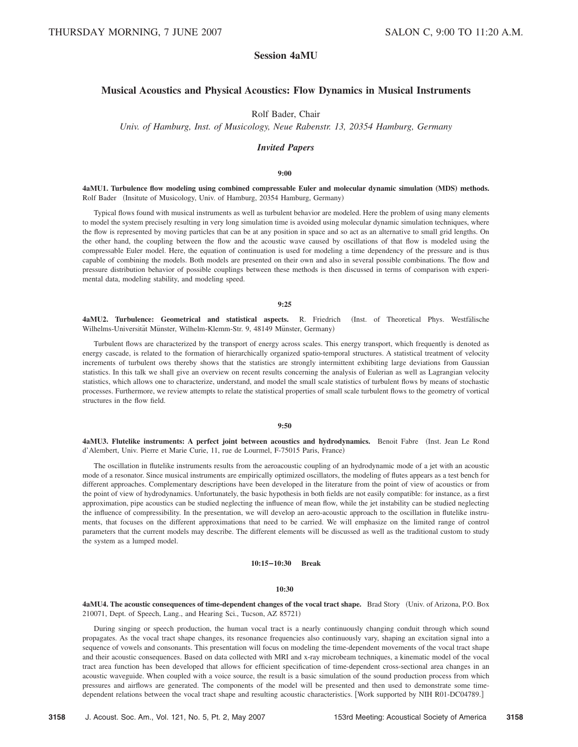# **Session 4aMU**

## **Musical Acoustics and Physical Acoustics: Flow Dynamics in Musical Instruments**

Rolf Bader, Chair

*Univ. of Hamburg, Inst. of Musicology, Neue Rabenstr. 13, 20354 Hamburg, Germany*

## *Invited Papers*

#### **9:00**

**4aMU1. Turbulence flow modeling using combined compressable Euler and molecular dynamic simulation** "**MDS**… **methods.** Rolf Bader (Insitute of Musicology, Univ. of Hamburg, 20354 Hamburg, Germany)

Typical flows found with musical instruments as well as turbulent behavior are modeled. Here the problem of using many elements to model the system precisely resulting in very long simulation time is avoided using molecular dynamic simulation techniques, where the flow is represented by moving particles that can be at any position in space and so act as an alternative to small grid lengths. On the other hand, the coupling between the flow and the acoustic wave caused by oscillations of that flow is modeled using the compressable Euler model. Here, the equation of continuation is used for modeling a time dependency of the pressure and is thus capable of combining the models. Both models are presented on their own and also in several possible combinations. The flow and pressure distribution behavior of possible couplings between these methods is then discussed in terms of comparison with experimental data, modeling stability, and modeling speed.

## **9:25**

4aMU2. Turbulence: Geometrical and statistical aspects. R. Friedrich (Inst. of Theoretical Phys. Westfalische Wilhelms-Universität Münster, Wilhelm-Klemm-Str. 9, 48149 Münster, Germany)

Turbulent flows are characterized by the transport of energy across scales. This energy transport, which frequently is denoted as energy cascade, is related to the formation of hierarchically organized spatio-temporal structures. A statistical treatment of velocity increments of turbulent ows thereby shows that the statistics are strongly intermittent exhibiting large deviations from Gaussian statistics. In this talk we shall give an overview on recent results concerning the analysis of Eulerian as well as Lagrangian velocity statistics, which allows one to characterize, understand, and model the small scale statistics of turbulent flows by means of stochastic processes. Furthermore, we review attempts to relate the statistical properties of small scale turbulent flows to the geometry of vortical structures in the flow field.

## **9:50**

4aMU3. Flutelike instruments: A perfect joint between acoustics and hydrodynamics. Benoit Fabre (Inst. Jean Le Rond d'Alembert, Univ. Pierre et Marie Curie, 11, rue de Lourmel, F-75015 Paris, France)

The oscillation in flutelike instruments results from the aeroacoustic coupling of an hydrodynamic mode of a jet with an acoustic mode of a resonator. Since musical instruments are empirically optimized oscillators, the modeling of flutes appears as a test bench for different approaches. Complementary descriptions have been developed in the literature from the point of view of acoustics or from the point of view of hydrodynamics. Unfortunately, the basic hypothesis in both fields are not easily compatible: for instance, as a first approximation, pipe acoustics can be studied neglecting the influence of mean flow, while the jet instability can be studied neglecting the influence of compressibility. In the presentation, we will develop an aero-acoustic approach to the oscillation in flutelike instruments, that focuses on the different approximations that need to be carried. We will emphasize on the limited range of control parameters that the current models may describe. The different elements will be discussed as well as the traditional custom to study the system as a lumped model.

## **10:15–10:30 Break**

#### **10:30**

**4aMU4. The acoustic consequences of time-dependent changes of the vocal tract shape.** Brad Story Univ. of Arizona, P.O. Box 210071, Dept. of Speech, Lang., and Hearing Sci., Tucson, AZ 85721)

During singing or speech production, the human vocal tract is a nearly continuously changing conduit through which sound propagates. As the vocal tract shape changes, its resonance frequencies also continuously vary, shaping an excitation signal into a sequence of vowels and consonants. This presentation will focus on modeling the time-dependent movements of the vocal tract shape and their acoustic consequences. Based on data collected with MRI and x-ray microbeam techniques, a kinematic model of the vocal tract area function has been developed that allows for efficient specification of time-dependent cross-sectional area changes in an acoustic waveguide. When coupled with a voice source, the result is a basic simulation of the sound production process from which pressures and airflows are generated. The components of the model will be presented and then used to demonstrate some timedependent relations between the vocal tract shape and resulting acoustic characteristics. [Work supported by NIH R01-DC04789.]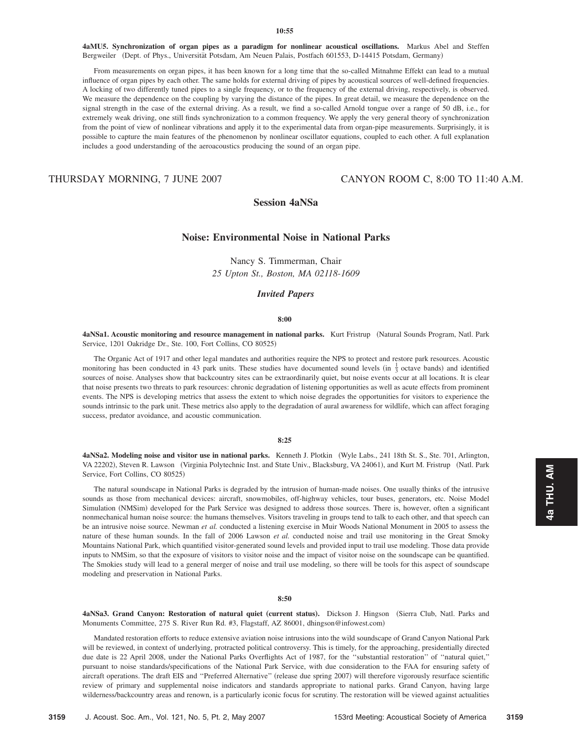**4aMU5. Synchronization of organ pipes as a paradigm for nonlinear acoustical oscillations.** Markus Abel and Steffen Bergweiler (Dept. of Phys., Universität Potsdam, Am Neuen Palais, Postfach 601553, D-14415 Potsdam, Germany)

From measurements on organ pipes, it has been known for a long time that the so-called Mitnahme Effekt can lead to a mutual influence of organ pipes by each other. The same holds for external driving of pipes by acoustical sources of well-defined frequencies. A locking of two differently tuned pipes to a single frequency, or to the frequency of the external driving, respectively, is observed. We measure the dependence on the coupling by varying the distance of the pipes. In great detail, we measure the dependence on the signal strength in the case of the external driving. As a result, we find a so-called Arnold tongue over a range of 50 dB, i.e., for extremely weak driving, one still finds synchronization to a common frequency. We apply the very general theory of synchronization from the point of view of nonlinear vibrations and apply it to the experimental data from organ-pipe measurements. Surprisingly, it is possible to capture the main features of the phenomenon by nonlinear oscillator equations, coupled to each other. A full explanation includes a good understanding of the aeroacoustics producing the sound of an organ pipe.

THURSDAY MORNING, 7 JUNE 2007 CANYON ROOM C, 8:00 TO 11:40 A.M.

# **Session 4aNSa**

## **Noise: Environmental Noise in National Parks**

Nancy S. Timmerman, Chair *25 Upton St., Boston, MA 02118-1609*

## *Invited Papers*

## **8:00**

**4aNSa1. Acoustic monitoring and resource management in national parks.** Kurt Fristrup (Natural Sounds Program, Natl. Park Service, 1201 Oakridge Dr., Ste. 100, Fort Collins, CO 80525)

The Organic Act of 1917 and other legal mandates and authorities require the NPS to protect and restore park resources. Acoustic monitoring has been conducted in 43 park units. These studies have documented sound levels (in  $\frac{1}{3}$  octave bands) and identified sources of noise. Analyses show that backcountry sites can be extraordinarily quiet, but noise events occur at all locations. It is clear that noise presents two threats to park resources: chronic degradation of listening opportunities as well as acute effects from prominent events. The NPS is developing metrics that assess the extent to which noise degrades the opportunities for visitors to experience the sounds intrinsic to the park unit. These metrics also apply to the degradation of aural awareness for wildlife, which can affect foraging success, predator avoidance, and acoustic communication.

## **8:25**

**4aNSa2. Modeling noise and visitor use in national parks.** Kenneth J. Plotkin Wyle Labs., 241 18th St. S., Ste. 701, Arlington, VA 22202), Steven R. Lawson (Virginia Polytechnic Inst. and State Univ., Blacksburg, VA 24061), and Kurt M. Fristrup (Natl. Park Service, Fort Collins, CO 80525)

The natural soundscape in National Parks is degraded by the intrusion of human-made noises. One usually thinks of the intrusive sounds as those from mechanical devices: aircraft, snowmobiles, off-highway vehicles, tour buses, generators, etc. Noise Model Simulation (NMSim) developed for the Park Service was designed to address those sources. There is, however, often a significant nonmechanical human noise source: the humans themselves. Visitors traveling in groups tend to talk to each other, and that speech can be an intrusive noise source. Newman *et al.* conducted a listening exercise in Muir Woods National Monument in 2005 to assess the nature of these human sounds. In the fall of 2006 Lawson *et al.* conducted noise and trail use monitoring in the Great Smoky Mountains National Park, which quantified visitor-generated sound levels and provided input to trail use modeling. Those data provide inputs to NMSim, so that the exposure of visitors to visitor noise and the impact of visitor noise on the soundscape can be quantified. The Smokies study will lead to a general merger of noise and trail use modeling, so there will be tools for this aspect of soundscape modeling and preservation in National Parks.

#### **8:50**

4aNSa3. Grand Canyon: Restoration of natural quiet (current status). Dickson J. Hingson (Sierra Club, Natl. Parks and Monuments Committee, 275 S. River Run Rd. #3, Flagstaff, AZ 86001, dhingson@infowest.com)

Mandated restoration efforts to reduce extensive aviation noise intrusions into the wild soundscape of Grand Canyon National Park will be reviewed, in context of underlying, protracted political controversy. This is timely, for the approaching, presidentially directed due date is 22 April 2008, under the National Parks Overflights Act of 1987, for the ''substantial restoration'' of ''natural quiet,'' pursuant to noise standards/specifications of the National Park Service, with due consideration to the FAA for ensuring safety of aircraft operations. The draft EIS and "Preferred Alternative" (release due spring 2007) will therefore vigorously resurface scientific review of primary and supplemental noise indicators and standards appropriate to national parks. Grand Canyon, having large wilderness/backcountry areas and renown, is a particularly iconic focus for scrutiny. The restoration will be viewed against actualities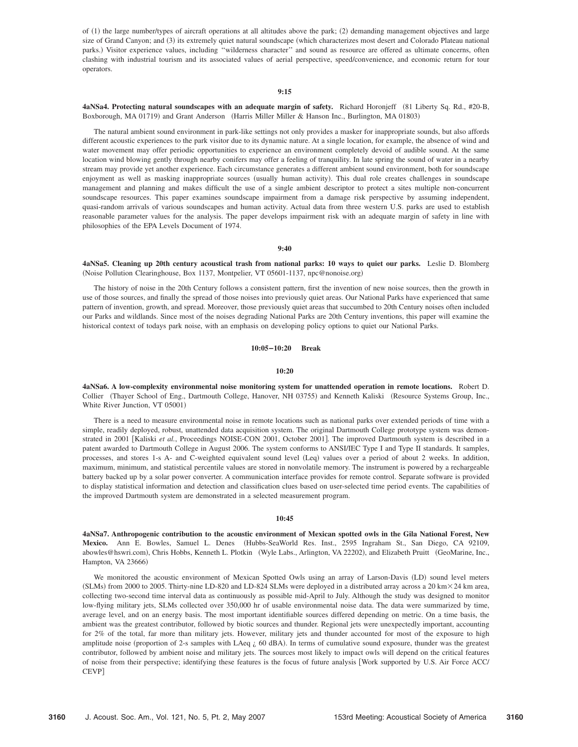of (1) the large number/types of aircraft operations at all altitudes above the park; (2) demanding management objectives and large size of Grand Canyon; and (3) its extremely quiet natural soundscape (which characterizes most desert and Colorado Plateau national parks.) Visitor experience values, including "wilderness character" and sound as resource are offered as ultimate concerns, often clashing with industrial tourism and its associated values of aerial perspective, speed/convenience, and economic return for tour operators.

## **9:15**

## **4aNSa4. Protecting natural soundscapes with an adequate margin of safety.** Richard Horonjeff 81 Liberty Sq. Rd., #20-B, Boxborough, MA 01719) and Grant Anderson (Harris Miller Miller & Hanson Inc., Burlington, MA 01803)

The natural ambient sound environment in park-like settings not only provides a masker for inappropriate sounds, but also affords different acoustic experiences to the park visitor due to its dynamic nature. At a single location, for example, the absence of wind and water movement may offer periodic opportunities to experience an environment completely devoid of audible sound. At the same location wind blowing gently through nearby conifers may offer a feeling of tranquility. In late spring the sound of water in a nearby stream may provide yet another experience. Each circumstance generates a different ambient sound environment, both for soundscape enjoyment as well as masking inappropriate sources (usually human activity). This dual role creates challenges in soundscape management and planning and makes difficult the use of a single ambient descriptor to protect a sites multiple non-concurrent soundscape resources. This paper examines soundscape impairment from a damage risk perspective by assuming independent, quasi-random arrivals of various soundscapes and human activity. Actual data from three western U.S. parks are used to establish reasonable parameter values for the analysis. The paper develops impairment risk with an adequate margin of safety in line with philosophies of the EPA Levels Document of 1974.

### **9:40**

**4aNSa5. Cleaning up 20th century acoustical trash from national parks: 10 ways to quiet our parks.** Leslie D. Blomberg (Noise Pollution Clearinghouse, Box 1137, Montpelier, VT 05601-1137, npc@nonoise.org)

The history of noise in the 20th Century follows a consistent pattern, first the invention of new noise sources, then the growth in use of those sources, and finally the spread of those noises into previously quiet areas. Our National Parks have experienced that same pattern of invention, growth, and spread. Moreover, those previously quiet areas that succumbed to 20th Century noises often included our Parks and wildlands. Since most of the noises degrading National Parks are 20th Century inventions, this paper will examine the historical context of todays park noise, with an emphasis on developing policy options to quiet our National Parks.

## **10:05–10:20 Break**

#### **10:20**

**4aNSa6. A low-complexity environmental noise monitoring system for unattended operation in remote locations.** Robert D. Collier (Thayer School of Eng., Dartmouth College, Hanover, NH 03755) and Kenneth Kaliski (Resource Systems Group, Inc., White River Junction, VT 05001)

There is a need to measure environmental noise in remote locations such as national parks over extended periods of time with a simple, readily deployed, robust, unattended data acquisition system. The original Dartmouth College prototype system was demonstrated in 2001 [Kaliski et al., Proceedings NOISE-CON 2001, October 2001]. The improved Dartmouth system is described in a patent awarded to Dartmouth College in August 2006. The system conforms to ANSI/IEC Type I and Type II standards. It samples, processes, and stores 1-s A- and C-weighted equivalent sound level (Leq) values over a period of about 2 weeks. In addition, maximum, minimum, and statistical percentile values are stored in nonvolatile memory. The instrument is powered by a rechargeable battery backed up by a solar power converter. A communication interface provides for remote control. Separate software is provided to display statistical information and detection and classification clues based on user-selected time period events. The capabilities of the improved Dartmouth system are demonstrated in a selected measurement program.

### **10:45**

**4aNSa7. Anthropogenic contribution to the acoustic environment of Mexican spotted owls in the Gila National Forest, New** Mexico. Ann E. Bowles, Samuel L. Denes (Hubbs-SeaWorld Res. Inst., 2595 Ingraham St., San Diego, CA 92109, abowles@hswri.com), Chris Hobbs, Kenneth L. Plotkin (Wyle Labs., Arlington, VA 22202), and Elizabeth Pruitt (GeoMarine, Inc., Hampton, VA 23666)

We monitored the acoustic environment of Mexican Spotted Owls using an array of Larson-Davis (LD) sound level meters (SLMs) from 2000 to 2005. Thirty-nine LD-820 and LD-824 SLMs were deployed in a distributed array across a 20 km $\times$ 24 km area, collecting two-second time interval data as continuously as possible mid-April to July. Although the study was designed to monitor low-flying military jets, SLMs collected over 350,000 hr of usable environmental noise data. The data were summarized by time, average level, and on an energy basis. The most important identifiable sources differed depending on metric. On a time basis, the ambient was the greatest contributor, followed by biotic sources and thunder. Regional jets were unexpectedly important, accounting for 2% of the total, far more than military jets. However, military jets and thunder accounted for most of the exposure to high amplitude noise (proportion of 2-s samples with LAeq  $\zeta$  60 dBA). In terms of cumulative sound exposure, thunder was the greatest contributor, followed by ambient noise and military jets. The sources most likely to impact owls will depend on the critical features of noise from their perspective; identifying these features is the focus of future analysis Work supported by U.S. Air Force ACC/ CEVP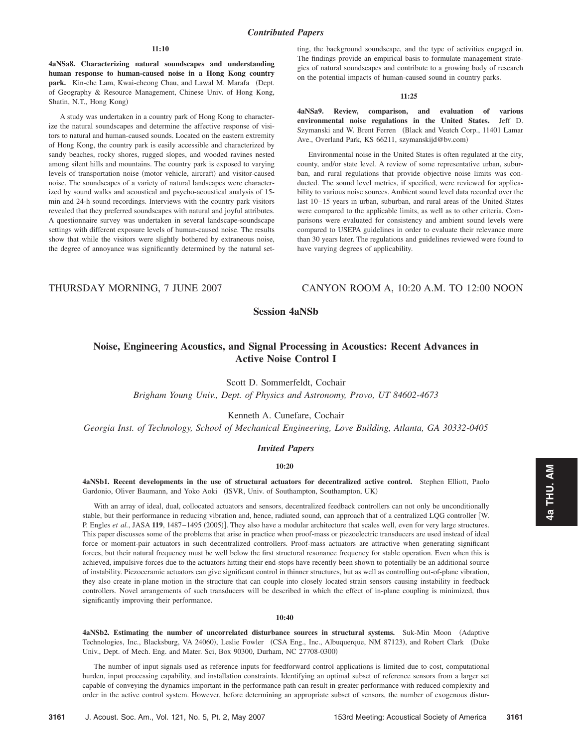#### **11:10**

**4aNSa8. Characterizing natural soundscapes and understanding human response to human-caused noise in a Hong Kong country** park. Kin-che Lam, Kwai-cheong Chau, and Lawal M. Marafa (Dept. of Geography & Resource Management, Chinese Univ. of Hong Kong, Shatin, N.T., Hong Kong)

A study was undertaken in a country park of Hong Kong to characterize the natural soundscapes and determine the affective response of visitors to natural and human-caused sounds. Located on the eastern extremity of Hong Kong, the country park is easily accessible and characterized by sandy beaches, rocky shores, rugged slopes, and wooded ravines nested among silent hills and mountains. The country park is exposed to varying levels of transportation noise (motor vehicle, aircraft) and visitor-caused noise. The soundscapes of a variety of natural landscapes were characterized by sound walks and acoustical and psycho-acoustical analysis of 15 min and 24-h sound recordings. Interviews with the country park visitors revealed that they preferred soundscapes with natural and joyful attributes. A questionnaire survey was undertaken in several landscape-soundscape settings with different exposure levels of human-caused noise. The results show that while the visitors were slightly bothered by extraneous noise, the degree of annoyance was significantly determined by the natural setting, the background soundscape, and the type of activities engaged in. The findings provide an empirical basis to formulate management strategies of natural soundscapes and contribute to a growing body of research on the potential impacts of human-caused sound in country parks.

#### **11:25**

**4aNSa9. Review, comparison, and evaluation of various environmental noise regulations in the United States.** Jeff D. Szymanski and W. Brent Ferren (Black and Veatch Corp., 11401 Lamar Ave., Overland Park, KS 66211, szymanskijd@bv.com)

Environmental noise in the United States is often regulated at the city, county, and/or state level. A review of some representative urban, suburban, and rural regulations that provide objective noise limits was conducted. The sound level metrics, if specified, were reviewed for applicability to various noise sources. Ambient sound level data recorded over the last 10–15 years in urban, suburban, and rural areas of the United States were compared to the applicable limits, as well as to other criteria. Comparisons were evaluated for consistency and ambient sound levels were compared to USEPA guidelines in order to evaluate their relevance more than 30 years later. The regulations and guidelines reviewed were found to have varying degrees of applicability.

THURSDAY MORNING, 7 JUNE 2007 CANYON ROOM A, 10:20 A.M. TO 12:00 NOON

# **Session 4aNSb**

# **Noise, Engineering Acoustics, and Signal Processing in Acoustics: Recent Advances in Active Noise Control I**

Scott D. Sommerfeldt, Cochair

*Brigham Young Univ., Dept. of Physics and Astronomy, Provo, UT 84602-4673*

Kenneth A. Cunefare, Cochair

*Georgia Inst. of Technology, School of Mechanical Engineering, Love Building, Atlanta, GA 30332-0405*

## *Invited Papers*

## **10:20**

**4aNSb1. Recent developments in the use of structural actuators for decentralized active control.** Stephen Elliott, Paolo Gardonio, Oliver Baumann, and Yoko Aoki (ISVR, Univ. of Southampton, Southampton, UK)

With an array of ideal, dual, collocated actuators and sensors, decentralized feedback controllers can not only be unconditionally stable, but their performance in reducing vibration and, hence, radiated sound, can approach that of a centralized LQG controller W. P. Engles et al., JASA 119, 1487-1495 (2005)]. They also have a modular architecture that scales well, even for very large structures. This paper discusses some of the problems that arise in practice when proof-mass or piezoelectric transducers are used instead of ideal force or moment-pair actuators in such decentralized controllers. Proof-mass actuators are attractive when generating significant forces, but their natural frequency must be well below the first structural resonance frequency for stable operation. Even when this is achieved, impulsive forces due to the actuators hitting their end-stops have recently been shown to potentially be an additional source of instability. Piezoceramic actuators can give significant control in thinner structures, but as well as controlling out-of-plane vibration, they also create in-plane motion in the structure that can couple into closely located strain sensors causing instability in feedback controllers. Novel arrangements of such transducers will be described in which the effect of in-plane coupling is minimized, thus significantly improving their performance.

#### **10:40**

4aNSb2. Estimating the number of uncorrelated disturbance sources in structural systems. Suk-Min Moon (Adaptive Technologies, Inc., Blacksburg, VA 24060), Leslie Fowler (CSA Eng., Inc., Albuquerque, NM 87123), and Robert Clark (Duke Univ., Dept. of Mech. Eng. and Mater. Sci, Box 90300, Durham, NC 27708-0300)

The number of input signals used as reference inputs for feedforward control applications is limited due to cost, computational burden, input processing capability, and installation constraints. Identifying an optimal subset of reference sensors from a larger set capable of conveying the dynamics important in the performance path can result in greater performance with reduced complexity and order in the active control system. However, before determining an appropriate subset of sensors, the number of exogenous distur-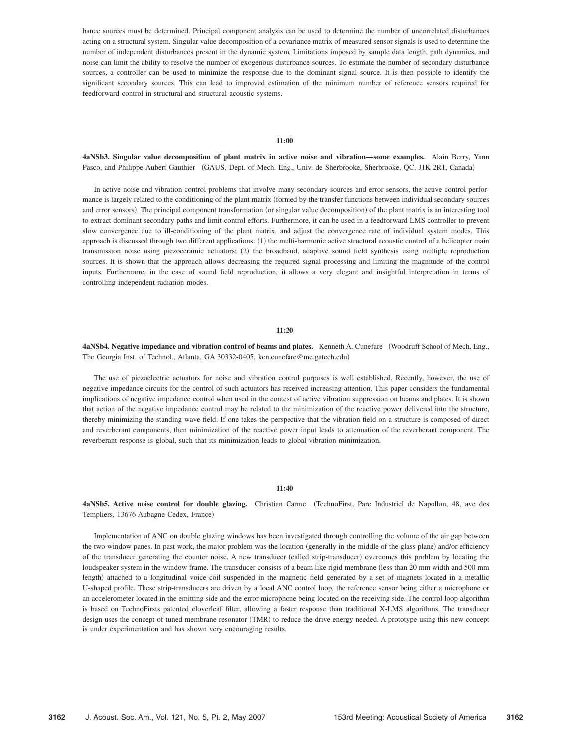bance sources must be determined. Principal component analysis can be used to determine the number of uncorrelated disturbances acting on a structural system. Singular value decomposition of a covariance matrix of measured sensor signals is used to determine the number of independent disturbances present in the dynamic system. Limitations imposed by sample data length, path dynamics, and noise can limit the ability to resolve the number of exogenous disturbance sources. To estimate the number of secondary disturbance sources, a controller can be used to minimize the response due to the dominant signal source. It is then possible to identify the significant secondary sources. This can lead to improved estimation of the minimum number of reference sensors required for feedforward control in structural and structural acoustic systems.

#### **11:00**

**4aNSb3. Singular value decomposition of plant matrix in active noise and vibration—some examples.** Alain Berry, Yann Pasco, and Philippe-Aubert Gauthier (GAUS, Dept. of Mech. Eng., Univ. de Sherbrooke, Sherbrooke, QC, J1K 2R1, Canada)

In active noise and vibration control problems that involve many secondary sources and error sensors, the active control performance is largely related to the conditioning of the plant matrix formed by the transfer functions between individual secondary sources and error sensors). The principal component transformation (or singular value decomposition) of the plant matrix is an interesting tool to extract dominant secondary paths and limit control efforts. Furthermore, it can be used in a feedforward LMS controller to prevent slow convergence due to ill-conditioning of the plant matrix, and adjust the convergence rate of individual system modes. This approach is discussed through two different applications: (1) the multi-harmonic active structural acoustic control of a helicopter main transmission noise using piezoceramic actuators; (2) the broadband, adaptive sound field synthesis using multiple reproduction sources. It is shown that the approach allows decreasing the required signal processing and limiting the magnitude of the control inputs. Furthermore, in the case of sound field reproduction, it allows a very elegant and insightful interpretation in terms of controlling independent radiation modes.

#### **11:20**

**4aNSb4. Negative impedance and vibration control of beams and plates.** Kenneth A. Cunefare Woodruff School of Mech. Eng., The Georgia Inst. of Technol., Atlanta, GA 30332-0405, ken.cunefare@me.gatech.edu)

The use of piezoelectric actuators for noise and vibration control purposes is well established. Recently, however, the use of negative impedance circuits for the control of such actuators has received increasing attention. This paper considers the fundamental implications of negative impedance control when used in the context of active vibration suppression on beams and plates. It is shown that action of the negative impedance control may be related to the minimization of the reactive power delivered into the structure, thereby minimizing the standing wave field. If one takes the perspective that the vibration field on a structure is composed of direct and reverberant components, then minimization of the reactive power input leads to attenuation of the reverberant component. The reverberant response is global, such that its minimization leads to global vibration minimization.

## **11:40**

4aNSb5. Active noise control for double glazing. Christian Carme (TechnoFirst, Parc Industriel de Napollon, 48, ave des Templiers, 13676 Aubagne Cedex, France)

Implementation of ANC on double glazing windows has been investigated through controlling the volume of the air gap between the two window panes. In past work, the major problem was the location (generally in the middle of the glass plane) and/or efficiency of the transducer generating the counter noise. A new transducer (called strip-transducer) overcomes this problem by locating the loudspeaker system in the window frame. The transducer consists of a beam like rigid membrane less than 20 mm width and 500 mm length) attached to a longitudinal voice coil suspended in the magnetic field generated by a set of magnets located in a metallic U-shaped profile. These strip-transducers are driven by a local ANC control loop, the reference sensor being either a microphone or an accelerometer located in the emitting side and the error microphone being located on the receiving side. The control loop algorithm is based on TechnoFirsts patented cloverleaf filter, allowing a faster response than traditional X-LMS algorithms. The transducer design uses the concept of tuned membrane resonator (TMR) to reduce the drive energy needed. A prototype using this new concept is under experimentation and has shown very encouraging results.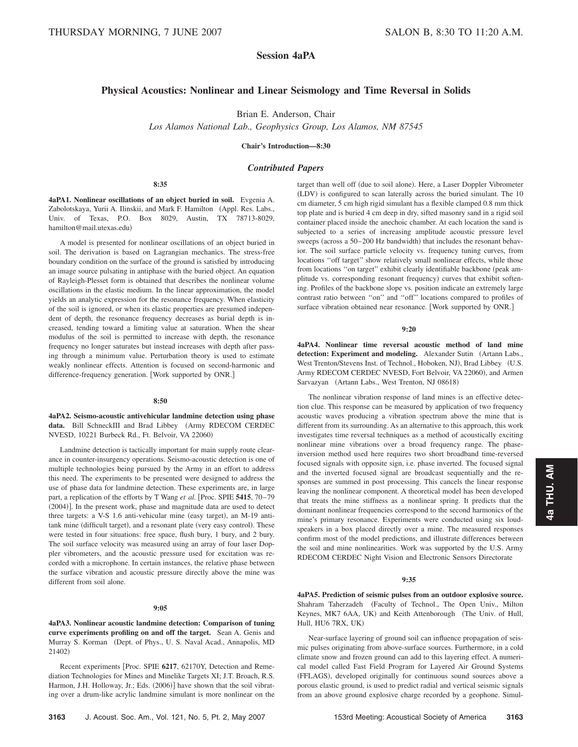# **Session 4aPA**

# **Physical Acoustics: Nonlinear and Linear Seismology and Time Reversal in Solids**

Brian E. Anderson, Chair

*Los Alamos National Lab., Geophysics Group, Los Alamos, NM 87545*

**Chair's Introduction—8:30**

*Contributed Papers*

**8:35**

**4aPA1. Nonlinear oscillations of an object buried in soil.** Evgenia A. Zabolotskaya, Yurii A. Ilinskii, and Mark F. Hamilton (Appl. Res. Labs., Univ. of Texas, P.O. Box 8029, Austin, TX 78713-8029, hamilton@mail.utexas.edu)

A model is presented for nonlinear oscillations of an object buried in soil. The derivation is based on Lagrangian mechanics. The stress-free boundary condition on the surface of the ground is satisfied by introducing an image source pulsating in antiphase with the buried object. An equation of Rayleigh-Plesset form is obtained that describes the nonlinear volume oscillations in the elastic medium. In the linear approximation, the model yields an analytic expression for the resonance frequency. When elasticity of the soil is ignored, or when its elastic properties are presumed independent of depth, the resonance frequency decreases as burial depth is increased, tending toward a limiting value at saturation. When the shear modulus of the soil is permitted to increase with depth, the resonance frequency no longer saturates but instead increases with depth after passing through a minimum value. Perturbation theory is used to estimate weakly nonlinear effects. Attention is focused on second-harmonic and difference-frequency generation. Work supported by ONR.

### **8:50**

**4aPA2. Seismo-acoustic antivehicular landmine detection using phase** data. Bill SchneckIII and Brad Libbey (Army RDECOM CERDEC NVESD, 10221 Burbeck Rd., Ft. Belvoir, VA 22060)

Landmine detection is tactically important for main supply route clearance in counter-insurgency operations. Seismo-acoustic detection is one of multiple technologies being pursued by the Army in an effort to address this need. The experiments to be presented were designed to address the use of phase data for landmine detection. These experiments are, in large part, a replication of the efforts by T Wang *et al.* [Proc. SPIE 5415, 70-79 (2004)]. In the present work, phase and magnitude data are used to detect three targets: a V-S 1.6 anti-vehicular mine (easy target), an M-19 antitank mine (difficult target), and a resonant plate (very easy control). These were tested in four situations: free space, flush bury, 1 bury, and 2 bury. The soil surface velocity was measured using an array of four laser Doppler vibrometers, and the acoustic pressure used for excitation was recorded with a microphone. In certain instances, the relative phase between the surface vibration and acoustic pressure directly above the mine was different from soil alone.

#### **9:05**

**4aPA3. Nonlinear acoustic landmine detection: Comparison of tuning curve experiments profiling on and off the target.** Sean A. Genis and Murray S. Korman (Dept. of Phys., U. S. Naval Acad., Annapolis, MD 21402)

Recent experiments [Proc. SPIE 6217, 62170Y, Detection and Remediation Technologies for Mines and Minelike Targets XI; J.T. Broach, R.S. Harmon, J.H. Holloway, Jr.; Eds. (2006)] have shown that the soil vibrating over a drum-like acrylic landmine simulant is more nonlinear on the

target than well off (due to soil alone). Here, a Laser Doppler Vibrometer (LDV) is configured to scan laterally across the buried simulant. The 10 cm diameter, 5 cm high rigid simulant has a flexible clamped 0.8 mm thick top plate and is buried 4 cm deep in dry, sifted masonry sand in a rigid soil container placed inside the anechoic chamber. At each location the sand is subjected to a series of increasing amplitude acoustic pressure level sweeps (across a 50–200 Hz bandwidth) that includes the resonant behavior. The soil surface particle velocity vs. frequency tuning curves, from locations ''off target'' show relatively small nonlinear effects, while those from locations "on target" exhibit clearly identifiable backbone (peak amplitude vs. corresponding resonant frequency) curves that exhibit softening. Profiles of the backbone slope vs. position indicate an extremely large contrast ratio between ''on'' and ''off'' locations compared to profiles of surface vibration obtained near resonance. [Work supported by ONR.]

#### **9:20**

**4aPA4. Nonlinear time reversal acoustic method of land mine** detection: Experiment and modeling. Alexander Sutin (Artann Labs., West Trenton/Stevens Inst. of Technol., Hoboken, NJ), Brad Libbey (U.S. Army RDECOM CERDEC NVESD, Fort Belvoir, VA 22060), and Armen Sarvazyan (Artann Labs., West Trenton, NJ 08618)

The nonlinear vibration response of land mines is an effective detection clue. This response can be measured by application of two frequency acoustic waves producing a vibration spectrum above the mine that is different from its surrounding. As an alternative to this approach, this work investigates time reversal techniques as a method of acoustically exciting nonlinear mine vibrations over a broad frequency range. The phaseinversion method used here requires two short broadband time-reversed focused signals with opposite sign, i.e. phase inverted. The focused signal and the inverted focused signal are broadcast sequentially and the responses are summed in post processing. This cancels the linear response leaving the nonlinear component. A theoretical model has been developed that treats the mine stiffness as a nonlinear spring. It predicts that the dominant nonlinear frequencies correspond to the second harmonics of the mine's primary resonance. Experiments were conducted using six loudspeakers in a box placed directly over a mine. The measured responses confirm most of the model predictions, and illustrate differences between the soil and mine nonlinearities. Work was supported by the U.S. Army RDECOM CERDEC Night Vision and Electronic Sensors Directorate

## **9:35**

**4aPA5. Prediction of seismic pulses from an outdoor explosive source.** Shahram Taherzadeh (Faculty of Technol., The Open Univ., Milton Keynes, MK7 6AA, UK) and Keith Attenborough (The Univ. of Hull, Hull, HU6 7RX, UK-

Near-surface layering of ground soil can influence propagation of seismic pulses originating from above-surface sources. Furthermore, in a cold climate snow and frozen ground can add to this layering effect. A numerical model called Fast Field Program for Layered Air Ground Systems (FFLAGS), developed originally for continuous sound sources above a porous elastic ground, is used to predict radial and vertical seismic signals from an above ground explosive charge recorded by a geophone. Simul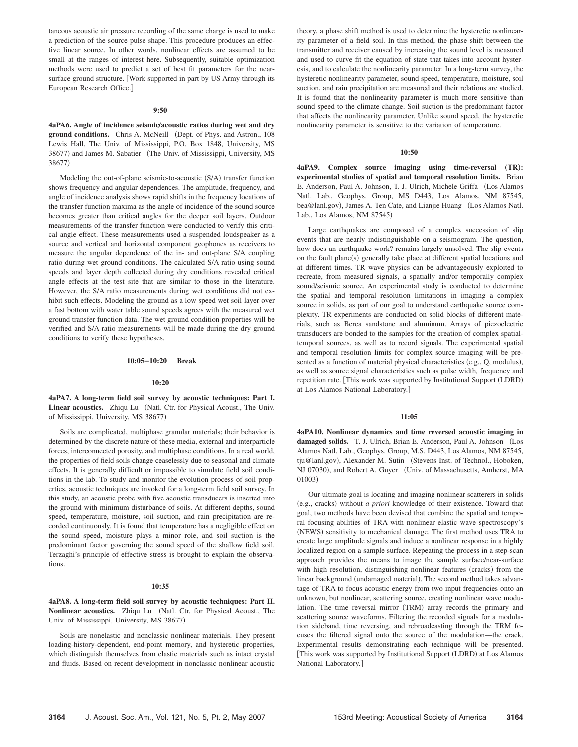taneous acoustic air pressure recording of the same charge is used to make a prediction of the source pulse shape. This procedure produces an effective linear source. In other words, nonlinear effects are assumed to be small at the ranges of interest here. Subsequently, suitable optimization methods were used to predict a set of best fit parameters for the nearsurface ground structure. [Work supported in part by US Army through its European Research Office.

#### **9:50**

**4aPA6.** Angle of incidence seismic/acoustic ratios during wet and dry ground conditions. Chris A. McNeill (Dept. of Phys. and Astron., 108 Lewis Hall, The Univ. of Mississippi, P.O. Box 1848, University, MS 38677) and James M. Sabatier (The Univ. of Mississippi, University, MS 38677)

Modeling the out-of-plane seismic-to-acoustic (S/A) transfer function shows frequency and angular dependences. The amplitude, frequency, and angle of incidence analysis shows rapid shifts in the frequency locations of the transfer function maxima as the angle of incidence of the sound source becomes greater than critical angles for the deeper soil layers. Outdoor measurements of the transfer function were conducted to verify this critical angle effect. These measurements used a suspended loudspeaker as a source and vertical and horizontal component geophones as receivers to measure the angular dependence of the in- and out-plane S/A coupling ratio during wet ground conditions. The calculated S/A ratio using sound speeds and layer depth collected during dry conditions revealed critical angle effects at the test site that are similar to those in the literature. However, the S/A ratio measurements during wet conditions did not exhibit such effects. Modeling the ground as a low speed wet soil layer over a fast bottom with water table sound speeds agrees with the measured wet ground transfer function data. The wet ground condition properties will be verified and S/A ratio measurements will be made during the dry ground conditions to verify these hypotheses.

#### **10:05–10:20 Break**

#### **10:20**

**4aPA7. A long-term field soil survey by acoustic techniques: Part I.** Linear acoustics. Zhiqu Lu (Natl. Ctr. for Physical Acoust., The Univ. of Mississippi, University, MS 38677)

Soils are complicated, multiphase granular materials; their behavior is determined by the discrete nature of these media, external and interparticle forces, interconnected porosity, and multiphase conditions. In a real world, the properties of field soils change ceaselessly due to seasonal and climate effects. It is generally difficult or impossible to simulate field soil conditions in the lab. To study and monitor the evolution process of soil properties, acoustic techniques are invoked for a long-term field soil survey. In this study, an acoustic probe with five acoustic transducers is inserted into the ground with minimum disturbance of soils. At different depths, sound speed, temperature, moisture, soil suction, and rain precipitation are recorded continuously. It is found that temperature has a negligible effect on the sound speed, moisture plays a minor role, and soil suction is the predominant factor governing the sound speed of the shallow field soil. Terzaghi's principle of effective stress is brought to explain the observations.

#### **10:35**

## **4aPA8. A long-term field soil survey by acoustic techniques: Part II.** Nonlinear acoustics. Zhiqu Lu (Natl. Ctr. for Physical Acoust., The Univ. of Mississippi, University, MS 38677)

Soils are nonelastic and nonclassic nonlinear materials. They present loading-history-dependent, end-point memory, and hysteretic properties, which distinguish themselves from elastic materials such as intact crystal and fluids. Based on recent development in nonclassic nonlinear acoustic theory, a phase shift method is used to determine the hysteretic nonlinearity parameter of a field soil. In this method, the phase shift between the transmitter and receiver caused by increasing the sound level is measured and used to curve fit the equation of state that takes into account hysteresis, and to calculate the nonlinearity parameter. In a long-term survey, the hysteretic nonlinearity parameter, sound speed, temperature, moisture, soil suction, and rain precipitation are measured and their relations are studied. It is found that the nonlinearity parameter is much more sensitive than sound speed to the climate change. Soil suction is the predominant factor that affects the nonlinearity parameter. Unlike sound speed, the hysteretic nonlinearity parameter is sensitive to the variation of temperature.

## **10:50**

**4aPA9.** Complex source imaging using time-reversal (TR): **experimental studies of spatial and temporal resolution limits.** Brian E. Anderson, Paul A. Johnson, T. J. Ulrich, Michele Griffa (Los Alamos Natl. Lab., Geophys. Group, MS D443, Los Alamos, NM 87545, bea@lanl.gov), James A. Ten Cate, and Lianjie Huang (Los Alamos Natl. Lab., Los Alamos, NM 87545)

Large earthquakes are composed of a complex succession of slip events that are nearly indistinguishable on a seismogram. The question, how does an earthquake work? remains largely unsolved. The slip events on the fault plane(s) generally take place at different spatial locations and at different times. TR wave physics can be advantageously exploited to recreate, from measured signals, a spatially and/or temporally complex sound/seismic source. An experimental study is conducted to determine the spatial and temporal resolution limitations in imaging a complex source in solids, as part of our goal to understand earthquake source complexity. TR experiments are conducted on solid blocks of different materials, such as Berea sandstone and aluminum. Arrays of piezoelectric transducers are bonded to the samples for the creation of complex spatialtemporal sources, as well as to record signals. The experimental spatial and temporal resolution limits for complex source imaging will be presented as a function of material physical characteristics (e.g., Q, modulus), as well as source signal characteristics such as pulse width, frequency and repetition rate. [This work was supported by Institutional Support (LDRD) at Los Alamos National Laboratory.

#### **11:05**

**4aPA10. Nonlinear dynamics and time reversed acoustic imaging in** damaged solids. T. J. Ulrich, Brian E. Anderson, Paul A. Johnson (Los Alamos Natl. Lab., Geophys. Group, M.S. D443, Los Alamos, NM 87545, tju@lanl.gov), Alexander M. Sutin (Stevens Inst. of Technol., Hoboken, NJ 07030), and Robert A. Guyer (Univ. of Massachusetts, Amherst, MA 01003)

Our ultimate goal is locating and imaging nonlinear scatterers in solids (e.g., cracks) without *a priori* knowledge of their existence. Toward that goal, two methods have been devised that combine the spatial and temporal focusing abilities of TRA with nonlinear elastic wave spectroscopy's (NEWS) sensitivity to mechanical damage. The first method uses TRA to create large amplitude signals and induce a nonlinear response in a highly localized region on a sample surface. Repeating the process in a step-scan approach provides the means to image the sample surface/near-surface with high resolution, distinguishing nonlinear features (cracks) from the linear background (undamaged material). The second method takes advantage of TRA to focus acoustic energy from two input frequencies onto an unknown, but nonlinear, scattering source, creating nonlinear wave modulation. The time reversal mirror (TRM) array records the primary and scattering source waveforms. Filtering the recorded signals for a modulation sideband, time reversing, and rebroadcasting through the TRM focuses the filtered signal onto the source of the modulation—the crack. Experimental results demonstrating each technique will be presented. [This work was supported by Institutional Support (LDRD) at Los Alamos National Laboratory.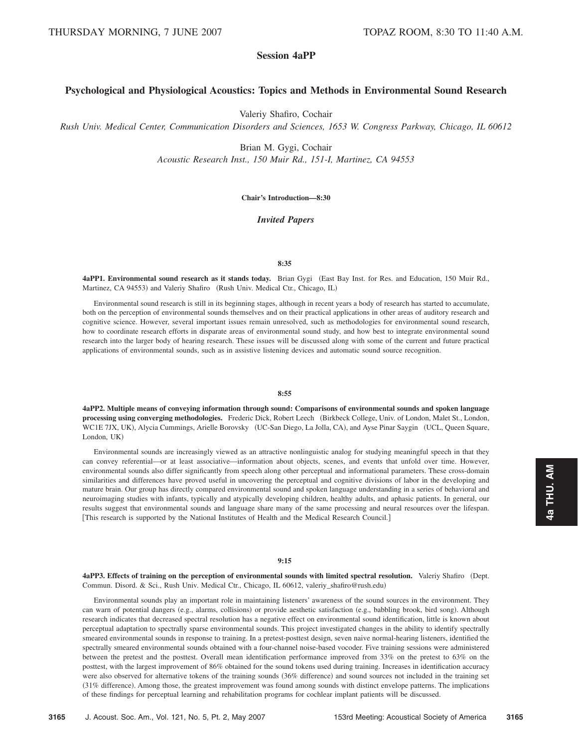# **Session 4aPP**

## **Psychological and Physiological Acoustics: Topics and Methods in Environmental Sound Research**

Valeriy Shafiro, Cochair

*Rush Univ. Medical Center, Communication Disorders and Sciences, 1653 W. Congress Parkway, Chicago, IL 60612*

Brian M. Gygi, Cochair

*Acoustic Research Inst., 150 Muir Rd., 151-I, Martinez, CA 94553*

## **Chair's Introduction—8:30**

## *Invited Papers*

## **8:35**

**4aPP1. Environmental sound research as it stands today.** Brian Gygi East Bay Inst. for Res. and Education, 150 Muir Rd., Martinez, CA 94553) and Valeriy Shafiro (Rush Univ. Medical Ctr., Chicago, IL)

Environmental sound research is still in its beginning stages, although in recent years a body of research has started to accumulate, both on the perception of environmental sounds themselves and on their practical applications in other areas of auditory research and cognitive science. However, several important issues remain unresolved, such as methodologies for environmental sound research, how to coordinate research efforts in disparate areas of environmental sound study, and how best to integrate environmental sound research into the larger body of hearing research. These issues will be discussed along with some of the current and future practical applications of environmental sounds, such as in assistive listening devices and automatic sound source recognition.

## **8:55**

**4aPP2. Multiple means of conveying information through sound: Comparisons of environmental sounds and spoken language** processing using converging methodologies. Frederic Dick, Robert Leech (Birkbeck College, Univ. of London, Malet St., London, WC1E 7JX, UK), Alycia Cummings, Arielle Borovsky (UC-San Diego, La Jolla, CA), and Ayse Pinar Saygin (UCL, Queen Square, London, UK)

Environmental sounds are increasingly viewed as an attractive nonlinguistic analog for studying meaningful speech in that they can convey referential—or at least associative—information about objects, scenes, and events that unfold over time. However, environmental sounds also differ significantly from speech along other perceptual and informational parameters. These cross-domain similarities and differences have proved useful in uncovering the perceptual and cognitive divisions of labor in the developing and mature brain. Our group has directly compared environmental sound and spoken language understanding in a series of behavioral and neuroimaging studies with infants, typically and atypically developing children, healthy adults, and aphasic patients. In general, our results suggest that environmental sounds and language share many of the same processing and neural resources over the lifespan. This research is supported by the National Institutes of Health and the Medical Research Council.

## **9:15**

4aPP3. Effects of training on the perception of environmental sounds with limited spectral resolution. Valeriy Shafiro (Dept. Commun. Disord. & Sci., Rush Univ. Medical Ctr., Chicago, IL 60612, valeriy\_shafiro@rush.edu-

Environmental sounds play an important role in maintaining listeners' awareness of the sound sources in the environment. They can warn of potential dangers (e.g., alarms, collisions) or provide aesthetic satisfaction (e.g., babbling brook, bird song). Although research indicates that decreased spectral resolution has a negative effect on environmental sound identification, little is known about perceptual adaptation to spectrally sparse environmental sounds. This project investigated changes in the ability to identify spectrally smeared environmental sounds in response to training. In a pretest-posttest design, seven naive normal-hearing listeners, identified the spectrally smeared environmental sounds obtained with a four-channel noise-based vocoder. Five training sessions were administered between the pretest and the posttest. Overall mean identification performance improved from 33% on the pretest to 63% on the posttest, with the largest improvement of 86% obtained for the sound tokens used during training. Increases in identification accuracy were also observed for alternative tokens of the training sounds (36% difference) and sound sources not included in the training set (31% difference). Among those, the greatest improvement was found among sounds with distinct envelope patterns. The implications of these findings for perceptual learning and rehabilitation programs for cochlear implant patients will be discussed.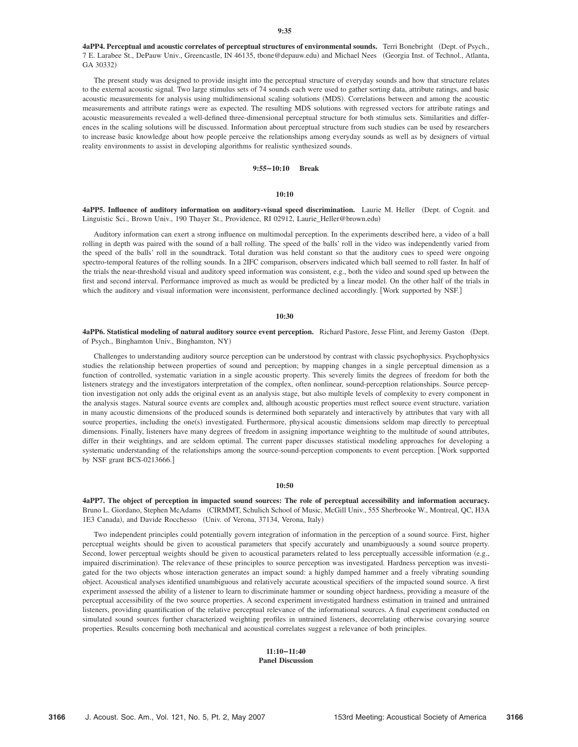4aPP4. Perceptual and acoustic correlates of perceptual structures of environmental sounds. Terri Bonebright (Dept. of Psych., 7 E. Larabee St., DePauw Univ., Greencastle, IN 46135, tbone@depauw.edu) and Michael Nees (Georgia Inst. of Technol., Atlanta, GA 30332)

The present study was designed to provide insight into the perceptual structure of everyday sounds and how that structure relates to the external acoustic signal. Two large stimulus sets of 74 sounds each were used to gather sorting data, attribute ratings, and basic acoustic measurements for analysis using multidimensional scaling solutions (MDS). Correlations between and among the acoustic measurements and attribute ratings were as expected. The resulting MDS solutions with regressed vectors for attribute ratings and acoustic measurements revealed a well-defined three-dimensional perceptual structure for both stimulus sets. Similarities and differences in the scaling solutions will be discussed. Information about perceptual structure from such studies can be used by researchers to increase basic knowledge about how people perceive the relationships among everyday sounds as well as by designers of virtual reality environments to assist in developing algorithms for realistic synthesized sounds.

## **9:55–10:10 Break**

## **10:10**

4aPP5. Influence of auditory information on auditory-visual speed discrimination. Laurie M. Heller (Dept. of Cognit. and Linguistic Sci., Brown Univ., 190 Thayer St., Providence, RI 02912, Laurie\_Heller@brown.edu-

Auditory information can exert a strong influence on multimodal perception. In the experiments described here, a video of a ball rolling in depth was paired with the sound of a ball rolling. The speed of the balls' roll in the video was independently varied from the speed of the balls' roll in the soundtrack. Total duration was held constant so that the auditory cues to speed were ongoing spectro-temporal features of the rolling sounds. In a 2IFC comparison, observers indicated which ball seemed to roll faster. In half of the trials the near-threshold visual and auditory speed information was consistent, e.g., both the video and sound sped up between the first and second interval. Performance improved as much as would be predicted by a linear model. On the other half of the trials in which the auditory and visual information were inconsistent, performance declined accordingly. [Work supported by NSF.]

#### **10:30**

4aPP6. Statistical modeling of natural auditory source event perception. Richard Pastore, Jesse Flint, and Jeremy Gaston (Dept. of Psych., Binghamton Univ., Binghamton, NY)

Challenges to understanding auditory source perception can be understood by contrast with classic psychophysics. Psychophysics studies the relationship between properties of sound and perception; by mapping changes in a single perceptual dimension as a function of controlled, systematic variation in a single acoustic property. This severely limits the degrees of freedom for both the listeners strategy and the investigators interpretation of the complex, often nonlinear, sound-perception relationships. Source perception investigation not only adds the original event as an analysis stage, but also multiple levels of complexity to every component in the analysis stages. Natural source events are complex and, although acoustic properties must reflect source event structure, variation in many acoustic dimensions of the produced sounds is determined both separately and interactively by attributes that vary with all source properties, including the one(s) investigated. Furthermore, physical acoustic dimensions seldom map directly to perceptual dimensions. Finally, listeners have many degrees of freedom in assigning importance weighting to the multitude of sound attributes, differ in their weightings, and are seldom optimal. The current paper discusses statistical modeling approaches for developing a systematic understanding of the relationships among the source-sound-perception components to event perception. Work supported by NSF grant BCS-0213666.

## **10:50**

**4aPP7. The object of perception in impacted sound sources: The role of perceptual accessibility and information accuracy.** Bruno L. Giordano, Stephen McAdams (CIRMMT, Schulich School of Music, McGill Univ., 555 Sherbrooke W., Montreal, QC, H3A 1E3 Canada), and Davide Rocchesso (Univ. of Verona, 37134, Verona, Italy)

Two independent principles could potentially govern integration of information in the perception of a sound source. First, higher perceptual weights should be given to acoustical parameters that specify accurately and unambiguously a sound source property. Second, lower perceptual weights should be given to acoustical parameters related to less perceptually accessible information (e.g., impaired discrimination). The relevance of these principles to source perception was investigated. Hardness perception was investigated for the two objects whose interaction generates an impact sound: a highly damped hammer and a freely vibrating sounding object. Acoustical analyses identified unambiguous and relatively accurate acoustical specifiers of the impacted sound source. A first experiment assessed the ability of a listener to learn to discriminate hammer or sounding object hardness, providing a measure of the perceptual accessibility of the two source properties. A second experiment investigated hardness estimation in trained and untrained listeners, providing quantification of the relative perceptual relevance of the informational sources. A final experiment conducted on simulated sound sources further characterized weighting profiles in untrained listeners, decorrelating otherwise covarying source properties. Results concerning both mechanical and acoustical correlates suggest a relevance of both principles.

## **11:10–11:40 Panel Discussion**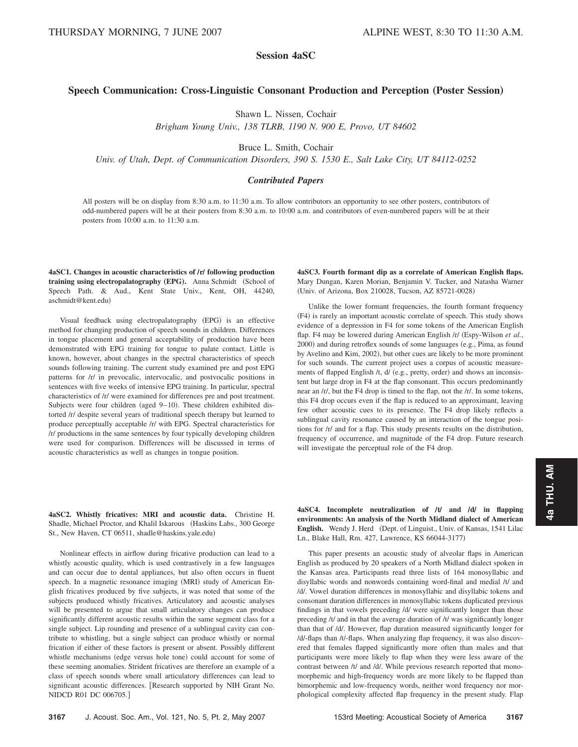# **Session 4aSC**

## **Speech Communication: Cross-Linguistic Consonant Production and Perception (Poster Session)**

Shawn L. Nissen, Cochair

*Brigham Young Univ., 138 TLRB, 1190 N. 900 E, Provo, UT 84602*

Bruce L. Smith, Cochair

*Univ. of Utah, Dept. of Communication Disorders, 390 S. 1530 E., Salt Lake City, UT 84112-0252*

## *Contributed Papers*

All posters will be on display from 8:30 a.m. to 11:30 a.m. To allow contributors an opportunity to see other posters, contributors of odd-numbered papers will be at their posters from 8:30 a.m. to 10:00 a.m. and contributors of even-numbered papers will be at their posters from 10:00 a.m. to 11:30 a.m.

**4aSC1.** Changes in acoustic characteristics of  $\Gamma$  following production **training using electropalatography (EPG).** Anna Schmidt (School of Speech Path. & Aud., Kent State Univ., Kent, OH, 44240, aschmidt@kent.edu-

Visual feedback using electropalatography (EPG) is an effective method for changing production of speech sounds in children. Differences in tongue placement and general acceptability of production have been demonstrated with EPG training for tongue to palate contact. Little is known, however, about changes in the spectral characteristics of speech sounds following training. The current study examined pre and post EPG patterns for /r/ in prevocalic, intervocalic, and postvocalic positions in sentences with five weeks of intensive EPG training. In particular, spectral characteristics of /r/ were examined for differences pre and post treatment. Subjects were four children (aged  $9-10$ ). These children exhibited distorted /r/ despite several years of traditional speech therapy but learned to produce perceptually acceptable /r/ with EPG. Spectral characteristics for /r/ productions in the same sentences by four typically developing children were used for comparison. Differences will be discussed in terms of acoustic characteristics as well as changes in tongue position.

**4aSC3. Fourth formant dip as a correlate of American English flaps.** Mary Dungan, Karen Morian, Benjamin V. Tucker, and Natasha Warner Univ. of Arizona, Box 210028, Tucson, AZ 85721-0028-

Unlike the lower formant frequencies, the fourth formant frequency (F4) is rarely an important acoustic correlate of speech. This study shows evidence of a depression in F4 for some tokens of the American English flap. F4 may be lowered during American English /r/ Espy-Wilson *et al.*, 2000) and during retroflex sounds of some languages (e.g., Pima, as found by Avelino and Kim, 2002), but other cues are likely to be more prominent for such sounds. The current project uses a corpus of acoustic measurements of flapped English /t, d/ (e.g., pretty, order) and shows an inconsistent but large drop in F4 at the flap consonant. This occurs predominantly near an /r/, but the F4 drop is timed to the flap, not the /r/. In some tokens, this F4 drop occurs even if the flap is reduced to an approximant, leaving few other acoustic cues to its presence. The F4 drop likely reflects a sublingual cavity resonance caused by an interaction of the tongue positions for /r/ and for a flap. This study presents results on the distribution, frequency of occurrence, and magnitude of the F4 drop. Future research will investigate the perceptual role of the F4 drop.

**4aSC2. Whistly fricatives: MRI and acoustic data.** Christine H. Shadle, Michael Proctor, and Khalil Iskarous (Haskins Labs., 300 George St., New Haven, CT 06511, shadle@haskins.yale.edu)

Nonlinear effects in airflow during fricative production can lead to a whistly acoustic quality, which is used contrastively in a few languages and can occur due to dental appliances, but also often occurs in fluent speech. In a magnetic resonance imaging (MRI) study of American English fricatives produced by five subjects, it was noted that some of the subjects produced whistly fricatives. Articulatory and acoustic analyses will be presented to argue that small articulatory changes can produce significantly different acoustic results within the same segment class for a single subject. Lip rounding and presence of a sublingual cavity can contribute to whistling, but a single subject can produce whistly or normal frication if either of these factors is present or absent. Possibly different whistle mechanisms (edge versus hole tone) could account for some of these seeming anomalies. Strident fricatives are therefore an example of a class of speech sounds where small articulatory differences can lead to significant acoustic differences. Research supported by NIH Grant No. NIDCD R01 DC 006705.

**4aSC4. Incomplete neutralization of ÕtÕ and ÕdÕ in flapping environments: An analysis of the North Midland dialect of American** English. Wendy J. Herd (Dept. of Linguist., Univ. of Kansas, 1541 Lilac Ln., Blake Hall, Rm. 427, Lawrence, KS 66044-3177)

This paper presents an acoustic study of alveolar flaps in American English as produced by 20 speakers of a North Midland dialect spoken in the Kansas area. Participants read three lists of 164 monosyllabic and disyllabic words and nonwords containing word-final and medial /t/ and /d/. Vowel duration differences in monosyllabic and disyllabic tokens and consonant duration differences in monosyllabic tokens duplicated previous findings in that vowels preceding /d/ were significantly longer than those preceding /t/ and in that the average duration of /t/ was significantly longer than that of /d/. However, flap duration measured significantly longer for /d/-flaps than /t/-flaps. When analyzing flap frequency, it was also discovered that females flapped significantly more often than males and that participants were more likely to flap when they were less aware of the contrast between /t/ and /d/. While previous research reported that monomorphemic and high-frequency words are more likely to be flapped than bimorphemic and low-frequency words, neither word frequency nor morphological complexity affected flap frequency in the present study. Flap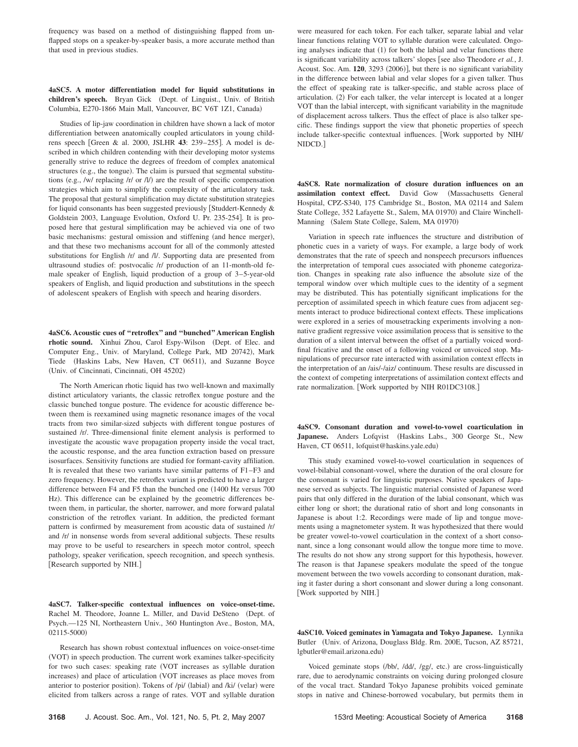frequency was based on a method of distinguishing flapped from unflapped stops on a speaker-by-speaker basis, a more accurate method than that used in previous studies.

## **4aSC5. A motor differentiation model for liquid substitutions in** children's speech. Bryan Gick (Dept. of Linguist., Univ. of British Columbia, E270-1866 Main Mall, Vancouver, BC V6T 1Z1, Canada)

Studies of lip-jaw coordination in children have shown a lack of motor differentiation between anatomically coupled articulators in young childrens speech [Green & al. 2000, JSLHR 43: 239-255]. A model is described in which children contending with their developing motor systems generally strive to reduce the degrees of freedom of complex anatomical structures (e.g., the tongue). The claim is pursued that segmental substitutions (e.g., /w/ replacing /r/ or  $\Lambda$ ) are the result of specific compensation strategies which aim to simplify the complexity of the articulatory task. The proposal that gestural simplification may dictate substitution strategies for liquid consonants has been suggested previously [Studdert-Kennedy  $\&$ Goldstein 2003, Language Evolution, Oxford U. Pr. 235-254]. It is proposed here that gestural simplification may be achieved via one of two basic mechanisms: gestural omission and stiffening (and hence merger), and that these two mechanisms account for all of the commonly attested substitutions for English /r/ and /l/. Supporting data are presented from ultrasound studies of: postvocalic /r/ production of an 11-month-old female speaker of English, liquid production of a group of 3–5-year-old speakers of English, and liquid production and substitutions in the speech of adolescent speakers of English with speech and hearing disorders.

**4aSC6. Acoustic cues of ''retroflex'' and ''bunched'' American English** rhotic sound. Xinhui Zhou, Carol Espy-Wilson (Dept. of Elec. and Computer Eng., Univ. of Maryland, College Park, MD 20742), Mark Tiede (Haskins Labs, New Haven, CT 06511), and Suzanne Boyce (Univ. of Cincinnati, Cincinnati, OH 45202)

The North American rhotic liquid has two well-known and maximally distinct articulatory variants, the classic retroflex tongue posture and the classic bunched tongue posture. The evidence for acoustic difference between them is reexamined using magnetic resonance images of the vocal tracts from two similar-sized subjects with different tongue postures of sustained /r/. Three-dimensional finite element analysis is performed to investigate the acoustic wave propagation property inside the vocal tract, the acoustic response, and the area function extraction based on pressure isosurfaces. Sensitivity functions are studied for formant-cavity affiliation. It is revealed that these two variants have similar patterns of F1–F3 and zero frequency. However, the retroflex variant is predicted to have a larger difference between F4 and F5 than the bunched one (1400 Hz versus 700) Hz). This difference can be explained by the geometric differences between them, in particular, the shorter, narrower, and more forward palatal constriction of the retroflex variant. In addition, the predicted formant pattern is confirmed by measurement from acoustic data of sustained /r/ and /r/ in nonsense words from several additional subjects. These results may prove to be useful to researchers in speech motor control, speech pathology, speaker verification, speech recognition, and speech synthesis. Research supported by NIH.

**4aSC7. Talker-specific contextual influences on voice-onset-time.** Rachel M. Theodore, Joanne L. Miller, and David DeSteno (Dept. of Psych.—125 NI, Northeastern Univ., 360 Huntington Ave., Boston, MA, 02115-5000)

Research has shown robust contextual influences on voice-onset-time (VOT) in speech production. The current work examines talker-specificity for two such cases: speaking rate VOT increases as syllable duration increases) and place of articulation (VOT increases as place moves from anterior to posterior position). Tokens of /pi/ (labial) and /ki/ (velar) were elicited from talkers across a range of rates. VOT and syllable duration

were measured for each token. For each talker, separate labial and velar linear functions relating VOT to syllable duration were calculated. Ongoing analyses indicate that (1) for both the labial and velar functions there is significant variability across talkers' slopes [see also Theodore *et al.*, J. Acoust. Soc. Am. 120, 3293 (2006)], but there is no significant variability in the difference between labial and velar slopes for a given talker. Thus the effect of speaking rate is talker-specific, and stable across place of articulation. (2) For each talker, the velar intercept is located at a longer VOT than the labial intercept, with significant variability in the magnitude of displacement across talkers. Thus the effect of place is also talker specific. These findings support the view that phonetic properties of speech include talker-specific contextual influences. Work supported by NIH/ NIDCD.

**4aSC8. Rate normalization of closure duration influences on an assimilation context effect.** David Gow Massachusetts General Hospital, CPZ-S340, 175 Cambridge St., Boston, MA 02114 and Salem State College, 352 Lafayette St., Salem, MA 01970) and Claire Winchell-Manning (Salem State College, Salem, MA 01970)

Variation in speech rate influences the structure and distribution of phonetic cues in a variety of ways. For example, a large body of work demonstrates that the rate of speech and nonspeech precursors influences the interpretation of temporal cues associated with phoneme categorization. Changes in speaking rate also influence the absolute size of the temporal window over which multiple cues to the identity of a segment may be distributed. This has potentially significant implications for the perception of assimilated speech in which feature cues from adjacent segments interact to produce bidirectional context effects. These implications were explored in a series of mousetracking experiments involving a nonnative gradient regressive voice assimilation process that is sensitive to the duration of a silent interval between the offset of a partially voiced wordfinal fricative and the onset of a following voiced or unvoiced stop. Manipulations of precursor rate interacted with assimilation context effects in the interpretation of an /ais/-/aiz/ continuum. These results are discussed in the context of competing interpretations of assimilation context effects and rate normalization. [Work supported by NIH R01DC3108.]

**4aSC9. Consonant duration and vowel-to-vowel coarticulation in** Japanese. Anders Lofqvist (Haskins Labs., 300 George St., New Haven, CT 06511, lofquist@haskins.yale.edu)

This study examined vowel-to-vowel coarticulation in sequences of vowel-bilabial consonant-vowel, where the duration of the oral closure for the consonant is varied for linguistic purposes. Native speakers of Japanese served as subjects. The linguistic material consisted of Japanese word pairs that only differed in the duration of the labial consonant, which was either long or short; the durational ratio of short and long consonants in Japanese is about 1:2. Recordings were made of lip and tongue movements using a magnetometer system. It was hypothesized that there would be greater vowel-to-vowel coarticulation in the context of a short consonant, since a long consonant would allow the tongue more time to move. The results do not show any strong support for this hypothesis, however. The reason is that Japanese speakers modulate the speed of the tongue movement between the two vowels according to consonant duration, making it faster during a short consonant and slower during a long consonant. Work supported by NIH.

**4aSC10. Voiced geminates in Yamagata and Tokyo Japanese.** Lynnika Butler Univ. of Arizona, Douglass Bldg. Rm. 200E, Tucson, AZ 85721, lgbutler@email.arizona.edu-

Voiced geminate stops (/bb/, /dd/, /gg/, etc.) are cross-linguistically rare, due to aerodynamic constraints on voicing during prolonged closure of the vocal tract. Standard Tokyo Japanese prohibits voiced geminate stops in native and Chinese-borrowed vocabulary, but permits them in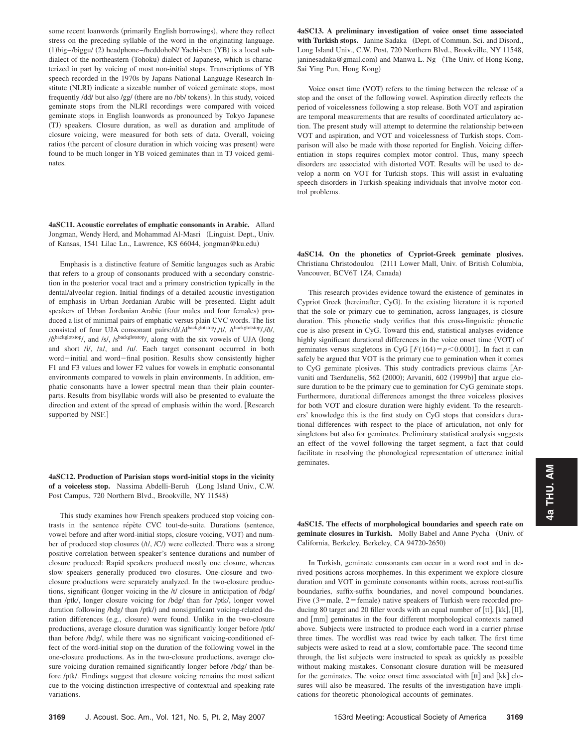some recent loanwords (primarily English borrowings), where they reflect stress on the preceding syllable of the word in the originating language. (1) big-/biggu/ (2) headphone-/heddohoN/ Yachi-ben (YB) is a local subdialect of the northeastern (Tohoku) dialect of Japanese, which is characterized in part by voicing of most non-initial stops. Transcriptions of YB speech recorded in the 1970s by Japans National Language Research Institute (NLRI) indicate a sizeable number of voiced geminate stops, most frequently /dd/ but also /gg/ (there are no /bb/ tokens). In this study, voiced geminate stops from the NLRI recordings were compared with voiced geminate stops in English loanwords as pronounced by Tokyo Japanese (TJ) speakers. Closure duration, as well as duration and amplitude of closure voicing, were measured for both sets of data. Overall, voicing ratios (the percent of closure duration in which voicing was present) were found to be much longer in YB voiced geminates than in TJ voiced geminates.

**4aSC11. Acoustic correlates of emphatic consonants in Arabic.** Allard Jongman, Wendy Herd, and Mohammad Al-Masri Linguist. Dept., Univ. of Kansas, 1541 Lilac Ln., Lawrence, KS 66044, jongman@ku.edu-

Emphasis is a distinctive feature of Semitic languages such as Arabic that refers to a group of consonants produced with a secondary constriction in the posterior vocal tract and a primary constriction typically in the dental/alveolar region. Initial findings of a detailed acoustic investigation of emphasis in Urban Jordanian Arabic will be presented. Eight adult speakers of Urban Jordanian Arabic (four males and four females) produced a list of minimal pairs of emphatic versus plain CVC words. The list consisted of four UJA consonant pairs:/d/,/dbackglotstop/,/t/, /tbackglotstop/,/ $\delta$ /,  $\delta$ <sup>backglotstop</sup>/, and /s/, /s<sup>backglotstop</sup>/, along with the six vowels of UJA (long and short /i/, /a/, and /u/. Each target consonant occurred in both word-initial and word-final position. Results show consistently higher F1 and F3 values and lower F2 values for vowels in emphatic consonantal environments compared to vowels in plain environments. In addition, emphatic consonants have a lower spectral mean than their plain counterparts. Results from bisyllabic words will also be presented to evaluate the direction and extent of the spread of emphasis within the word. [Research supported by NSF.]

**4aSC12. Production of Parisian stops word-initial stops in the vicinity** of a voiceless stop. Nassima Abdelli-Beruh (Long Island Univ., C.W. Post Campus, 720 Northern Blvd., Brookville, NY 11548)

This study examines how French speakers produced stop voicing contrasts in the sentence répète CVC tout-de-suite. Durations (sentence, vowel before and after word-initial stops, closure voicing, VOT) and number of produced stop closures (/t/, /C/) were collected. There was a strong positive correlation between speaker's sentence durations and number of closure produced: Rapid speakers produced mostly one closure, whereas slow speakers generally produced two closures. One-closure and twoclosure productions were separately analyzed. In the two-closure productions, significant (longer voicing in the /t/ closure in anticipation of /bdg/ than /ptk/, longer closure voicing for /bdg/ than for /ptk/, longer vowel duration following /bdg/ than /ptk/) and nonsignificant voicing-related duration differences (e.g., closure) were found. Unlike in the two-closure productions, average closure duration was significantly longer before /ptk/ than before /bdg/, while there was no significant voicing-conditioned effect of the word-initial stop on the duration of the following vowel in the one-closure productions. As in the two-closure productions, average closure voicing duration remained significantly longer before /bdg/ than before /ptk/. Findings suggest that closure voicing remains the most salient cue to the voicing distinction irrespective of contextual and speaking rate variations.

**4aSC13. A preliminary investigation of voice onset time associated** with Turkish stops. Janine Sadaka (Dept. of Commun. Sci. and Disord., Long Island Univ., C.W. Post, 720 Northern Blvd., Brookville, NY 11548, janinesadaka@gmail.com) and Manwa L. Ng (The Univ. of Hong Kong, Sai Ying Pun, Hong Kong)

Voice onset time (VOT) refers to the timing between the release of a stop and the onset of the following vowel. Aspiration directly reflects the period of voicelessness following a stop release. Both VOT and aspiration are temporal measurements that are results of coordinated articulatory action. The present study will attempt to determine the relationship between VOT and aspiration, and VOT and voicelessness of Turkish stops. Comparison will also be made with those reported for English. Voicing differentiation in stops requires complex motor control. Thus, many speech disorders are associated with distorted VOT. Results will be used to develop a norm on VOT for Turkish stops. This will assist in evaluating speech disorders in Turkish-speaking individuals that involve motor control problems.

**4aSC14. On the phonetics of Cypriot-Greek geminate plosives.** Christiana Christodoulou 2111 Lower Mall, Univ. of British Columbia, Vancouver, BCV6T 1Z4, Canada)

This research provides evidence toward the existence of geminates in Cypriot Greek (hereinafter, CyG). In the existing literature it is reported that the sole or primary cue to gemination, across languages, is closure duration. This phonetic study verifies that this cross-linguistic phonetic cue is also present in CyG. Toward this end, statistical analyses evidence highly significant durational differences in the voice onset time (VOT) of geminates versus singletons in CyG  $[F(164) = p < 0.0001]$ . In fact it can safely be argued that VOT is the primary cue to gemination when it comes to CyG geminate plosives. This study contradicts previous claims [Arvaniti and Tserdanelis, 562 (2000); Arvaniti, 602 (1999b)] that argue closure duration to be the primary cue to gemination for CyG geminate stops. Furthermore, durational differences amongst the three voiceless plosives for both VOT and closure duration were highly evident. To the researchers' knowledge this is the first study on CyG stops that considers durational differences with respect to the place of articulation, not only for singletons but also for geminates. Preliminary statistical analysis suggests an effect of the vowel following the target segment, a fact that could facilitate in resolving the phonological representation of utterance initial geminates.

**4aSC15. The effects of morphological boundaries and speech rate on** geminate closures in Turkish. Molly Babel and Anne Pycha (Univ. of California, Berkeley, Berkeley, CA 94720-2650)

In Turkish, geminate consonants can occur in a word root and in derived positions across morphemes. In this experiment we explore closure duration and VOT in geminate consonants within roots, across root-suffix boundaries, suffix-suffix boundaries, and novel compound boundaries. Five  $(3 =$ male,  $2 =$  female) native speakers of Turkish were recorded producing 80 target and 20 filler words with an equal number of  $\lceil \text{tt} \rceil$ ,  $\lceil \text{kk} \rceil$ ,  $\lceil \text{l} \rceil$ , and [mm] geminates in the four different morphological contexts named above. Subjects were instructed to produce each word in a carrier phrase three times. The wordlist was read twice by each talker. The first time subjects were asked to read at a slow, comfortable pace. The second time through, the list subjects were instructed to speak as quickly as possible without making mistakes. Consonant closure duration will be measured for the geminates. The voice onset time associated with  $[$ tt $]$  and  $[$ kk $]$  closures will also be measured. The results of the investigation have implications for theoretic phonological accounts of geminates.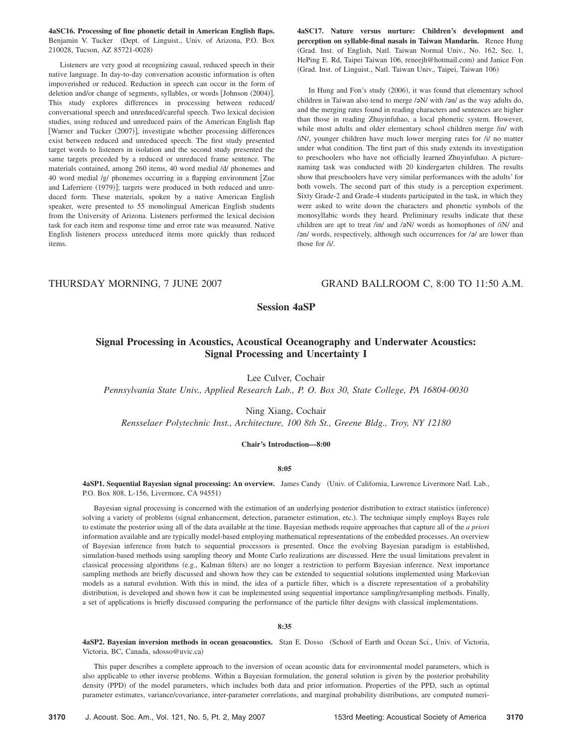**4aSC16. Processing of fine phonetic detail in American English flaps.** Benjamin V. Tucker (Dept. of Linguist., Univ. of Arizona, P.O. Box 210028, Tucson, AZ 85721-0028-

Listeners are very good at recognizing casual, reduced speech in their native language. In day-to-day conversation acoustic information is often impoverished or reduced. Reduction in speech can occur in the form of deletion and/or change of segments, syllables, or words [Johnson (2004)]. This study explores differences in processing between reduced/ conversational speech and unreduced/careful speech. Two lexical decision studies, using reduced and unreduced pairs of the American English flap [Warner and Tucker (2007)], investigate whether processing differences exist between reduced and unreduced speech. The first study presented target words to listeners in isolation and the second study presented the same targets preceded by a reduced or unreduced frame sentence. The materials contained, among 260 items, 40 word medial /d/ phonemes and 40 word medial /g/ phonemes occurring in a flapping environment Zue and Laferriere (1979)]; targets were produced in both reduced and unreduced form. These materials, spoken by a native American English speaker, were presented to 55 monolingual American English students from the University of Arizona. Listeners performed the lexical decision task for each item and response time and error rate was measured. Native English listeners process unreduced items more quickly than reduced items.

**4aSC17. Nature versus nurture: Children's development and perception on syllable-final nasals in Taiwan Mandarin.** Renee Hung Grad. Inst. of English, Natl. Taiwan Normal Univ., No. 162, Sec. 1, HePing E. Rd, Taipei Taiwan 106, reneejh@hotmail.com) and Janice Fon Grad. Inst. of Linguist., Natl. Taiwan Univ., Taipei, Taiwan 106-

In Hung and Fon's study (2006), it was found that elementary school children in Taiwan also tend to merge  $\sqrt{2}$  with  $\sqrt{2}$  as the way adults do, and the merging rates found in reading characters and sentences are higher than those in reading Zhuyinfuhao, a local phonetic system. However, while most adults and older elementary school children merge /in/ with /iN/, younger children have much lower merging rates for /i/ no matter under what condition. The first part of this study extends its investigation to preschoolers who have not officially learned Zhuyinfuhao. A picturenaming task was conducted with 20 kindergarten children. The results show that preschoolers have very similar performances with the adults' for both vowels. The second part of this study is a perception experiment. Sixty Grade-2 and Grade-4 students participated in the task, in which they were asked to write down the characters and phonetic symbols of the monosyllabic words they heard. Preliminary results indicate that these children are apt to treat /in/ and / $\sigma$ N/ words as homophones of /iN/ and / $\mathsf{and}$  words, respectively, although such occurrences for / $\mathsf{and}$  are lower than those for /i/.

## THURSDAY MORNING, 7 JUNE 2007 GRAND BALLROOM C, 8:00 TO 11:50 A.M.

# **Session 4aSP**

# **Signal Processing in Acoustics, Acoustical Oceanography and Underwater Acoustics: Signal Processing and Uncertainty I**

Lee Culver, Cochair

*Pennsylvania State Univ., Applied Research Lab., P. O. Box 30, State College, PA 16804-0030*

Ning Xiang, Cochair

*Rensselaer Polytechnic Inst., Architecture, 100 8th St., Greene Bldg., Troy, NY 12180*

## **Chair's Introduction—8:00**

**8:05**

**4aSP1. Sequential Bayesian signal processing: An overview.** James Candy Univ. of California, Lawrence Livermore Natl. Lab., P.O. Box 808, L-156, Livermore, CA 94551)

Bayesian signal processing is concerned with the estimation of an underlying posterior distribution to extract statistics (inference) solving a variety of problems (signal enhancement, detection, parameter estimation, etc.). The technique simply employs Bayes rule to estimate the posterior using all of the data available at the time. Bayesian methods require approaches that capture all of the *a priori* information available and are typically model-based employing mathematical representations of the embedded processes. An overview of Bayesian inference from batch to sequential processors is presented. Once the evolving Bayesian paradigm is established, simulation-based methods using sampling theory and Monte Carlo realizations are discussed. Here the usual limitations prevalent in classical processing algorithms (e.g., Kalman filters) are no longer a restriction to perform Bayesian inference. Next importance sampling methods are briefly discussed and shown how they can be extended to sequential solutions implemented using Markovian models as a natural evolution. With this in mind, the idea of a particle filter, which is a discrete representation of a probability distribution, is developed and shown how it can be implemented using sequential importance sampling/resampling methods. Finally, a set of applications is briefly discussed comparing the performance of the particle filter designs with classical implementations.

## **8:35**

4aSP2. Bayesian inversion methods in ocean geoacoustics. Stan E. Dosso (School of Earth and Ocean Sci., Univ. of Victoria, Victoria, BC, Canada, sdosso@uvic.ca)

This paper describes a complete approach to the inversion of ocean acoustic data for environmental model parameters, which is also applicable to other inverse problems. Within a Bayesian formulation, the general solution is given by the posterior probability density (PPD) of the model parameters, which includes both data and prior information. Properties of the PPD, such as optimal parameter estimates, variance/covariance, inter-parameter correlations, and marginal probability distributions, are computed numeri-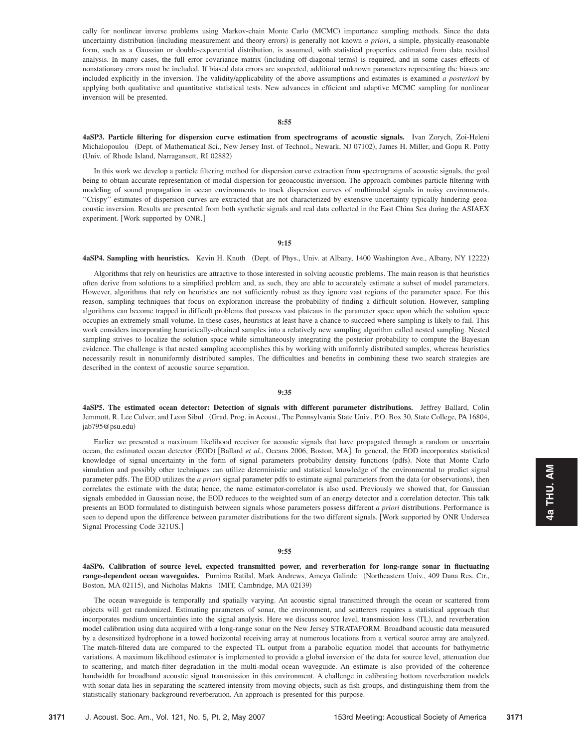cally for nonlinear inverse problems using Markov-chain Monte Carlo (MCMC) importance sampling methods. Since the data uncertainty distribution (including measurement and theory errors) is generally not known *a priori*, a simple, physically-reasonable form, such as a Gaussian or double-exponential distribution, is assumed, with statistical properties estimated from data residual analysis. In many cases, the full error covariance matrix (including off-diagonal terms) is required, and in some cases effects of nonstationary errors must be included. If biased data errors are suspected, additional unknown parameters representing the biases are included explicitly in the inversion. The validity/applicability of the above assumptions and estimates is examined *a posteriori* by applying both qualitative and quantitative statistical tests. New advances in efficient and adaptive MCMC sampling for nonlinear inversion will be presented.

**8:55**

**4aSP3. Particle filtering for dispersion curve estimation from spectrograms of acoustic signals.** Ivan Zorych, Zoi-Heleni Michalopoulou (Dept. of Mathematical Sci., New Jersey Inst. of Technol., Newark, NJ 07102), James H. Miller, and Gopu R. Potty (Univ. of Rhode Island, Narragansett, RI 02882)

In this work we develop a particle filtering method for dispersion curve extraction from spectrograms of acoustic signals, the goal being to obtain accurate representation of modal dispersion for geoacoustic inversion. The approach combines particle filtering with modeling of sound propagation in ocean environments to track dispersion curves of multimodal signals in noisy environments. ''Crispy'' estimates of dispersion curves are extracted that are not characterized by extensive uncertainty typically hindering geoacoustic inversion. Results are presented from both synthetic signals and real data collected in the East China Sea during the ASIAEX experiment. [Work supported by ONR.]

## **9:15**

#### **4aSP4. Sampling with heuristics.** Kevin H. Knuth (Dept. of Phys., Univ. at Albany, 1400 Washington Ave., Albany, NY 12222)

Algorithms that rely on heuristics are attractive to those interested in solving acoustic problems. The main reason is that heuristics often derive from solutions to a simplified problem and, as such, they are able to accurately estimate a subset of model parameters. However, algorithms that rely on heuristics are not sufficiently robust as they ignore vast regions of the parameter space. For this reason, sampling techniques that focus on exploration increase the probability of finding a difficult solution. However, sampling algorithms can become trapped in difficult problems that possess vast plateaus in the parameter space upon which the solution space occupies an extremely small volume. In these cases, heuristics at least have a chance to succeed where sampling is likely to fail. This work considers incorporating heuristically-obtained samples into a relatively new sampling algorithm called nested sampling. Nested sampling strives to localize the solution space while simultaneously integrating the posterior probability to compute the Bayesian evidence. The challenge is that nested sampling accomplishes this by working with uniformly distributed samples, whereas heuristics necessarily result in nonuniformly distributed samples. The difficulties and benefits in combining these two search strategies are described in the context of acoustic source separation.

## **9:35**

**4aSP5. The estimated ocean detector: Detection of signals with different parameter distributions.** Jeffrey Ballard, Colin Jemmott, R. Lee Culver, and Leon Sibul Grad. Prog. in Acoust., The Pennsylvania State Univ., P.O. Box 30, State College, PA 16804, jab795@psu.edu)

Earlier we presented a maximum likelihood receiver for acoustic signals that have propagated through a random or uncertain ocean, the estimated ocean detector (EOD) [Ballard *et al.*, Oceans 2006, Boston, MA]. In general, the EOD incorporates statistical knowledge of signal uncertainty in the form of signal parameters probability density functions (pdfs). Note that Monte Carlo simulation and possibly other techniques can utilize deterministic and statistical knowledge of the environmental to predict signal parameter pdfs. The EOD utilizes the *a priori* signal parameter pdfs to estimate signal parameters from the data (or observations), then correlates the estimate with the data; hence, the name estimator-correlator is also used. Previously we showed that, for Gaussian signals embedded in Gaussian noise, the EOD reduces to the weighted sum of an energy detector and a correlation detector. This talk presents an EOD formulated to distinguish between signals whose parameters possess different *a priori* distributions. Performance is seen to depend upon the difference between parameter distributions for the two different signals. Work supported by ONR Undersea Signal Processing Code 321US.

### **9:55**

**4aSP6. Calibration of source level, expected transmitted power, and reverberation for long-range sonar in fluctuating range-dependent ocean waveguides.** Purnima Ratilal, Mark Andrews, Ameya Galinde Northeastern Univ., 409 Dana Res. Ctr., Boston, MA 02115), and Nicholas Makris (MIT, Cambridge, MA 02139)

The ocean waveguide is temporally and spatially varying. An acoustic signal transmitted through the ocean or scattered from objects will get randomized. Estimating parameters of sonar, the environment, and scatterers requires a statistical approach that incorporates medium uncertainties into the signal analysis. Here we discuss source level, transmission loss (TL), and reverberation model calibration using data acquired with a long-range sonar on the New Jersey STRATAFORM. Broadband acoustic data measured by a desensitized hydrophone in a towed horizontal receiving array at numerous locations from a vertical source array are analyzed. The match-filtered data are compared to the expected TL output from a parabolic equation model that accounts for bathymetric variations. A maximum likelihood estimator is implemented to provide a global inversion of the data for source level, attenuation due to scattering, and match-filter degradation in the multi-modal ocean waveguide. An estimate is also provided of the coherence bandwidth for broadband acoustic signal transmission in this environment. A challenge in calibrating bottom reverberation models with sonar data lies in separating the scattered intensity from moving objects, such as fish groups, and distinguishing them from the statistically stationary background reverberation. An approach is presented for this purpose.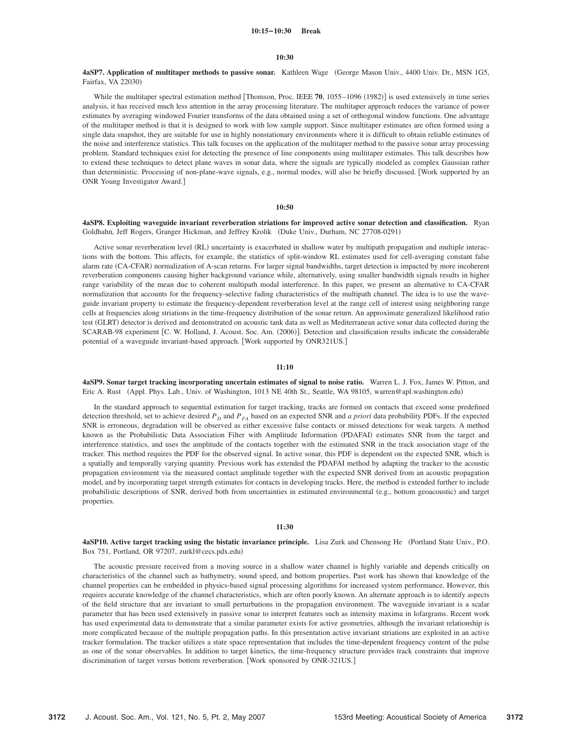#### **10:30**

**4aSP7. Application of multitaper methods to passive sonar.** Kathleen Wage George Mason Univ., 4400 Univ. Dr., MSN 1G5, Fairfax, VA 22030)

While the multitaper spectral estimation method [Thomson, Proc. IEEE 70, 1055–1096 (1982)] is used extensively in time series analysis, it has received much less attention in the array processing literature. The multitaper approach reduces the variance of power estimates by averaging windowed Fourier transforms of the data obtained using a set of orthogonal window functions. One advantage of the multitaper method is that it is designed to work with low sample support. Since multitaper estimates are often formed using a single data snapshot, they are suitable for use in highly nonstationary environments where it is difficult to obtain reliable estimates of the noise and interference statistics. This talk focuses on the application of the multitaper method to the passive sonar array processing problem. Standard techniques exist for detecting the presence of line components using multitaper estimates. This talk describes how to extend these techniques to detect plane waves in sonar data, where the signals are typically modeled as complex Gaussian rather than deterministic. Processing of non-plane-wave signals, e.g., normal modes, will also be briefly discussed. Work supported by an ONR Young Investigator Award.

## **10:50**

**4aSP8. Exploiting waveguide invariant reverberation striations for improved active sonar detection and classification.** Ryan Goldhahn, Jeff Rogers, Granger Hickman, and Jeffrey Krolik (Duke Univ., Durham, NC 27708-0291)

Active sonar reverberation level (RL) uncertainty is exacerbated in shallow water by multipath propagation and multiple interactions with the bottom. This affects, for example, the statistics of split-window RL estimates used for cell-averaging constant false alarm rate (CA-CFAR) normalization of A-scan returns. For larger signal bandwidths, target detection is impacted by more incoherent reverberation components causing higher background variance while, alternatively, using smaller bandwidth signals results in higher range variability of the mean due to coherent multipath modal interference. In this paper, we present an alternative to CA-CFAR normalization that accounts for the frequency-selective fading characteristics of the multipath channel. The idea is to use the waveguide invariant property to estimate the frequency-dependent reverberation level at the range cell of interest using neighboring range cells at frequencies along striations in the time-frequency distribution of the sonar return. An approximate generalized likelihood ratio test (GLRT) detector is derived and demonstrated on acoustic tank data as well as Mediterranean active sonar data collected during the SCARAB-98 experiment [C. W. Holland, J. Acoust. Soc. Am. (2006)]. Detection and classification results indicate the considerable potential of a waveguide invariant-based approach. Work supported by ONR321US.

## **11:10**

**4aSP9. Sonar target tracking incorporating uncertain estimates of signal to noise ratio.** Warren L. J. Fox, James W. Pitton, and Eric A. Rust (Appl. Phys. Lab., Univ. of Washington, 1013 NE 40th St., Seattle, WA 98105, warren@apl.washington.edu)

In the standard approach to sequential estimation for target tracking, tracks are formed on contacts that exceed some predefined detection threshold, set to achieve desired  $P<sub>D</sub>$  and  $P<sub>FA</sub>$  based on an expected SNR and *a priori* data probability PDFs. If the expected SNR is erroneous, degradation will be observed as either excessive false contacts or missed detections for weak targets. A method known as the Probabilistic Data Association Filter with Amplitude Information (PDAFAI) estimates SNR from the target and interference statistics, and uses the amplitude of the contacts together with the estimated SNR in the track association stage of the tracker. This method requires the PDF for the observed signal. In active sonar, this PDF is dependent on the expected SNR, which is a spatially and temporally varying quantity. Previous work has extended the PDAFAI method by adapting the tracker to the acoustic propagation environment via the measured contact amplitude together with the expected SNR derived from an acoustic propagation model, and by incorporating target strength estimates for contacts in developing tracks. Here, the method is extended further to include probabilistic descriptions of SNR, derived both from uncertainties in estimated environmental (e.g., bottom geoacoustic) and target properties.

## **11:30**

**4aSP10. Active target tracking using the bistatic invariance principle.** Lisa Zurk and Chensong He Portland State Univ., P.O. Box 751, Portland, OR 97207, zurkl@cecs.pdx.edu-

The acoustic pressure received from a moving source in a shallow water channel is highly variable and depends critically on characteristics of the channel such as bathymetry, sound speed, and bottom properties. Past work has shown that knowledge of the channel properties can be embedded in physics-based signal processing algorithms for increased system performance. However, this requires accurate knowledge of the channel characteristics, which are often poorly known. An alternate approach is to identify aspects of the field structure that are invariant to small perturbations in the propagation environment. The waveguide invariant is a scalar parameter that has been used extensively in passive sonar to interpret features such as intensity maxima in lofargrams. Recent work has used experimental data to demonstrate that a similar parameter exists for active geometries, although the invariant relationship is more complicated because of the multiple propagation paths. In this presentation active invariant striations are exploited in an active tracker formulation. The tracker utilizes a state space representation that includes the time-dependent frequency content of the pulse as one of the sonar observables. In addition to target kinetics, the time-frequency structure provides track constraints that improve discrimination of target versus bottom reverberation. [Work sponsored by ONR-321US.]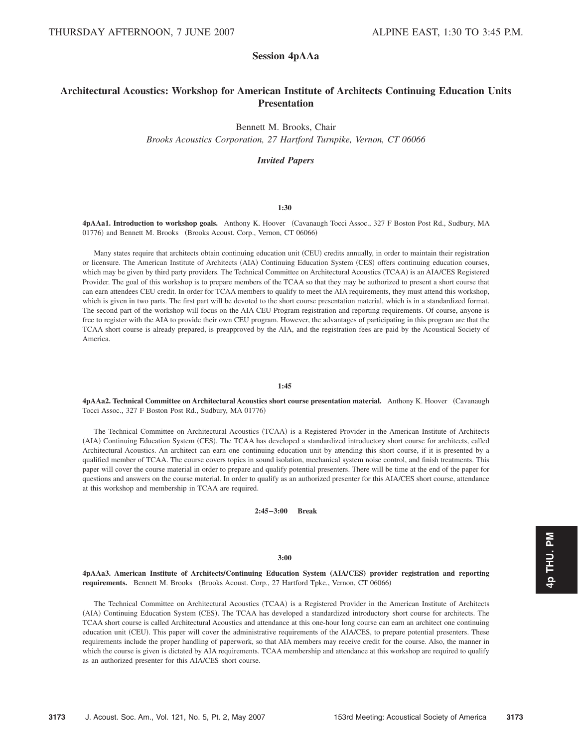# **Session 4pAAa**

# **Architectural Acoustics: Workshop for American Institute of Architects Continuing Education Units Presentation**

Bennett M. Brooks, Chair

*Brooks Acoustics Corporation, 27 Hartford Turnpike, Vernon, CT 06066*

## *Invited Papers*

## **1:30**

**4pAAa1. Introduction to workshop goals.** Anthony K. Hoover Cavanaugh Tocci Assoc., 327 F Boston Post Rd., Sudbury, MA 01776) and Bennett M. Brooks (Brooks Acoust. Corp., Vernon, CT 06066)

Many states require that architects obtain continuing education unit (CEU) credits annually, in order to maintain their registration or licensure. The American Institute of Architects (AIA) Continuing Education System (CES) offers continuing education courses, which may be given by third party providers. The Technical Committee on Architectural Acoustics (TCAA) is an AIA/CES Registered Provider. The goal of this workshop is to prepare members of the TCAA so that they may be authorized to present a short course that can earn attendees CEU credit. In order for TCAA members to qualify to meet the AIA requirements, they must attend this workshop, which is given in two parts. The first part will be devoted to the short course presentation material, which is in a standardized format. The second part of the workshop will focus on the AIA CEU Program registration and reporting requirements. Of course, anyone is free to register with the AIA to provide their own CEU program. However, the advantages of participating in this program are that the TCAA short course is already prepared, is preapproved by the AIA, and the registration fees are paid by the Acoustical Society of America.

#### **1:45**

**4pAAa2. Technical Committee on Architectural Acoustics short course presentation material.** Anthony K. Hoover Cavanaugh Tocci Assoc., 327 F Boston Post Rd., Sudbury, MA 01776-

The Technical Committee on Architectural Acoustics (TCAA) is a Registered Provider in the American Institute of Architects (AIA) Continuing Education System (CES). The TCAA has developed a standardized introductory short course for architects, called Architectural Acoustics. An architect can earn one continuing education unit by attending this short course, if it is presented by a qualified member of TCAA. The course covers topics in sound isolation, mechanical system noise control, and finish treatments. This paper will cover the course material in order to prepare and qualify potential presenters. There will be time at the end of the paper for questions and answers on the course material. In order to qualify as an authorized presenter for this AIA/CES short course, attendance at this workshop and membership in TCAA are required.

**2:45–3:00 Break**

#### **3:00**

**4pAAa3. American Institute of ArchitectsÕContinuing Education System** "**AIAÕCES**… **provider registration and reporting** requirements. Bennett M. Brooks (Brooks Acoust. Corp., 27 Hartford Tpke., Vernon, CT 06066)

The Technical Committee on Architectural Acoustics (TCAA) is a Registered Provider in the American Institute of Architects (AIA) Continuing Education System (CES). The TCAA has developed a standardized introductory short course for architects. The TCAA short course is called Architectural Acoustics and attendance at this one-hour long course can earn an architect one continuing education unit (CEU). This paper will cover the administrative requirements of the AIA/CES, to prepare potential presenters. These requirements include the proper handling of paperwork, so that AIA members may receive credit for the course. Also, the manner in which the course is given is dictated by AIA requirements. TCAA membership and attendance at this workshop are required to qualify as an authorized presenter for this AIA/CES short course.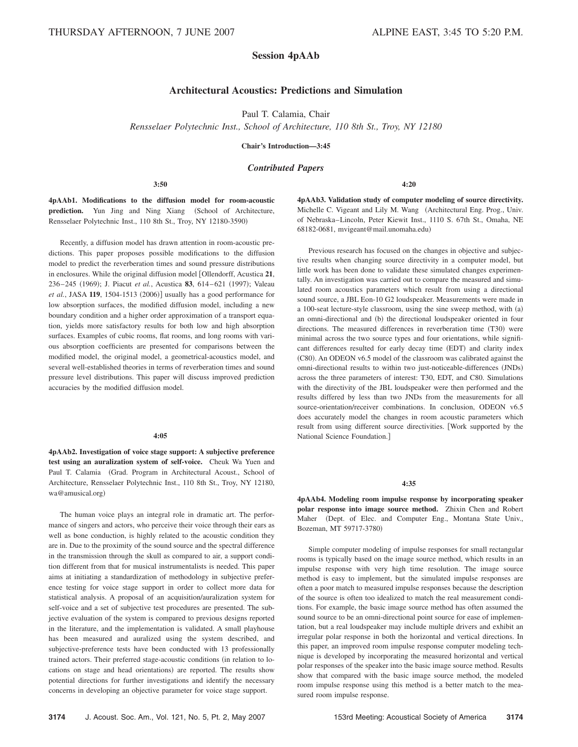## **Session 4pAAb**

# **Architectural Acoustics: Predictions and Simulation**

Paul T. Calamia, Chair

*Rensselaer Polytechnic Inst., School of Architecture, 110 8th St., Troy, NY 12180*

**Chair's Introduction—3:45**

## *Contributed Papers*

## **3:50**

**4pAAb1. Modifications to the diffusion model for room-acoustic** prediction. Yun Jing and Ning Xiang (School of Architecture, Rensselaer Polytechnic Inst., 110 8th St., Troy, NY 12180-3590-

Recently, a diffusion model has drawn attention in room-acoustic predictions. This paper proposes possible modifications to the diffusion model to predict the reverberation times and sound pressure distributions in enclosures. While the original diffusion model Ollendorff, Acustica **21**, 236-245 (1969); J. Piacut *et al.*, Acustica 83, 614-621 (1997); Valeau *et al.*, JASA 119, 1504-1513 (2006)] usually has a good performance for low absorption surfaces, the modified diffusion model, including a new boundary condition and a higher order approximation of a transport equation, yields more satisfactory results for both low and high absorption surfaces. Examples of cubic rooms, flat rooms, and long rooms with various absorption coefficients are presented for comparisons between the modified model, the original model, a geometrical-acoustics model, and several well-established theories in terms of reverberation times and sound pressure level distributions. This paper will discuss improved prediction accuracies by the modified diffusion model.

#### **4:05**

**4pAAb2. Investigation of voice stage support: A subjective preference test using an auralization system of self-voice.** Cheuk Wa Yuen and Paul T. Calamia Grad. Program in Architectural Acoust., School of Architecture, Rensselaer Polytechnic Inst., 110 8th St., Troy, NY 12180, wa@amusical.org)

The human voice plays an integral role in dramatic art. The performance of singers and actors, who perceive their voice through their ears as well as bone conduction, is highly related to the acoustic condition they are in. Due to the proximity of the sound source and the spectral difference in the transmission through the skull as compared to air, a support condition different from that for musical instrumentalists is needed. This paper aims at initiating a standardization of methodology in subjective preference testing for voice stage support in order to collect more data for statistical analysis. A proposal of an acquisition/auralization system for self-voice and a set of subjective test procedures are presented. The subjective evaluation of the system is compared to previous designs reported in the literature, and the implementation is validated. A small playhouse has been measured and auralized using the system described, and subjective-preference tests have been conducted with 13 professionally trained actors. Their preferred stage-acoustic conditions (in relation to locations on stage and head orientations) are reported. The results show potential directions for further investigations and identify the necessary concerns in developing an objective parameter for voice stage support.

**4pAAb3. Validation study of computer modeling of source directivity.** Michelle C. Vigeant and Lily M. Wang (Architectural Eng. Prog., Univ. of Nebraska–Lincoln, Peter Kiewit Inst., 1110 S. 67th St., Omaha, NE 68182-0681, mvigeant@mail.unomaha.edu-

**4:20**

Previous research has focused on the changes in objective and subjective results when changing source directivity in a computer model, but little work has been done to validate these simulated changes experimentally. An investigation was carried out to compare the measured and simulated room acoustics parameters which result from using a directional sound source, a JBL Eon-10 G2 loudspeaker. Measurements were made in a 100-seat lecture-style classroom, using the sine sweep method, with (a) an omni-directional and (b) the directional loudspeaker oriented in four directions. The measured differences in reverberation time (T30) were minimal across the two source types and four orientations, while significant differences resulted for early decay time (EDT) and clarity index (C80). An ODEON v6.5 model of the classroom was calibrated against the omni-directional results to within two just-noticeable-differences (JNDs) across the three parameters of interest: T30, EDT, and C80. Simulations with the directivity of the JBL loudspeaker were then performed and the results differed by less than two JNDs from the measurements for all source-orientation/receiver combinations. In conclusion, ODEON v6.5 does accurately model the changes in room acoustic parameters which result from using different source directivities. Work supported by the National Science Foundation.

#### **4:35**

**4pAAb4. Modeling room impulse response by incorporating speaker polar response into image source method.** Zhixin Chen and Robert Maher (Dept. of Elec. and Computer Eng., Montana State Univ., Bozeman, MT 59717-3780-

Simple computer modeling of impulse responses for small rectangular rooms is typically based on the image source method, which results in an impulse response with very high time resolution. The image source method is easy to implement, but the simulated impulse responses are often a poor match to measured impulse responses because the description of the source is often too idealized to match the real measurement conditions. For example, the basic image source method has often assumed the sound source to be an omni-directional point source for ease of implementation, but a real loudspeaker may include multiple drivers and exhibit an irregular polar response in both the horizontal and vertical directions. In this paper, an improved room impulse response computer modeling technique is developed by incorporating the measured horizontal and vertical polar responses of the speaker into the basic image source method. Results show that compared with the basic image source method, the modeled room impulse response using this method is a better match to the measured room impulse response.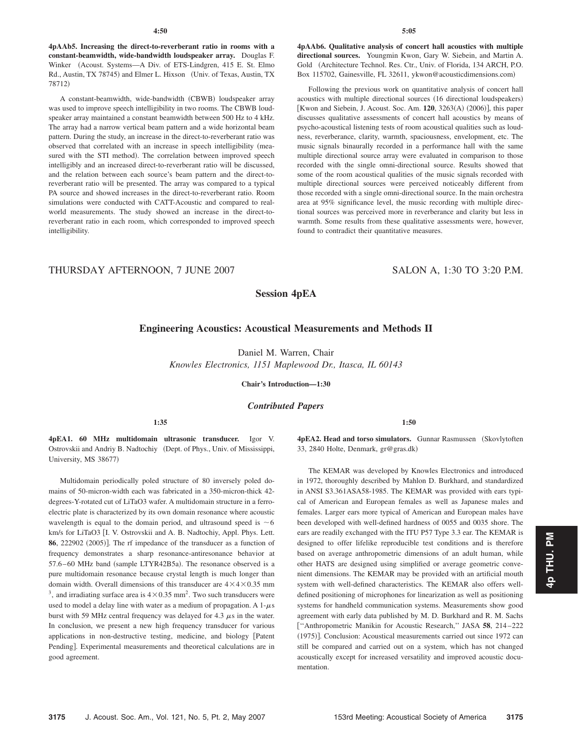**4pAAb5. Increasing the direct-to-reverberant ratio in rooms with a constant-beamwidth, wide-bandwidth loudspeaker array.** Douglas F. Winker (Acoust. Systems—A Div. of ETS-Lindgren, 415 E. St. Elmo Rd., Austin, TX 78745) and Elmer L. Hixson (Univ. of Texas, Austin, TX 78712-

A constant-beamwidth, wide-bandwidth (CBWB) loudspeaker array was used to improve speech intelligibility in two rooms. The CBWB loudspeaker array maintained a constant beamwidth between 500 Hz to 4 kHz. The array had a narrow vertical beam pattern and a wide horizontal beam pattern. During the study, an increase in the direct-to-reverberant ratio was observed that correlated with an increase in speech intelligibility measured with the STI method). The correlation between improved speech intelligibly and an increased direct-to-reverberant ratio will be discussed, and the relation between each source's beam pattern and the direct-toreverberant ratio will be presented. The array was compared to a typical PA source and showed increases in the direct-to-reverberant ratio. Room simulations were conducted with CATT-Acoustic and compared to realworld measurements. The study showed an increase in the direct-toreverberant ratio in each room, which corresponded to improved speech intelligibility.

**4pAAb6. Qualitative analysis of concert hall acoustics with multiple directional sources.** Youngmin Kwon, Gary W. Siebein, and Martin A. Gold Architecture Technol. Res. Ctr., Univ. of Florida, 134 ARCH, P.O. Box 115702, Gainesville, FL 32611, ykwon@acousticdimensions.com)

Following the previous work on quantitative analysis of concert hall acoustics with multiple directional sources (16 directional loudspeakers) [Kwon and Siebein, J. Acoust. Soc. Am. 120, 3263(A) (2006)], this paper discusses qualitative assessments of concert hall acoustics by means of psycho-acoustical listening tests of room acoustical qualities such as loudness, reverberance, clarity, warmth, spaciousness, envelopment, etc. The music signals binaurally recorded in a performance hall with the same multiple directional source array were evaluated in comparison to those recorded with the single omni-directional source. Results showed that some of the room acoustical qualities of the music signals recorded with multiple directional sources were perceived noticeably different from those recorded with a single omni-directional source. In the main orchestra area at 95% significance level, the music recording with multiple directional sources was perceived more in reverberance and clarity but less in warmth. Some results from these qualitative assessments were, however, found to contradict their quantitative measures.

# THURSDAY AFTERNOON, 7 JUNE 2007 SALON A, 1:30 TO 3:20 P.M.

## **Session 4pEA**

## **Engineering Acoustics: Acoustical Measurements and Methods II**

Daniel M. Warren, Chair

*Knowles Electronics, 1151 Maplewood Dr., Itasca, IL 60143*

**Chair's Introduction—1:30**

*Contributed Papers*

**1:50**

**4pEA1. 60 MHz multidomain ultrasonic transducer.** Igor V. Ostrovskii and Andriy B. Nadtochiy (Dept. of Phys., Univ. of Mississippi, University, MS 38677)

**1:35**

Multidomain periodically poled structure of 80 inversely poled domains of 50-micron-width each was fabricated in a 350-micron-thick 42 degrees-Y-rotated cut of LiTaO3 wafer. A multidomain structure in a ferroelectric plate is characterized by its own domain resonance where acoustic wavelength is equal to the domain period, and ultrasound speed is  $\sim$  6 km/s for LiTaO3 [I. V. Ostrovskii and A. B. Nadtochiy, Appl. Phys. Lett. **86**, 222902 (2005)]. The rf impedance of the transducer as a function of frequency demonstrates a sharp resonance-antiresonance behavior at 57.6-60 MHz band (sample LTYR42B5a). The resonance observed is a pure multidomain resonance because crystal length is much longer than domain width. Overall dimensions of this transducer are  $4 \times 4 \times 0.35$  mm <sup>3</sup>, and irradiating surface area is  $4 \times 0.35$  mm<sup>2</sup>. Two such transducers were used to model a delay line with water as a medium of propagation. A  $1-\mu s$ burst with 59 MHz central frequency was delayed for 4.3  $\mu$ s in the water. In conclusion, we present a new high frequency transducer for various applications in non-destructive testing, medicine, and biology Patent Pending]. Experimental measurements and theoretical calculations are in good agreement.

**4pEA2. Head and torso simulators.** Gunnar Rasmussen (Skovlytoften 33, 2840 Holte, Denmark, gr@gras.dk-

The KEMAR was developed by Knowles Electronics and introduced in 1972, thoroughly described by Mahlon D. Burkhard, and standardized in ANSI S3.361ASA58-1985. The KEMAR was provided with ears typical of American and European females as well as Japanese males and females. Larger ears more typical of American and European males have been developed with well-defined hardness of 0055 and 0035 shore. The ears are readily exchanged with the ITU P57 Type 3.3 ear. The KEMAR is designed to offer lifelike reproducible test conditions and is therefore based on average anthropometric dimensions of an adult human, while other HATS are designed using simplified or average geometric convenient dimensions. The KEMAR may be provided with an artificial mouth system with well-defined characteristics. The KEMAR also offers welldefined positioning of microphones for linearization as well as positioning systems for handheld communication systems. Measurements show good agreement with early data published by M. D. Burkhard and R. M. Sachs ''Anthropometric Manikin for Acoustic Research,'' JASA **58**, 214 –222 (1975)]. Conclusion: Acoustical measurements carried out since 1972 can still be compared and carried out on a system, which has not changed acoustically except for increased versatility and improved acoustic documentation.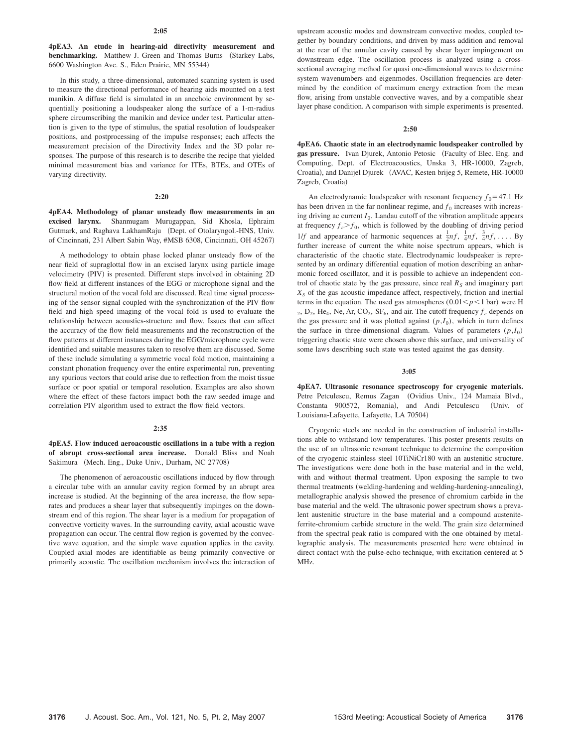**4pEA3. An etude in hearing-aid directivity measurement and benchmarking.** Matthew J. Green and Thomas Burns (Starkey Labs, 6600 Washington Ave. S., Eden Prairie, MN 55344)

In this study, a three-dimensional, automated scanning system is used to measure the directional performance of hearing aids mounted on a test manikin. A diffuse field is simulated in an anechoic environment by sequentially positioning a loudspeaker along the surface of a 1-m-radius sphere circumscribing the manikin and device under test. Particular attention is given to the type of stimulus, the spatial resolution of loudspeaker positions, and postprocessing of the impulse responses; each affects the measurement precision of the Directivity Index and the 3D polar responses. The purpose of this research is to describe the recipe that yielded minimal measurement bias and variance for ITEs, BTEs, and OTEs of varying directivity.

#### **2:20**

**4pEA4. Methodology of planar unsteady flow measurements in an excised larynx.** Shanmugam Murugappan, Sid Khosla, Ephraim Gutmark, and Raghava LakhamRaju (Dept. of Otolaryngol.-HNS, Univ. of Cincinnati, 231 Albert Sabin Way, #MSB 6308, Cincinnati, OH 45267-

A methodology to obtain phase locked planar unsteady flow of the near field of supraglottal flow in an excised larynx using particle image velocimetry (PIV) is presented. Different steps involved in obtaining 2D flow field at different instances of the EGG or microphone signal and the structural motion of the vocal fold are discussed. Real time signal processing of the sensor signal coupled with the synchronization of the PIV flow field and high speed imaging of the vocal fold is used to evaluate the relationship between acoustics-structure and flow. Issues that can affect the accuracy of the flow field measurements and the reconstruction of the flow patterns at different instances during the EGG/microphone cycle were identified and suitable measures taken to resolve them are discussed. Some of these include simulating a symmetric vocal fold motion, maintaining a constant phonation frequency over the entire experimental run, preventing any spurious vectors that could arise due to reflection from the moist tissue surface or poor spatial or temporal resolution. Examples are also shown where the effect of these factors impact both the raw seeded image and correlation PIV algorithm used to extract the flow field vectors.

#### **2:35**

**4pEA5. Flow induced aeroacoustic oscillations in a tube with a region of abrupt cross-sectional area increase.** Donald Bliss and Noah Sakimura (Mech. Eng., Duke Univ., Durham, NC 27708)

The phenomenon of aeroacoustic oscillations induced by flow through a circular tube with an annular cavity region formed by an abrupt area increase is studied. At the beginning of the area increase, the flow separates and produces a shear layer that subsequently impinges on the downstream end of this region. The shear layer is a medium for propagation of convective vorticity waves. In the surrounding cavity, axial acoustic wave propagation can occur. The central flow region is governed by the convective wave equation, and the simple wave equation applies in the cavity. Coupled axial modes are identifiable as being primarily convective or primarily acoustic. The oscillation mechanism involves the interaction of upstream acoustic modes and downstream convective modes, coupled together by boundary conditions, and driven by mass addition and removal at the rear of the annular cavity caused by shear layer impingement on downstream edge. The oscillation process is analyzed using a crosssectional averaging method for quasi one-dimensional waves to determine system wavenumbers and eigenmodes. Oscillation frequencies are determined by the condition of maximum energy extraction from the mean flow, arising from unstable convective waves, and by a compatible shear layer phase condition. A comparison with simple experiments is presented.

#### **2:50**

**4pEA6. Chaotic state in an electrodynamic loudspeaker controlled by** gas pressure. Ivan Djurek, Antonio Petosic (Faculty of Elec. Eng. and Computing, Dept. of Electroacoustics, Unska 3, HR-10000, Zagreb, Croatia), and Danijel Djurek (AVAC, Kesten brijeg 5, Remete, HR-10000 Zagreb, Croatia)

An electrodynamic loudspeaker with resonant frequency  $f_0 = 47.1$  Hz has been driven in the far nonlinear regime, and  $f_0$  increases with increasing driving ac current  $I_0$ . Landau cutoff of the vibration amplitude appears at frequency  $f_c$   $>f_0$ , which is followed by the doubling of driving period 1/*f* and appearance of harmonic sequences at  $\frac{1}{2}nf$ ,  $\frac{1}{4}nf$ ,  $\frac{3}{4}nf$ , .... By further increase of current the white noise spectrum appears, which is characteristic of the chaotic state. Electrodynamic loudspeaker is represented by an ordinary differential equation of motion describing an anharmonic forced oscillator, and it is possible to achieve an independent control of chaotic state by the gas pressure, since real  $R<sub>S</sub>$  and imaginary part  $X<sub>S</sub>$  of the gas acoustic impedance affect, respectively, friction and inertial terms in the equation. The used gas atmospheres  $(0.01 \le p \le 1$  bar) were H  $_2$ ,  $D_2$ , He<sub>4</sub>, Ne, Ar, CO<sub>2</sub>, SF<sub>6</sub>, and air. The cutoff frequency  $f_c$  depends on the gas pressure and it was plotted against  $(p, I_0)$ , which in turn defines the surface in three-dimensional diagram. Values of parameters  $(p, I_0)$ triggering chaotic state were chosen above this surface, and universality of some laws describing such state was tested against the gas density.

## **3:05**

**4pEA7. Ultrasonic resonance spectroscopy for cryogenic materials.** Petre Petculescu, Remus Zagan (Ovidius Univ., 124 Mamaia Blvd., Constanta 900572, Romania), and Andi Petculescu (Univ. of Louisiana-Lafayette, Lafayette, LA 70504)

Cryogenic steels are needed in the construction of industrial installations able to withstand low temperatures. This poster presents results on the use of an ultrasonic resonant technique to determine the composition of the cryogenic stainless steel 10TiNiCr180 with an austenitic structure. The investigations were done both in the base material and in the weld, with and without thermal treatment. Upon exposing the sample to two thermal treatments (welding-hardening and welding-hardening-annealing), metallographic analysis showed the presence of chromium carbide in the base material and the weld. The ultrasonic power spectrum shows a prevalent austenitic structure in the base material and a compound austeniteferrite-chromium carbide structure in the weld. The grain size determined from the spectral peak ratio is compared with the one obtained by metallographic analysis. The measurements presented here were obtained in direct contact with the pulse-echo technique, with excitation centered at 5 MHz.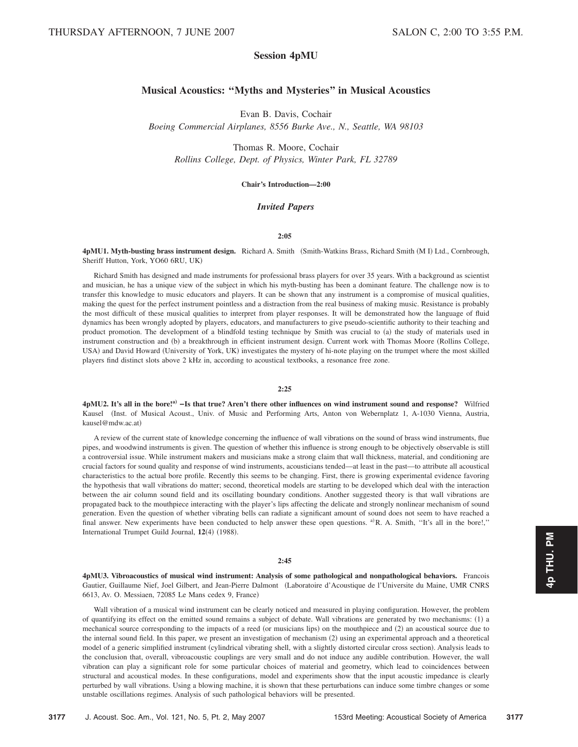# **Session 4pMU**

# **Musical Acoustics: ''Myths and Mysteries'' in Musical Acoustics**

Evan B. Davis, Cochair *Boeing Commercial Airplanes, 8556 Burke Ave., N., Seattle, WA 98103*

Thomas R. Moore, Cochair *Rollins College, Dept. of Physics, Winter Park, FL 32789*

## **Chair's Introduction—2:00**

## *Invited Papers*

#### **2:05**

4pMU1. Myth-busting brass instrument design. Richard A. Smith (Smith-Watkins Brass, Richard Smith (MI) Ltd., Cornbrough, Sheriff Hutton, York, YO60 6RU, UK-

Richard Smith has designed and made instruments for professional brass players for over 35 years. With a background as scientist and musician, he has a unique view of the subject in which his myth-busting has been a dominant feature. The challenge now is to transfer this knowledge to music educators and players. It can be shown that any instrument is a compromise of musical qualities, making the quest for the perfect instrument pointless and a distraction from the real business of making music. Resistance is probably the most difficult of these musical qualities to interpret from player responses. It will be demonstrated how the language of fluid dynamics has been wrongly adopted by players, educators, and manufacturers to give pseudo-scientific authority to their teaching and product promotion. The development of a blindfold testing technique by Smith was crucial to (a) the study of materials used in instrument construction and (b) a breakthrough in efficient instrument design. Current work with Thomas Moore (Rollins College, USA) and David Howard (University of York, UK) investigates the mystery of hi-note playing on the trumpet where the most skilled players find distinct slots above 2 kHz in, according to acoustical textbooks, a resonance free zone.

## **2:25**

**4pMU2. It's all in the bore!a**… **–Is that true? Aren't there other influences on wind instrument sound and response?** Wilfried Kausel (Inst. of Musical Acoust., Univ. of Music and Performing Arts, Anton von Webernplatz 1, A-1030 Vienna, Austria, kausel@mdw.ac.at)

A review of the current state of knowledge concerning the influence of wall vibrations on the sound of brass wind instruments, flue pipes, and woodwind instruments is given. The question of whether this influence is strong enough to be objectively observable is still a controversial issue. While instrument makers and musicians make a strong claim that wall thickness, material, and conditioning are crucial factors for sound quality and response of wind instruments, acousticians tended—at least in the past—to attribute all acoustical characteristics to the actual bore profile. Recently this seems to be changing. First, there is growing experimental evidence favoring the hypothesis that wall vibrations do matter; second, theoretical models are starting to be developed which deal with the interaction between the air column sound field and its oscillating boundary conditions. Another suggested theory is that wall vibrations are propagated back to the mouthpiece interacting with the player's lips affecting the delicate and strongly nonlinear mechanism of sound generation. Even the question of whether vibrating bells can radiate a significant amount of sound does not seem to have reached a final answer. New experiments have been conducted to help answer these open questions. <sup>a)</sup>R. A. Smith, "It's all in the bore!," International Trumpet Guild Journal, 12(4) (1988).

## **2:45**

**4pMU3. Vibroacoustics of musical wind instrument: Analysis of some pathological and nonpathological behaviors.** Francois Gautier, Guillaume Nief, Joel Gilbert, and Jean-Pierre Dalmont Laboratoire d'Acoustique de l'Universite du Maine, UMR CNRS 6613, Av. O. Messiaen, 72085 Le Mans cedex 9, France)

Wall vibration of a musical wind instrument can be clearly noticed and measured in playing configuration. However, the problem of quantifying its effect on the emitted sound remains a subject of debate. Wall vibrations are generated by two mechanisms: (1) a mechanical source corresponding to the impacts of a reed (or musicians lips) on the mouthpiece and (2) an acoustical source due to the internal sound field. In this paper, we present an investigation of mechanism (2) using an experimental approach and a theoretical model of a generic simplified instrument (cylindrical vibrating shell, with a slightly distorted circular cross section). Analysis leads to the conclusion that, overall, vibroacoustic couplings are very small and do not induce any audible contribution. However, the wall vibration can play a significant role for some particular choices of material and geometry, which lead to coincidences between structural and acoustical modes. In these configurations, model and experiments show that the input acoustic impedance is clearly perturbed by wall vibrations. Using a blowing machine, it is shown that these perturbations can induce some timbre changes or some unstable oscillations regimes. Analysis of such pathological behaviors will be presented.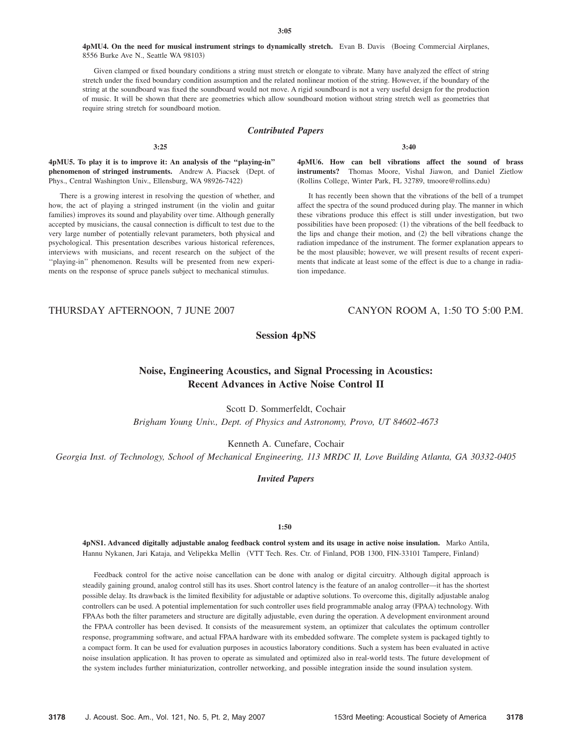4pMU4. On the need for musical instrument strings to dynamically stretch. Evan B. Davis (Boeing Commercial Airplanes, 8556 Burke Ave N., Seattle WA 98103)

Given clamped or fixed boundary conditions a string must stretch or elongate to vibrate. Many have analyzed the effect of string stretch under the fixed boundary condition assumption and the related nonlinear motion of the string. However, if the boundary of the string at the soundboard was fixed the soundboard would not move. A rigid soundboard is not a very useful design for the production of music. It will be shown that there are geometries which allow soundboard motion without string stretch well as geometries that require string stretch for soundboard motion.

## *Contributed Papers*

**3:40**

**4pMU5. To play it is to improve it: An analysis of the ''playing-in'' phenomenon of stringed instruments.** Andrew A. Piacsek (Dept. of Phys., Central Washington Univ., Ellensburg, WA 98926-7422)

**3:25**

There is a growing interest in resolving the question of whether, and how, the act of playing a stringed instrument (in the violin and guitar families) improves its sound and playability over time. Although generally accepted by musicians, the causal connection is difficult to test due to the very large number of potentially relevant parameters, both physical and psychological. This presentation describes various historical references, interviews with musicians, and recent research on the subject of the ''playing-in'' phenomenon. Results will be presented from new experiments on the response of spruce panels subject to mechanical stimulus.

**4pMU6. How can bell vibrations affect the sound of brass instruments?** Thomas Moore, Vishal Jiawon, and Daniel Zietlow (Rollins College, Winter Park, FL 32789, tmoore@rollins.edu)

It has recently been shown that the vibrations of the bell of a trumpet affect the spectra of the sound produced during play. The manner in which these vibrations produce this effect is still under investigation, but two possibilities have been proposed: (1) the vibrations of the bell feedback to the lips and change their motion, and (2) the bell vibrations change the radiation impedance of the instrument. The former explanation appears to be the most plausible; however, we will present results of recent experiments that indicate at least some of the effect is due to a change in radiation impedance.

## THURSDAY AFTERNOON, 7 JUNE 2007 CANYON ROOM A, 1:50 TO 5:00 P.M.

**Session 4pNS**

# **Noise, Engineering Acoustics, and Signal Processing in Acoustics: Recent Advances in Active Noise Control II**

Scott D. Sommerfeldt, Cochair

*Brigham Young Univ., Dept. of Physics and Astronomy, Provo, UT 84602-4673*

Kenneth A. Cunefare, Cochair

*Georgia Inst. of Technology, School of Mechanical Engineering, 113 MRDC II, Love Building Atlanta, GA 30332-0405*

## *Invited Papers*

## **1:50**

**4pNS1. Advanced digitally adjustable analog feedback control system and its usage in active noise insulation.** Marko Antila, Hannu Nykanen, Jari Kataja, and Velipekka Mellin VTT Tech. Res. Ctr. of Finland, POB 1300, FIN-33101 Tampere, Finland-

Feedback control for the active noise cancellation can be done with analog or digital circuitry. Although digital approach is steadily gaining ground, analog control still has its uses. Short control latency is the feature of an analog controller—it has the shortest possible delay. Its drawback is the limited flexibility for adjustable or adaptive solutions. To overcome this, digitally adjustable analog controllers can be used. A potential implementation for such controller uses field programmable analog array (FPAA) technology. With FPAAs both the filter parameters and structure are digitally adjustable, even during the operation. A development environment around the FPAA controller has been devised. It consists of the measurement system, an optimizer that calculates the optimum controller response, programming software, and actual FPAA hardware with its embedded software. The complete system is packaged tightly to a compact form. It can be used for evaluation purposes in acoustics laboratory conditions. Such a system has been evaluated in active noise insulation application. It has proven to operate as simulated and optimized also in real-world tests. The future development of the system includes further miniaturization, controller networking, and possible integration inside the sound insulation system.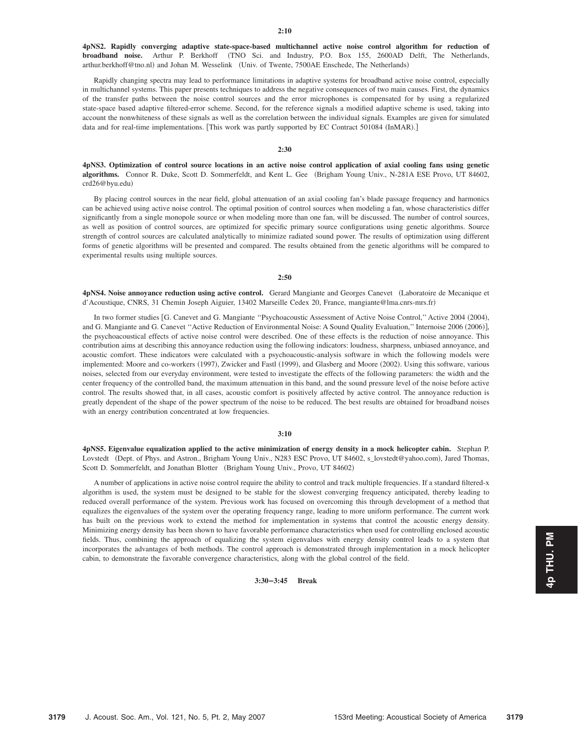**4pNS2. Rapidly converging adaptive state-space-based multichannel active noise control algorithm for reduction of broadband noise.** Arthur P. Berkhoff TNO Sci. and Industry, P.O. Box 155, 2600AD Delft, The Netherlands, arthur.berkhoff@tno.nl) and Johan M. Wesselink (Univ. of Twente, 7500AE Enschede, The Netherlands)

Rapidly changing spectra may lead to performance limitations in adaptive systems for broadband active noise control, especially in multichannel systems. This paper presents techniques to address the negative consequences of two main causes. First, the dynamics of the transfer paths between the noise control sources and the error microphones is compensated for by using a regularized state-space based adaptive filtered-error scheme. Second, for the reference signals a modified adaptive scheme is used, taking into account the nonwhiteness of these signals as well as the correlation between the individual signals. Examples are given for simulated data and for real-time implementations. [This work was partly supported by EC Contract 501084 (InMAR).]

#### **2:30**

**4pNS3. Optimization of control source locations in an active noise control application of axial cooling fans using genetic algorithms.** Connor R. Duke, Scott D. Sommerfeldt, and Kent L. Gee (Brigham Young Univ., N-281A ESE Provo, UT 84602, crd26@byu.edu)

By placing control sources in the near field, global attenuation of an axial cooling fan's blade passage frequency and harmonics can be achieved using active noise control. The optimal position of control sources when modeling a fan, whose characteristics differ significantly from a single monopole source or when modeling more than one fan, will be discussed. The number of control sources, as well as position of control sources, are optimized for specific primary source configurations using genetic algorithms. Source strength of control sources are calculated analytically to minimize radiated sound power. The results of optimization using different forms of genetic algorithms will be presented and compared. The results obtained from the genetic algorithms will be compared to experimental results using multiple sources.

#### **2:50**

**4pNS4. Noise annoyance reduction using active control.** Gerard Mangiante and Georges Canevet Laboratoire de Mecanique et d'Acoustique, CNRS, 31 Chemin Joseph Aiguier, 13402 Marseille Cedex 20, France, mangiante@lma.cnrs-mrs.fr-

In two former studies [G. Canevet and G. Mangiante "Psychoacoustic Assessment of Active Noise Control," Active 2004 (2004), and G. Mangiante and G. Canevet "Active Reduction of Environmental Noise: A Sound Quality Evaluation," Internoise 2006 (2006)], the psychoacoustical effects of active noise control were described. One of these effects is the reduction of noise annoyance. This contribution aims at describing this annoyance reduction using the following indicators: loudness, sharpness, unbiased annoyance, and acoustic comfort. These indicators were calculated with a psychoacoustic-analysis software in which the following models were implemented: Moore and co-workers (1997), Zwicker and Fastl (1999), and Glasberg and Moore (2002). Using this software, various noises, selected from our everyday environment, were tested to investigate the effects of the following parameters: the width and the center frequency of the controlled band, the maximum attenuation in this band, and the sound pressure level of the noise before active control. The results showed that, in all cases, acoustic comfort is positively affected by active control. The annoyance reduction is greatly dependent of the shape of the power spectrum of the noise to be reduced. The best results are obtained for broadband noises with an energy contribution concentrated at low frequencies.

## **3:10**

**4pNS5. Eigenvalue equalization applied to the active minimization of energy density in a mock helicopter cabin.** Stephan P. Lovstedt (Dept. of Phys. and Astron., Brigham Young Univ., N283 ESC Provo, UT 84602, s\_lovstedt@yahoo.com), Jared Thomas, Scott D. Sommerfeldt, and Jonathan Blotter (Brigham Young Univ., Provo, UT 84602)

A number of applications in active noise control require the ability to control and track multiple frequencies. If a standard filtered-x algorithm is used, the system must be designed to be stable for the slowest converging frequency anticipated, thereby leading to reduced overall performance of the system. Previous work has focused on overcoming this through development of a method that equalizes the eigenvalues of the system over the operating frequency range, leading to more uniform performance. The current work has built on the previous work to extend the method for implementation in systems that control the acoustic energy density. Minimizing energy density has been shown to have favorable performance characteristics when used for controlling enclosed acoustic fields. Thus, combining the approach of equalizing the system eigenvalues with energy density control leads to a system that incorporates the advantages of both methods. The control approach is demonstrated through implementation in a mock helicopter cabin, to demonstrate the favorable convergence characteristics, along with the global control of the field.

**3:30–3:45 Break**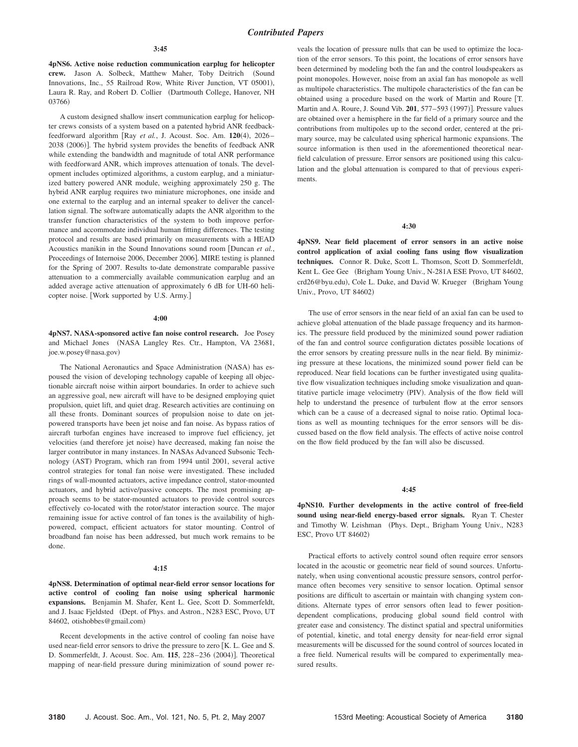#### **3:45**

**4pNS6. Active noise reduction communication earplug for helicopter** crew. Jason A. Solbeck, Matthew Maher, Toby Deitrich (Sound Innovations, Inc., 55 Railroad Row, White River Junction, VT 05001), Laura R. Ray, and Robert D. Collier (Dartmouth College, Hanover, NH 03766)

A custom designed shallow insert communication earplug for helicopter crews consists of a system based on a patented hybrid ANR feedbackfeedforward algorithm [Ray et al., J. Acoust. Soc. Am. 120(4), 2026-2038 (2006)]. The hybrid system provides the benefits of feedback ANR while extending the bandwidth and magnitude of total ANR performance with feedforward ANR, which improves attenuation of tonals. The development includes optimized algorithms, a custom earplug, and a miniaturized battery powered ANR module, weighing approximately 250 g. The hybrid ANR earplug requires two miniature microphones, one inside and one external to the earplug and an internal speaker to deliver the cancellation signal. The software automatically adapts the ANR algorithm to the transfer function characteristics of the system to both improve performance and accommodate individual human fitting differences. The testing protocol and results are based primarily on measurements with a HEAD Acoustics manikin in the Sound Innovations sound room [Duncan et al., Proceedings of Internoise 2006, December 2006]. MIRE testing is planned for the Spring of 2007. Results to-date demonstrate comparable passive attenuation to a commercially available communication earplug and an added average active attenuation of approximately 6 dB for UH-60 helicopter noise. Work supported by U.S. Army.

#### **4:00**

**4pNS7. NASA-sponsored active fan noise control research.** Joe Posey and Michael Jones (NASA Langley Res. Ctr., Hampton, VA 23681, joe.w.posey@nasa.gov)

The National Aeronautics and Space Administration (NASA) has espoused the vision of developing technology capable of keeping all objectionable aircraft noise within airport boundaries. In order to achieve such an aggressive goal, new aircraft will have to be designed employing quiet propulsion, quiet lift, and quiet drag. Research activities are continuing on all these fronts. Dominant sources of propulsion noise to date on jetpowered transports have been jet noise and fan noise. As bypass ratios of aircraft turbofan engines have increased to improve fuel efficiency, jet velocities (and therefore jet noise) have decreased, making fan noise the larger contributor in many instances. In NASAs Advanced Subsonic Technology (AST) Program, which ran from 1994 until 2001, several active control strategies for tonal fan noise were investigated. These included rings of wall-mounted actuators, active impedance control, stator-mounted actuators, and hybrid active/passive concepts. The most promising approach seems to be stator-mounted actuators to provide control sources effectively co-located with the rotor/stator interaction source. The major remaining issue for active control of fan tones is the availability of highpowered, compact, efficient actuators for stator mounting. Control of broadband fan noise has been addressed, but much work remains to be done.

#### **4:15**

**4pNS8. Determination of optimal near-field error sensor locations for active control of cooling fan noise using spherical harmonic expansions.** Benjamin M. Shafer, Kent L. Gee, Scott D. Sommerfeldt, and J. Isaac Fjeldsted (Dept. of Phys. and Astron., N283 ESC, Provo, UT 84602, otishobbes@gmail.com)

Recent developments in the active control of cooling fan noise have used near-field error sensors to drive the pressure to zero  $\kappa$ . L. Gee and S. D. Sommerfeldt, J. Acoust. Soc. Am. **115**, 228–236 (2004)]. Theoretical mapping of near-field pressure during minimization of sound power reveals the location of pressure nulls that can be used to optimize the location of the error sensors. To this point, the locations of error sensors have been determined by modeling both the fan and the control loudspeakers as point monopoles. However, noise from an axial fan has monopole as well as multipole characteristics. The multipole characteristics of the fan can be obtained using a procedure based on the work of Martin and Roure T. Martin and A. Roure, J. Sound Vib. 201, 577–593 (1997)]. Pressure values are obtained over a hemisphere in the far field of a primary source and the contributions from multipoles up to the second order, centered at the primary source, may be calculated using spherical harmonic expansions. The source information is then used in the aforementioned theoretical nearfield calculation of pressure. Error sensors are positioned using this calculation and the global attenuation is compared to that of previous experiments.

## **4:30**

**4pNS9. Near field placement of error sensors in an active noise control application of axial cooling fans using flow visualization techniques.** Connor R. Duke, Scott L. Thomson, Scott D. Sommerfeldt, Kent L. Gee Gee (Brigham Young Univ., N-281A ESE Provo, UT 84602, crd26@byu.edu), Cole L. Duke, and David W. Krueger (Brigham Young Univ., Provo, UT 84602)

The use of error sensors in the near field of an axial fan can be used to achieve global attenuation of the blade passage frequency and its harmonics. The pressure field produced by the minimized sound power radiation of the fan and control source configuration dictates possible locations of the error sensors by creating pressure nulls in the near field. By minimizing pressure at these locations, the minimized sound power field can be reproduced. Near field locations can be further investigated using qualitative flow visualization techniques including smoke visualization and quantitative particle image velocimetry (PIV). Analysis of the flow field will help to understand the presence of turbulent flow at the error sensors which can be a cause of a decreased signal to noise ratio. Optimal locations as well as mounting techniques for the error sensors will be discussed based on the flow field analysis. The effects of active noise control on the flow field produced by the fan will also be discussed.

#### **4:45**

**4pNS10. Further developments in the active control of free-field sound using near-field energy-based error signals.** Ryan T. Chester and Timothy W. Leishman (Phys. Dept., Brigham Young Univ., N283 ESC, Provo UT 84602)

Practical efforts to actively control sound often require error sensors located in the acoustic or geometric near field of sound sources. Unfortunately, when using conventional acoustic pressure sensors, control performance often becomes very sensitive to sensor location. Optimal sensor positions are difficult to ascertain or maintain with changing system conditions. Alternate types of error sensors often lead to fewer positiondependent complications, producing global sound field control with greater ease and consistency. The distinct spatial and spectral uniformities of potential, kinetic, and total energy density for near-field error signal measurements will be discussed for the sound control of sources located in a free field. Numerical results will be compared to experimentally measured results.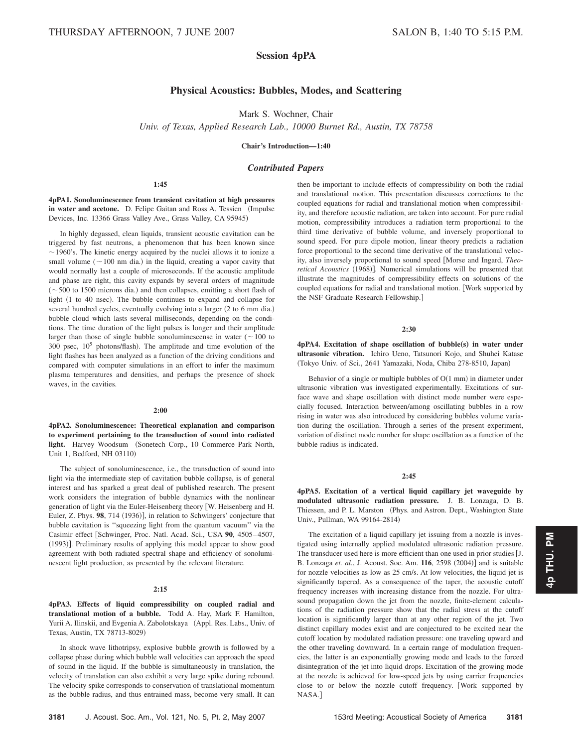# **Session 4pPA**

## **Physical Acoustics: Bubbles, Modes, and Scattering**

Mark S. Wochner, Chair

*Univ. of Texas, Applied Research Lab., 10000 Burnet Rd., Austin, TX 78758*

**Chair's Introduction—1:40**

## *Contributed Papers*

## **1:45**

## **4pPA1. Sonoluminescence from transient cavitation at high pressures** in water and acetone. D. Felipe Gaitan and Ross A. Tessien (Impulse Devices, Inc. 13366 Grass Valley Ave., Grass Valley, CA 95945)

In highly degassed, clean liquids, transient acoustic cavitation can be triggered by fast neutrons, a phenomenon that has been known since  $\sim$  1960's. The kinetic energy acquired by the nuclei allows it to ionize a small volume ( $\sim$ 100 nm dia.) in the liquid, creating a vapor cavity that would normally last a couple of microseconds. If the acoustic amplitude and phase are right, this cavity expands by several orders of magnitude  $(\sim 500$  to 1500 microns dia.) and then collapses, emitting a short flash of light (1 to 40 nsec). The bubble continues to expand and collapse for several hundred cycles, eventually evolving into a larger (2 to 6 mm dia.) bubble cloud which lasts several milliseconds, depending on the conditions. The time duration of the light pulses is longer and their amplitude larger than those of single bubble sonoluminescense in water  $($   $\sim$  100 to 300 psec,  $10^5$  photons/flash). The amplitude and time evolution of the light flashes has been analyzed as a function of the driving conditions and compared with computer simulations in an effort to infer the maximum plasma temperatures and densities, and perhaps the presence of shock waves, in the cavities.

### **2:00**

**4pPA2. Sonoluminescence: Theoretical explanation and comparison to experiment pertaining to the transduction of sound into radiated** light. Harvey Woodsum (Sonetech Corp., 10 Commerce Park North, Unit 1, Bedford, NH 03110-

The subject of sonoluminescence, i.e., the transduction of sound into light via the intermediate step of cavitation bubble collapse, is of general interest and has sparked a great deal of published research. The present work considers the integration of bubble dynamics with the nonlinear generation of light via the Euler-Heisenberg theory [W. Heisenberg and H. Euler, Z. Phys. 98, 714 (1936)], in relation to Schwingers' conjecture that bubble cavitation is ''squeezing light from the quantum vacuum'' via the Casimir effect [Schwinger, Proc. Natl. Acad. Sci., USA 90, 4505-4507, (1993)]. Preliminary results of applying this model appear to show good agreement with both radiated spectral shape and efficiency of sonoluminescent light production, as presented by the relevant literature.

## **2:15**

## **4pPA3. Effects of liquid compressibility on coupled radial and translational motion of a bubble.** Todd A. Hay, Mark F. Hamilton, Yurii A. Ilinskii, and Evgenia A. Zabolotskaya (Appl. Res. Labs., Univ. of Texas, Austin, TX 78713-8029-

In shock wave lithotripsy, explosive bubble growth is followed by a collapse phase during which bubble wall velocities can approach the speed of sound in the liquid. If the bubble is simultaneously in translation, the velocity of translation can also exhibit a very large spike during rebound. The velocity spike corresponds to conservation of translational momentum as the bubble radius, and thus entrained mass, become very small. It can

**3181** J. Acoust. Soc. Am., Vol. 121, No. 5, Pt. 2, May 2007 153rd Meeting: Acoustical Society of America **3181**

then be important to include effects of compressibility on both the radial and translational motion. This presentation discusses corrections to the coupled equations for radial and translational motion when compressibility, and therefore acoustic radiation, are taken into account. For pure radial motion, compressibility introduces a radiation term proportional to the third time derivative of bubble volume, and inversely proportional to sound speed. For pure dipole motion, linear theory predicts a radiation force proportional to the second time derivative of the translational velocity, also inversely proportional to sound speed Morse and Ingard, *Theo*retical Acoustics (1968)]. Numerical simulations will be presented that illustrate the magnitudes of compressibility effects on solutions of the coupled equations for radial and translational motion. [Work supported by the NSF Graduate Research Fellowship.

#### **2:30**

**4pPA4.** Excitation of shape oscillation of bubble(s) in water under **ultrasonic vibration.** Ichiro Ueno, Tatsunori Kojo, and Shuhei Katase Tokyo Univ. of Sci., 2641 Yamazaki, Noda, Chiba 278-8510, Japan-

Behavior of a single or multiple bubbles of  $O(1 \text{ mm})$  in diameter under ultrasonic vibration was investigated experimentally. Excitations of surface wave and shape oscillation with distinct mode number were especially focused. Interaction between/among oscillating bubbles in a row rising in water was also introduced by considering bubbles volume variation during the oscillation. Through a series of the present experiment, variation of distinct mode number for shape oscillation as a function of the bubble radius is indicated.

## **2:45**

**4pPA5. Excitation of a vertical liquid capillary jet waveguide by modulated ultrasonic radiation pressure.** J. B. Lonzaga, D. B. Thiessen, and P. L. Marston (Phys. and Astron. Dept., Washington State Univ., Pullman, WA 99164-2814)

The excitation of a liquid capillary jet issuing from a nozzle is investigated using internally applied modulated ultrasonic radiation pressure. The transducer used here is more efficient than one used in prior studies [J. B. Lonzaga et. al., J. Acoust. Soc. Am. **116**, 2598 (2004)] and is suitable for nozzle velocities as low as 25 cm/s. At low velocities, the liquid jet is significantly tapered. As a consequence of the taper, the acoustic cutoff frequency increases with increasing distance from the nozzle. For ultrasound propagation down the jet from the nozzle, finite-element calculations of the radiation pressure show that the radial stress at the cutoff location is significantly larger than at any other region of the jet. Two distinct capillary modes exist and are conjectured to be excited near the cutoff location by modulated radiation pressure: one traveling upward and the other traveling downward. In a certain range of modulation frequencies, the latter is an exponentially growing mode and leads to the forced disintegration of the jet into liquid drops. Excitation of the growing mode at the nozzle is achieved for low-speed jets by using carrier frequencies close to or below the nozzle cutoff frequency. Work supported by NASA.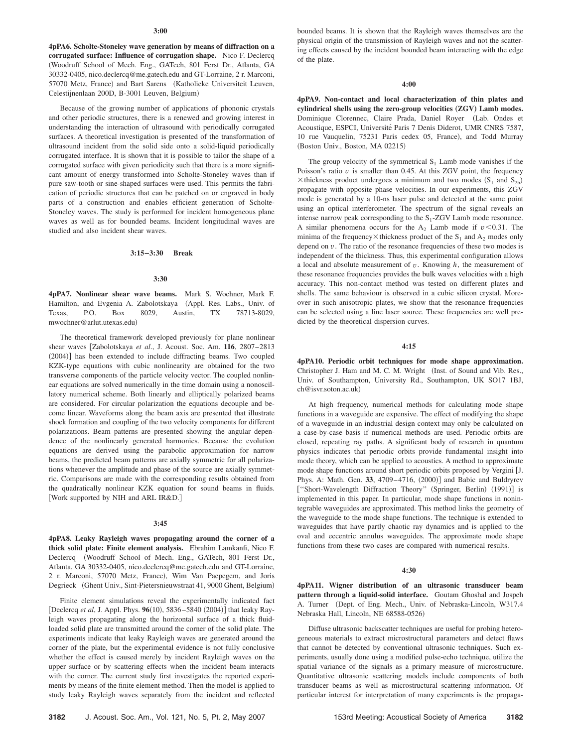**4pPA6. Scholte-Stoneley wave generation by means of diffraction on a corrugated surface: Influence of corrugation shape.** Nico F. Declercq Woodruff School of Mech. Eng., GATech, 801 Ferst Dr., Atlanta, GA 30332-0405, nico.declercq@me.gatech.edu and GT-Lorraine, 2 r. Marconi, 57070 Metz, France) and Bart Sarens (Katholieke Universiteit Leuven, Celestijnenlaan 200D, B-3001 Leuven, Belgium)

Because of the growing number of applications of phononic crystals and other periodic structures, there is a renewed and growing interest in understanding the interaction of ultrasound with periodically corrugated surfaces. A theoretical investigation is presented of the transformation of ultrasound incident from the solid side onto a solid-liquid periodically corrugated interface. It is shown that it is possible to tailor the shape of a corrugated surface with given periodicity such that there is a more significant amount of energy transformed into Scholte-Stoneley waves than if pure saw-tooth or sine-shaped surfaces were used. This permits the fabrication of periodic structures that can be patched on or engraved in body parts of a construction and enables efficient generation of Scholte-Stoneley waves. The study is performed for incident homogeneous plane waves as well as for bounded beams. Incident longitudinal waves are studied and also incident shear waves.

### **3:15–3:30 Break**

#### **3:30**

**4pPA7. Nonlinear shear wave beams.** Mark S. Wochner, Mark F. Hamilton, and Evgenia A. Zabolotskaya (Appl. Res. Labs., Univ. of Texas, P.O. Box 8029, Austin, TX 78713-8029, mwochner@arlut.utexas.edu-

The theoretical framework developed previously for plane nonlinear shear waves [Zabolotskaya et al., J. Acoust. Soc. Am. 116, 2807-2813 (2004)] has been extended to include diffracting beams. Two coupled KZK-type equations with cubic nonlinearity are obtained for the two transverse components of the particle velocity vector. The coupled nonlinear equations are solved numerically in the time domain using a nonoscillatory numerical scheme. Both linearly and elliptically polarized beams are considered. For circular polarization the equations decouple and become linear. Waveforms along the beam axis are presented that illustrate shock formation and coupling of the two velocity components for different polarizations. Beam patterns are presented showing the angular dependence of the nonlinearly generated harmonics. Because the evolution equations are derived using the parabolic approximation for narrow beams, the predicted beam patterns are axially symmetric for all polarizations whenever the amplitude and phase of the source are axially symmetric. Comparisons are made with the corresponding results obtained from the quadratically nonlinear KZK equation for sound beams in fluids. [Work supported by NIH and ARL IR&D.]

#### **3:45**

**4pPA8. Leaky Rayleigh waves propagating around the corner of a thick solid plate: Finite element analysis.** Ebrahim Lamkanfi, Nico F. Declercq Woodruff School of Mech. Eng., GATech, 801 Ferst Dr., Atlanta, GA 30332-0405, nico.declercq@me.gatech.edu and GT-Lorraine, 2 r. Marconi, 57070 Metz, France), Wim Van Paepegem, and Joris Degrieck (Ghent Univ., Sint-Pietersnieuwstraat 41, 9000 Ghent, Belgium)

Finite element simulations reveal the experimentally indicated fact [Declercq *et al*, J. Appl. Phys. 96(10), 5836–5840 (2004)] that leaky Rayleigh waves propagating along the horizontal surface of a thick fluidloaded solid plate are transmitted around the corner of the solid plate. The experiments indicate that leaky Rayleigh waves are generated around the corner of the plate, but the experimental evidence is not fully conclusive whether the effect is caused merely by incident Rayleigh waves on the upper surface or by scattering effects when the incident beam interacts with the corner. The current study first investigates the reported experiments by means of the finite element method. Then the model is applied to study leaky Rayleigh waves separately from the incident and reflected

bounded beams. It is shown that the Rayleigh waves themselves are the physical origin of the transmission of Rayleigh waves and not the scattering effects caused by the incident bounded beam interacting with the edge of the plate.

#### **4:00**

**4pPA9. Non-contact and local characterization of thin plates and** cylindrical shells using the zero-group velocities (ZGV) Lamb modes. Dominique Clorennec, Claire Prada, Daniel Royer Lab. Ondes et Acoustique, ESPCI, Université Paris 7 Denis Diderot, UMR CNRS 7587, 10 rue Vauquelin, 75231 Paris cedex 05, France), and Todd Murray (Boston Univ., Boston, MA 02215)

The group velocity of the symmetrical  $S_1$  Lamb mode vanishes if the Poisson's ratio  $v$  is smaller than 0.45. At this ZGV point, the frequency  $\times$  thickness product undergoes a minimum and two modes  $(S_1$  and  $S_{2b})$ propagate with opposite phase velocities. In our experiments, this ZGV mode is generated by a 10-ns laser pulse and detected at the same point using an optical interferometer. The spectrum of the signal reveals an intense narrow peak corresponding to the  $S_1$ -ZGV Lamb mode resonance. A similar phenomena occurs for the  $A_2$  Lamb mode if  $v < 0.31$ . The minima of the frequency  $\times$  thickness product of the  $S_1$  and  $A_2$  modes only depend on  $v$ . The ratio of the resonance frequencies of these two modes is independent of the thickness. Thus, this experimental configuration allows a local and absolute measurement of *v*. Knowing *h*, the measurement of these resonance frequencies provides the bulk waves velocities with a high accuracy. This non-contact method was tested on different plates and shells. The same behaviour is observed in a cubic silicon crystal. Moreover in such anisotropic plates, we show that the resonance frequencies can be selected using a line laser source. These frequencies are well predicted by the theoretical dispersion curves.

## **4:15**

**4pPA10. Periodic orbit techniques for mode shape approximation.** Christopher J. Ham and M. C. M. Wright (Inst. of Sound and Vib. Res., Univ. of Southampton, University Rd., Southampton, UK SO17 1BJ, ch@isvr.soton.ac.uk-

At high frequency, numerical methods for calculating mode shape functions in a waveguide are expensive. The effect of modifying the shape of a waveguide in an industrial design context may only be calculated on a case-by-case basis if numerical methods are used. Periodic orbits are closed, repeating ray paths. A significant body of research in quantum physics indicates that periodic orbits provide fundamental insight into mode theory, which can be applied to acoustics. A method to approximate mode shape functions around short periodic orbits proposed by Vergini J. Phys. A: Math. Gen. 33, 4709-4716, (2000)] and Babic and Buldryrev ["Short-Wavelength Diffraction Theory" (Springer, Berlin) (1991)] is implemented in this paper. In particular, mode shape functions in nonintegrable waveguides are approximated. This method links the geometry of the waveguide to the mode shape functions. The technique is extended to waveguides that have partly chaotic ray dynamics and is applied to the oval and eccentric annulus waveguides. The approximate mode shape functions from these two cases are compared with numerical results.

#### **4:30**

**4pPA11. Wigner distribution of an ultrasonic transducer beam pattern through a liquid-solid interface.** Goutam Ghoshal and Jospeh A. Turner (Dept. of Eng. Mech., Univ. of Nebraska-Lincoln, W317.4 Nebraska Hall, Lincoln, NE 68588-0526-

Diffuse ultrasonic backscatter techniques are useful for probing heterogeneous materials to extract microstructural parameters and detect flaws that cannot be detected by conventional ultrasonic techniques. Such experiments, usually done using a modified pulse-echo technique, utilize the spatial variance of the signals as a primary measure of microstructure. Quantitative ultrasonic scattering models include components of both transducer beams as well as microstructural scattering information. Of particular interest for interpretation of many experiments is the propaga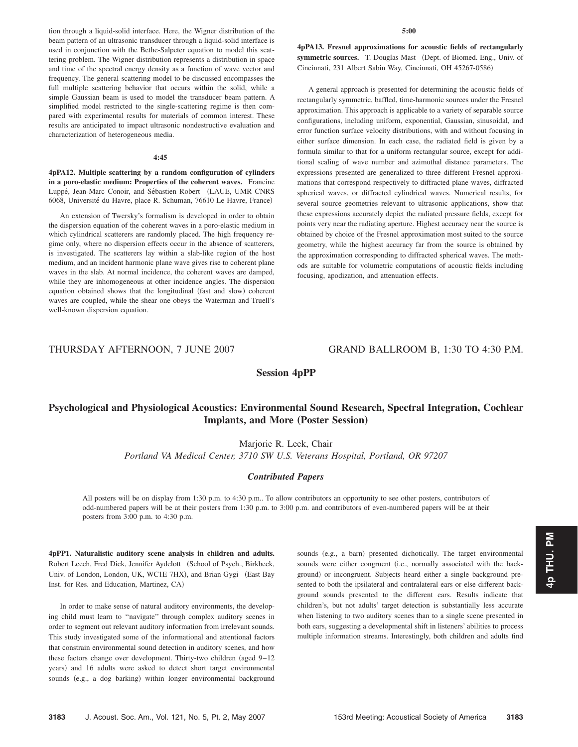tion through a liquid-solid interface. Here, the Wigner distribution of the beam pattern of an ultrasonic transducer through a liquid-solid interface is used in conjunction with the Bethe-Salpeter equation to model this scattering problem. The Wigner distribution represents a distribution in space and time of the spectral energy density as a function of wave vector and frequency. The general scattering model to be discussed encompasses the full multiple scattering behavior that occurs within the solid, while a simple Gaussian beam is used to model the transducer beam pattern. A simplified model restricted to the single-scattering regime is then compared with experimental results for materials of common interest. These results are anticipated to impact ultrasonic nondestructive evaluation and characterization of heterogeneous media.

#### **4:45**

**4pPA12. Multiple scattering by a random configuration of cylinders in a poro-elastic medium: Properties of the coherent waves.** Francine Luppé, Jean-Marc Conoir, and Sébastien Robert (LAUE, UMR CNRS 6068, Université du Havre, place R. Schuman, 76610 Le Havre, France)

An extension of Twersky's formalism is developed in order to obtain the dispersion equation of the coherent waves in a poro-elastic medium in which cylindrical scatterers are randomly placed. The high frequency regime only, where no dispersion effects occur in the absence of scatterers, is investigated. The scatterers lay within a slab-like region of the host medium, and an incident harmonic plane wave gives rise to coherent plane waves in the slab. At normal incidence, the coherent waves are damped, while they are inhomogeneous at other incidence angles. The dispersion equation obtained shows that the longitudinal (fast and slow) coherent waves are coupled, while the shear one obeys the Waterman and Truell's well-known dispersion equation.

## **5:00**

**4pPA13. Fresnel approximations for acoustic fields of rectangularly** symmetric sources. T. Douglas Mast (Dept. of Biomed. Eng., Univ. of Cincinnati, 231 Albert Sabin Way, Cincinnati, OH 45267-0586-

A general approach is presented for determining the acoustic fields of rectangularly symmetric, baffled, time-harmonic sources under the Fresnel approximation. This approach is applicable to a variety of separable source configurations, including uniform, exponential, Gaussian, sinusoidal, and error function surface velocity distributions, with and without focusing in either surface dimension. In each case, the radiated field is given by a formula similar to that for a uniform rectangular source, except for additional scaling of wave number and azimuthal distance parameters. The expressions presented are generalized to three different Fresnel approximations that correspond respectively to diffracted plane waves, diffracted spherical waves, or diffracted cylindrical waves. Numerical results, for several source geometries relevant to ultrasonic applications, show that these expressions accurately depict the radiated pressure fields, except for points very near the radiating aperture. Highest accuracy near the source is obtained by choice of the Fresnel approximation most suited to the source geometry, while the highest accuracy far from the source is obtained by the approximation corresponding to diffracted spherical waves. The methods are suitable for volumetric computations of acoustic fields including focusing, apodization, and attenuation effects.

# THURSDAY AFTERNOON, 7 JUNE 2007 GRAND BALLROOM B, 1:30 TO 4:30 P.M.

## **Session 4pPP**

# **Psychological and Physiological Acoustics: Environmental Sound Research, Spectral Integration, Cochlear Implants, and More (Poster Session)**

## Marjorie R. Leek, Chair

*Portland VA Medical Center, 3710 SW U.S. Veterans Hospital, Portland, OR 97207*

## *Contributed Papers*

All posters will be on display from 1:30 p.m. to 4:30 p.m.. To allow contributors an opportunity to see other posters, contributors of odd-numbered papers will be at their posters from 1:30 p.m. to 3:00 p.m. and contributors of even-numbered papers will be at their posters from 3:00 p.m. to 4:30 p.m.

**4pPP1. Naturalistic auditory scene analysis in children and adults.** Robert Leech, Fred Dick, Jennifer Aydelott (School of Psych., Birkbeck, Univ. of London, London, UK, WC1E 7HX), and Brian Gygi (East Bay Inst. for Res. and Education, Martinez, CA)

In order to make sense of natural auditory environments, the developing child must learn to ''navigate'' through complex auditory scenes in order to segment out relevant auditory information from irrelevant sounds. This study investigated some of the informational and attentional factors that constrain environmental sound detection in auditory scenes, and how these factors change over development. Thirty-two children (aged  $9-12$ years) and 16 adults were asked to detect short target environmental sounds (e.g., a dog barking) within longer environmental background

sounds (e.g., a barn) presented dichotically. The target environmental sounds were either congruent (i.e., normally associated with the background) or incongruent. Subjects heard either a single background presented to both the ipsilateral and contralateral ears or else different background sounds presented to the different ears. Results indicate that children's, but not adults' target detection is substantially less accurate when listening to two auditory scenes than to a single scene presented in both ears, suggesting a developmental shift in listeners' abilities to process multiple information streams. Interestingly, both children and adults find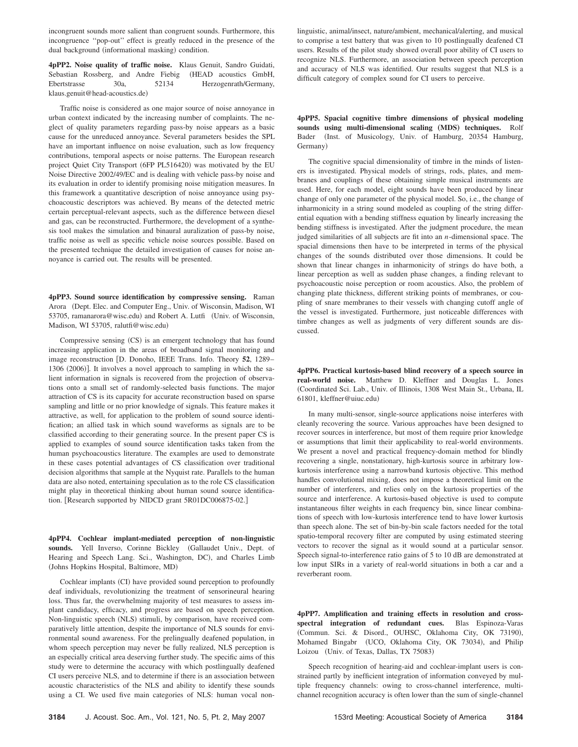incongruent sounds more salient than congruent sounds. Furthermore, this incongruence ''pop-out'' effect is greatly reduced in the presence of the dual background (informational masking) condition.

**4pPP2. Noise quality of traffic noise.** Klaus Genuit, Sandro Guidati, Sebastian Rossberg, and Andre Fiebig (HEAD acoustics GmbH, Ebertstrasse 30a, 52134 Herzogenrath/Germany, klaus.genuit@head-acoustics.de-

Traffic noise is considered as one major source of noise annoyance in urban context indicated by the increasing number of complaints. The neglect of quality parameters regarding pass-by noise appears as a basic cause for the unreduced annoyance. Several parameters besides the SPL have an important influence on noise evaluation, such as low frequency contributions, temporal aspects or noise patterns. The European research project Quiet City Transport (6FP PL516420) was motivated by the EU Noise Directive 2002/49/EC and is dealing with vehicle pass-by noise and its evaluation in order to identify promising noise mitigation measures. In this framework a quantitative description of noise annoyance using psychoacoustic descriptors was achieved. By means of the detected metric certain perceptual-relevant aspects, such as the difference between diesel and gas, can be reconstructed. Furthermore, the development of a synthesis tool makes the simulation and binaural auralization of pass-by noise, traffic noise as well as specific vehicle noise sources possible. Based on the presented technique the detailed investigation of causes for noise annoyance is carried out. The results will be presented.

**4pPP3. Sound source identification by compressive sensing.** Raman Arora (Dept. Elec. and Computer Eng., Univ. of Wisconsin, Madison, WI 53705, ramanarora@wisc.edu) and Robert A. Lutfi (Univ. of Wisconsin, Madison, WI 53705, ralutfi@wisc.edu)

Compressive sensing (CS) is an emergent technology that has found increasing application in the areas of broadband signal monitoring and image reconstruction [D. Donoho, IEEE Trans. Info. Theory 52, 1289– 1306 (2006)]. It involves a novel approach to sampling in which the salient information in signals is recovered from the projection of observations onto a small set of randomly-selected basis functions. The major attraction of CS is its capacity for accurate reconstruction based on sparse sampling and little or no prior knowledge of signals. This feature makes it attractive, as well, for application to the problem of sound source identification; an allied task in which sound waveforms as signals are to be classified according to their generating source. In the present paper CS is applied to examples of sound source identification tasks taken from the human psychoacoustics literature. The examples are used to demonstrate in these cases potential advantages of CS classification over traditional decision algorithms that sample at the Nyquist rate. Parallels to the human data are also noted, entertaining speculation as to the role CS classification might play in theoretical thinking about human sound source identification. [Research supported by NIDCD grant 5R01DC006875-02.]

**4pPP4. Cochlear implant-mediated perception of non-linguistic sounds.** Yell Inverso, Corinne Bickley Gallaudet Univ., Dept. of Hearing and Speech Lang. Sci., Washington, DC), and Charles Limb Johns Hopkins Hospital, Baltimore, MD-

Cochlear implants (CI) have provided sound perception to profoundly deaf individuals, revolutionizing the treatment of sensorineural hearing loss. Thus far, the overwhelming majority of test measures to assess implant candidacy, efficacy, and progress are based on speech perception. Non-linguistic speech (NLS) stimuli, by comparison, have received comparatively little attention, despite the importance of NLS sounds for environmental sound awareness. For the prelingually deafened population, in whom speech perception may never be fully realized, NLS perception is an especially critical area deserving further study. The specific aims of this study were to determine the accuracy with which postlingually deafened CI users perceive NLS, and to determine if there is an association between acoustic characteristics of the NLS and ability to identify these sounds using a CI. We used five main categories of NLS: human vocal nonlinguistic, animal/insect, nature/ambient, mechanical/alerting, and musical to comprise a test battery that was given to 10 postlingually deafened CI users. Results of the pilot study showed overall poor ability of CI users to recognize NLS. Furthermore, an association between speech perception and accuracy of NLS was identified. Our results suggest that NLS is a difficult category of complex sound for CI users to perceive.

**4pPP5. Spacial cognitive timbre dimensions of physical modeling** sounds using multi-dimensional scaling (MDS) techniques. Rolf Bader (Inst. of Musicology, Univ. of Hamburg, 20354 Hamburg, Germany)

The cognitive spacial dimensionality of timbre in the minds of listeners is investigated. Physical models of strings, rods, plates, and membranes and couplings of these obtaining simple musical instruments are used. Here, for each model, eight sounds have been produced by linear change of only one parameter of the physical model. So, i.e., the change of inharmonicity in a string sound modeled as coupling of the string differential equation with a bending stiffness equation by linearly increasing the bending stiffness is investigated. After the judgment procedure, the mean judged similarities of all subjects are fit into an *n*-dimensional space. The spacial dimensions then have to be interpreted in terms of the physical changes of the sounds distributed over those dimensions. It could be shown that linear changes in inharmonicity of strings do have both, a linear perception as well as sudden phase changes, a finding relevant to psychoacoustic noise perception or room acoustics. Also, the problem of changing plate thickness, different striking points of membranes, or coupling of snare membranes to their vessels with changing cutoff angle of the vessel is investigated. Furthermore, just noticeable differences with timbre changes as well as judgments of very different sounds are discussed.

**4pPP6. Practical kurtosis-based blind recovery of a speech source in real-world noise.** Matthew D. Kleffner and Douglas L. Jones Coordinated Sci. Lab., Univ. of Illinois, 1308 West Main St., Urbana, IL 61801, kleffner@uiuc.edu-

In many multi-sensor, single-source applications noise interferes with cleanly recovering the source. Various approaches have been designed to recover sources in interference, but most of them require prior knowledge or assumptions that limit their applicability to real-world environments. We present a novel and practical frequency-domain method for blindly recovering a single, nonstationary, high-kurtosis source in arbitrary lowkurtosis interference using a narrowband kurtosis objective. This method handles convolutional mixing, does not impose a theoretical limit on the number of interferers, and relies only on the kurtosis properties of the source and interference. A kurtosis-based objective is used to compute instantaneous filter weights in each frequency bin, since linear combinations of speech with low-kurtosis interference tend to have lower kurtosis than speech alone. The set of bin-by-bin scale factors needed for the total spatio-temporal recovery filter are computed by using estimated steering vectors to recover the signal as it would sound at a particular sensor. Speech signal-to-interference ratio gains of 5 to 10 dB are demonstrated at low input SIRs in a variety of real-world situations in both a car and a reverberant room.

**4pPP7. Amplification and training effects in resolution and crossspectral integration of redundant cues.** Blas Espinoza-Varas (Commun. Sci. & Disord., OUHSC, Oklahoma City, OK 73190), Mohamed Bingabr (UCO, Oklahoma City, OK 73034), and Philip Loizou (Univ. of Texas, Dallas, TX 75083)

Speech recognition of hearing-aid and cochlear-implant users is constrained partly by inefficient integration of information conveyed by multiple frequency channels: owing to cross-channel interference, multichannel recognition accuracy is often lower than the sum of single-channel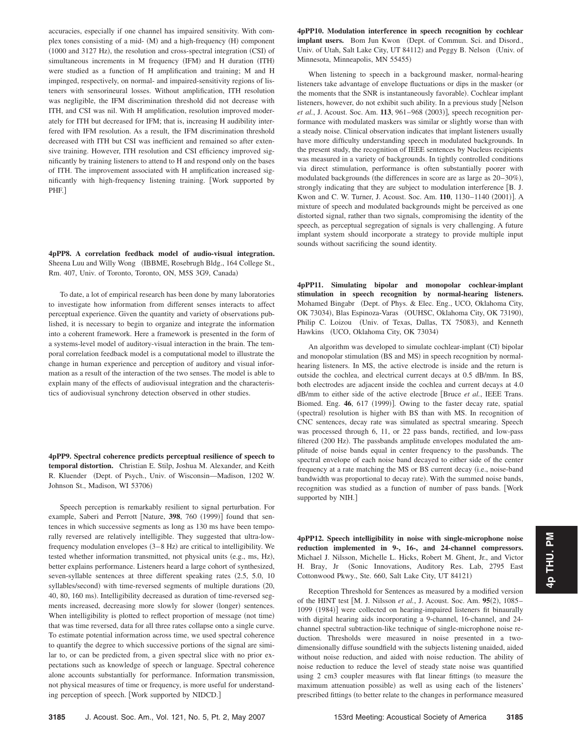accuracies, especially if one channel has impaired sensitivity. With complex tones consisting of a mid- (M) and a high-frequency (H) component (1000 and 3127 Hz), the resolution and cross-spectral integration (CSI) of simultaneous increments in M frequency (IFM) and H duration (ITH) were studied as a function of H amplification and training; M and H impinged, respectively, on normal- and impaired-sensitivity regions of listeners with sensorineural losses. Without amplification, ITH resolution was negligible, the IFM discrimination threshold did not decrease with ITH, and CSI was nil. With H amplification, resolution improved moderately for ITH but decreased for IFM; that is, increasing H audibility interfered with IFM resolution. As a result, the IFM discrimination threshold decreased with ITH but CSI was inefficient and remained so after extensive training. However, ITH resolution and CSI efficiency improved significantly by training listeners to attend to H and respond only on the bases of ITH. The improvement associated with H amplification increased significantly with high-frequency listening training. Work supported by PHF.

**4pPP8. A correlation feedback model of audio-visual integration.** Sheena Luu and Willy Wong (IBBME, Rosebrugh Bldg., 164 College St., Rm. 407, Univ. of Toronto, Toronto, ON, M5S 3G9, Canada)

To date, a lot of empirical research has been done by many laboratories to investigate how information from different senses interacts to affect perceptual experience. Given the quantity and variety of observations published, it is necessary to begin to organize and integrate the information into a coherent framework. Here a framework is presented in the form of a systems-level model of auditory-visual interaction in the brain. The temporal correlation feedback model is a computational model to illustrate the change in human experience and perception of auditory and visual information as a result of the interaction of the two senses. The model is able to explain many of the effects of audiovisual integration and the characteristics of audiovisual synchrony detection observed in other studies.

**4pPP9. Spectral coherence predicts perceptual resilience of speech to temporal distortion.** Christian E. Stilp, Joshua M. Alexander, and Keith R. Kluender (Dept. of Psych., Univ. of Wisconsin—Madison, 1202 W. Johnson St., Madison, WI 53706)

Speech perception is remarkably resilient to signal perturbation. For example, Saberi and Perrott [Nature, 398, 760 (1999)] found that sentences in which successive segments as long as 130 ms have been temporally reversed are relatively intelligible. They suggested that ultra-lowfrequency modulation envelopes (3–8 Hz) are critical to intelligibility. We tested whether information transmitted, not physical units (e.g., ms, Hz), better explains performance. Listeners heard a large cohort of synthesized, seven-syllable sentences at three different speaking rates (2.5, 5.0, 10 syllables/second) with time-reversed segments of multiple durations (20, 40, 80, 160 ms). Intelligibility decreased as duration of time-reversed segments increased, decreasing more slowly for slower (longer) sentences. When intelligibility is plotted to reflect proportion of message (not time) that was time reversed, data for all three rates collapse onto a single curve. To estimate potential information across time, we used spectral coherence to quantify the degree to which successive portions of the signal are similar to, or can be predicted from, a given spectral slice with no prior expectations such as knowledge of speech or language. Spectral coherence alone accounts substantially for performance. Information transmission, not physical measures of time or frequency, is more useful for understanding perception of speech. Work supported by NIDCD.

**4pPP10. Modulation interference in speech recognition by cochlear** implant users. Bom Jun Kwon (Dept. of Commun. Sci. and Disord., Univ. of Utah, Salt Lake City, UT 84112) and Peggy B. Nelson (Univ. of Minnesota, Minneapolis, MN 55455)

When listening to speech in a background masker, normal-hearing listeners take advantage of envelope fluctuations or dips in the masker (or the moments that the SNR is instantaneously favorable). Cochlear implant listeners, however, do not exhibit such ability. In a previous study [Nelson et al., J. Acoust. Soc. Am. 113, 961-968 (2003)], speech recognition performance with modulated maskers was similar or slightly worse than with a steady noise. Clinical observation indicates that implant listeners usually have more difficulty understanding speech in modulated backgrounds. In the present study, the recognition of IEEE sentences by Nucleus recipients was measured in a variety of backgrounds. In tightly controlled conditions via direct stimulation, performance is often substantially poorer with modulated backgrounds (the differences in score are as large as 20–30%), strongly indicating that they are subject to modulation interference [B. J. Kwon and C. W. Turner, J. Acoust. Soc. Am. 110, 1130-1140 (2001)]. A mixture of speech and modulated backgrounds might be perceived as one distorted signal, rather than two signals, compromising the identity of the speech, as perceptual segregation of signals is very challenging. A future implant system should incorporate a strategy to provide multiple input sounds without sacrificing the sound identity.

**4pPP11. Simulating bipolar and monopolar cochlear-implant stimulation in speech recognition by normal-hearing listeners.** Mohamed Bingabr (Dept. of Phys. & Elec. Eng., UCO, Oklahoma City, OK 73034), Blas Espinoza-Varas (OUHSC, Oklahoma City, OK 73190), Philip C. Loizou (Univ. of Texas, Dallas, TX 75083), and Kenneth Hawkins (UCO, Oklahoma City, OK 73034)

An algorithm was developed to simulate cochlear-implant (CI) bipolar and monopolar stimulation (BS and MS) in speech recognition by normalhearing listeners. In MS, the active electrode is inside and the return is outside the cochlea, and electrical current decays at 0.5 dB/mm. In BS, both electrodes are adjacent inside the cochlea and current decays at 4.0 dB/mm to either side of the active electrode Bruce *et al.*, IEEE Trans. Biomed. Eng. 46, 617 (1999)]. Owing to the faster decay rate, spatial (spectral) resolution is higher with BS than with MS. In recognition of CNC sentences, decay rate was simulated as spectral smearing. Speech was processed through 6, 11, or 22 pass bands, rectified, and low-pass filtered (200 Hz). The passbands amplitude envelopes modulated the amplitude of noise bands equal in center frequency to the passbands. The spectral envelope of each noise band decayed to either side of the center frequency at a rate matching the MS or BS current decay (i.e., noise-band bandwidth was proportional to decay rate). With the summed noise bands, recognition was studied as a function of number of pass bands. Work supported by NIH.]

**4pPP12. Speech intelligibility in noise with single-microphone noise reduction implemented in 9-, 16-, and 24-channel compressors.** Michael J. Nilsson, Michelle L. Hicks, Robert M. Ghent, Jr., and Victor H. Bray, Jr (Sonic Innovations, Auditory Res. Lab, 2795 East Cottonwood Pkwy., Ste. 660, Salt Lake City, UT 84121)

Reception Threshold for Sentences as measured by a modified version of the HINT test [M. J. Nilsson *et al.*, J. Acoust. Soc. Am. 95(2), 1085– 1099 (1984)] were collected on hearing-impaired listeners fit binaurally with digital hearing aids incorporating a 9-channel, 16-channel, and 24 channel spectral subtraction-like technique of single-microphone noise reduction. Thresholds were measured in noise presented in a twodimensionally diffuse soundfield with the subjects listening unaided, aided without noise reduction, and aided with noise reduction. The ability of noise reduction to reduce the level of steady state noise was quantified using 2 cm3 coupler measures with flat linear fittings (to measure the maximum attenuation possible) as well as using each of the listeners' prescribed fittings (to better relate to the changes in performance measured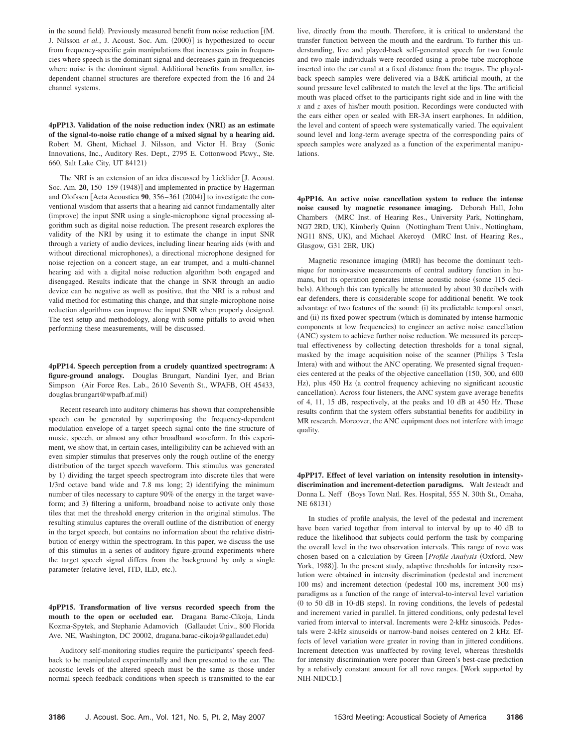in the sound field). Previously measured benefit from noise reduction [(M. J. Nilsson et al., J. Acoust. Soc. Am. (2000)] is hypothesized to occur from frequency-specific gain manipulations that increases gain in frequencies where speech is the dominant signal and decreases gain in frequencies where noise is the dominant signal. Additional benefits from smaller, independent channel structures are therefore expected from the 16 and 24 channel systems.

**4pPP13.** Validation of the noise reduction index (NRI) as an estimate **of the signal-to-noise ratio change of a mixed signal by a hearing aid.** Robert M. Ghent, Michael J. Nilsson, and Victor H. Bray (Sonic Innovations, Inc., Auditory Res. Dept., 2795 E. Cottonwood Pkwy., Ste. 660, Salt Lake City, UT 84121-

The NRI is an extension of an idea discussed by Licklider [J. Acoust. Soc. Am. 20, 150-159 (1948)] and implemented in practice by Hagerman and Olofssen [Acta Acoustica 90, 356–361 (2004)] to investigate the conventional wisdom that asserts that a hearing aid cannot fundamentally alter (improve) the input SNR using a single-microphone signal processing algorithm such as digital noise reduction. The present research explores the validity of the NRI by using it to estimate the change in input SNR through a variety of audio devices, including linear hearing aids (with and without directional microphones), a directional microphone designed for noise rejection on a concert stage, an ear trumpet, and a multi-channel hearing aid with a digital noise reduction algorithm both engaged and disengaged. Results indicate that the change in SNR through an audio device can be negative as well as positive, that the NRI is a robust and valid method for estimating this change, and that single-microphone noise reduction algorithms can improve the input SNR when properly designed. The test setup and methodology, along with some pitfalls to avoid when performing these measurements, will be discussed.

**4pPP14. Speech perception from a crudely quantized spectrogram: A figure-ground analogy.** Douglas Brungart, Nandini Iyer, and Brian Simpson (Air Force Res. Lab., 2610 Seventh St., WPAFB, OH 45433, douglas.brungart@wpafb.af.mil-

Recent research into auditory chimeras has shown that comprehensible speech can be generated by superimposing the frequency-dependent modulation envelope of a target speech signal onto the fine structure of music, speech, or almost any other broadband waveform. In this experiment, we show that, in certain cases, intelligibility can be achieved with an even simpler stimulus that preserves only the rough outline of the energy distribution of the target speech waveform. This stimulus was generated by 1) dividing the target speech spectrogram into discrete tiles that were  $1/3$ rd octave band wide and 7.8 ms long; 2) identifying the minimum number of tiles necessary to capture 90% of the energy in the target waveform; and 3) filtering a uniform, broadband noise to activate only those tiles that met the threshold energy criterion in the original stimulus. The resulting stimulus captures the overall outline of the distribution of energy in the target speech, but contains no information about the relative distribution of energy within the spectrogram. In this paper, we discuss the use of this stimulus in a series of auditory figure-ground experiments where the target speech signal differs from the background by only a single parameter (relative level, ITD, ILD, etc.).

**4pPP15. Transformation of live versus recorded speech from the mouth to the open or occluded ear.** Dragana Barac-Cikoja, Linda Kozma-Spytek, and Stephanie Adamovich Gallaudet Univ., 800 Florida Ave. NE, Washington, DC 20002, dragana.barac-cikoja@gallaudet.edu-

Auditory self-monitoring studies require the participants' speech feedback to be manipulated experimentally and then presented to the ear. The acoustic levels of the altered speech must be the same as those under normal speech feedback conditions when speech is transmitted to the ear live, directly from the mouth. Therefore, it is critical to understand the transfer function between the mouth and the eardrum. To further this understanding, live and played-back self-generated speech for two female and two male individuals were recorded using a probe tube microphone inserted into the ear canal at a fixed distance from the tragus. The playedback speech samples were delivered via a B&K artificial mouth, at the sound pressure level calibrated to match the level at the lips. The artificial mouth was placed offset to the participants right side and in line with the *x* and *z* axes of his/her mouth position. Recordings were conducted with the ears either open or sealed with ER-3A insert earphones. In addition, the level and content of speech were systematically varied. The equivalent sound level and long-term average spectra of the corresponding pairs of speech samples were analyzed as a function of the experimental manipulations.

**4pPP16. An active noise cancellation system to reduce the intense noise caused by magnetic resonance imaging.** Deborah Hall, John Chambers (MRC Inst. of Hearing Res., University Park, Nottingham, NG7 2RD, UK), Kimberly Quinn (Nottingham Trent Univ., Nottingham, NG11 8NS, UK), and Michael Akeroyd (MRC Inst. of Hearing Res., Glasgow, G31 2ER, UK-

Magnetic resonance imaging (MRI) has become the dominant technique for noninvasive measurements of central auditory function in humans, but its operation generates intense acoustic noise (some 115 decibels). Although this can typically be attenuated by about 30 decibels with ear defenders, there is considerable scope for additional benefit. We took advantage of two features of the sound: (i) its predictable temporal onset, and (ii) its fixed power spectrum (which is dominated by intense harmonic components at low frequencies) to engineer an active noise cancellation (ANC) system to achieve further noise reduction. We measured its perceptual effectiveness by collecting detection thresholds for a tonal signal, masked by the image acquisition noise of the scanner (Philips 3 Tesla Intera) with and without the ANC operating. We presented signal frequencies centered at the peaks of the objective cancellation (150, 300, and 600 Hz), plus 450 Hz (a control frequency achieving no significant acoustic cancellation). Across four listeners, the ANC system gave average benefits of 4, 11, 15 dB, respectively, at the peaks and 10 dB at 450 Hz. These results confirm that the system offers substantial benefits for audibility in MR research. Moreover, the ANC equipment does not interfere with image quality.

**4pPP17. Effect of level variation on intensity resolution in intensitydiscrimination and increment-detection paradigms.** Walt Jesteadt and Donna L. Neff (Boys Town Natl. Res. Hospital, 555 N. 30th St., Omaha, NE 68131)

In studies of profile analysis, the level of the pedestal and increment have been varied together from interval to interval by up to 40 dB to reduce the likelihood that subjects could perform the task by comparing the overall level in the two observation intervals. This range of rove was chosen based on a calculation by Green *Profile Analysis* Oxford, New York, 1988)]. In the present study, adaptive thresholds for intensity resolution were obtained in intensity discrimination (pedestal and increment 100 ms) and increment detection (pedestal 100 ms, increment 300 ms) paradigms as a function of the range of interval-to-interval level variation (0 to 50 dB in 10-dB steps). In roving conditions, the levels of pedestal and increment varied in parallel. In jittered conditions, only pedestal level varied from interval to interval. Increments were 2-kHz sinusoids. Pedestals were 2-kHz sinusoids or narrow-band noises centered on 2 kHz. Effects of level variation were greater in roving than in jittered conditions. Increment detection was unaffected by roving level, whereas thresholds for intensity discrimination were poorer than Green's best-case prediction by a relatively constant amount for all rove ranges. Work supported by NIH-NIDCD.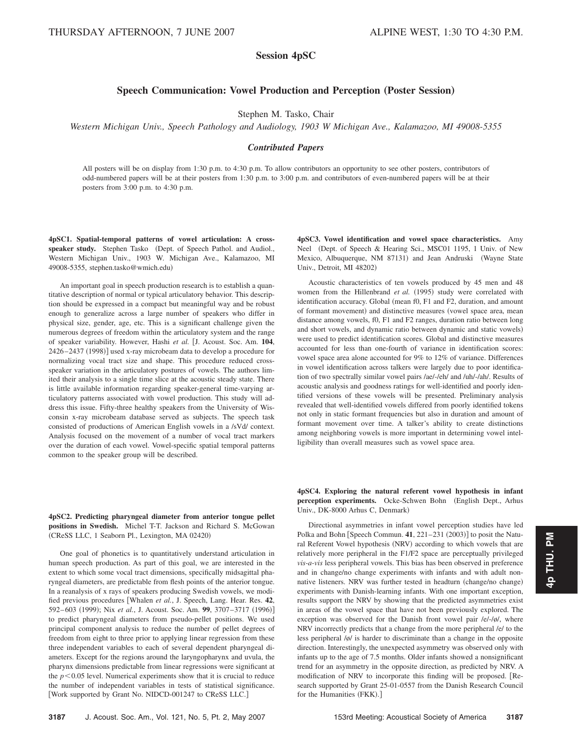## **Session 4pSC**

## **Speech Communication: Vowel Production and Perception (Poster Session)**

Stephen M. Tasko, Chair

*Western Michigan Univ., Speech Pathology and Audiology, 1903 W Michigan Ave., Kalamazoo, MI 49008-5355*

## *Contributed Papers*

All posters will be on display from 1:30 p.m. to 4:30 p.m. To allow contributors an opportunity to see other posters, contributors of odd-numbered papers will be at their posters from 1:30 p.m. to 3:00 p.m. and contributors of even-numbered papers will be at their posters from 3:00 p.m. to 4:30 p.m.

**4pSC1. Spatial-temporal patterns of vowel articulation: A cross**speaker study. Stephen Tasko (Dept. of Speech Pathol. and Audiol., Western Michigan Univ., 1903 W. Michigan Ave., Kalamazoo, MI 49008-5355, stephen.tasko@wmich.edu-

An important goal in speech production research is to establish a quantitative description of normal or typical articulatory behavior. This description should be expressed in a compact but meaningful way and be robust enough to generalize across a large number of speakers who differ in physical size, gender, age, etc. This is a significant challenge given the numerous degrees of freedom within the articulatory system and the range of speaker variability. However, Hashi *et al.* J. Acoust. Soc. Am. **104**, 2426–2437 (1998)] used x-ray microbeam data to develop a procedure for normalizing vocal tract size and shape. This procedure reduced crossspeaker variation in the articulatory postures of vowels. The authors limited their analysis to a single time slice at the acoustic steady state. There is little available information regarding speaker-general time-varying articulatory patterns associated with vowel production. This study will address this issue. Fifty-three healthy speakers from the University of Wisconsin x-ray microbeam database served as subjects. The speech task consisted of productions of American English vowels in a /sVd/ context. Analysis focused on the movement of a number of vocal tract markers over the duration of each vowel. Vowel-specific spatial temporal patterns common to the speaker group will be described.

**4pSC2. Predicting pharyngeal diameter from anterior tongue pellet positions in Swedish.** Michel T-T. Jackson and Richard S. McGowan (CReSS LLC, 1 Seaborn Pl., Lexington, MA 02420)

One goal of phonetics is to quantitatively understand articulation in human speech production. As part of this goal, we are interested in the extent to which some vocal tract dimensions, specifically midsagittal pharyngeal diameters, are predictable from flesh points of the anterior tongue. In a reanalysis of x rays of speakers producing Swedish vowels, we modified previous procedures Whalen *et al.*, J. Speech, Lang. Hear. Res. **42**, 592–603 (1999); Nix *et al.*, J. Acoust. Soc. Am. **99**, 3707–3717 (1996)] to predict pharyngeal diameters from pseudo-pellet positions. We used principal component analysis to reduce the number of pellet degrees of freedom from eight to three prior to applying linear regression from these three independent variables to each of several dependent pharyngeal diameters. Except for the regions around the laryngopharynx and uvula, the pharynx dimensions predictable from linear regressions were significant at the  $p<0.05$  level. Numerical experiments show that it is crucial to reduce the number of independent variables in tests of statistical significance. Work supported by Grant No. NIDCD-001247 to CReSS LLC.

**4pSC3. Vowel identification and vowel space characteristics.** Amy Neel (Dept. of Speech & Hearing Sci., MSC01 1195, 1 Univ. of New Mexico, Albuquerque, NM 87131) and Jean Andruski (Wayne State Univ., Detroit, MI 48202)

Acoustic characteristics of ten vowels produced by 45 men and 48 women from the Hillenbrand *et al.* (1995) study were correlated with identification accuracy. Global (mean f0, F1 and F2, duration, and amount of formant movement) and distinctive measures (vowel space area, mean distance among vowels, f0, F1 and F2 ranges, duration ratio between long and short vowels, and dynamic ratio between dynamic and static vowels) were used to predict identification scores. Global and distinctive measures accounted for less than one-fourth of variance in identification scores: vowel space area alone accounted for 9% to 12% of variance. Differences in vowel identification across talkers were largely due to poor identification of two spectrally similar vowel pairs /ae/-/eh/ and /uh/-/ah/. Results of acoustic analysis and goodness ratings for well-identified and poorly identified versions of these vowels will be presented. Preliminary analysis revealed that well-identified vowels differed from poorly identified tokens not only in static formant frequencies but also in duration and amount of formant movement over time. A talker's ability to create distinctions among neighboring vowels is more important in determining vowel intelligibility than overall measures such as vowel space area.

**4pSC4. Exploring the natural referent vowel hypothesis in infant** perception experiments. Ocke-Schwen Bohn (English Dept., Arhus Univ., DK-8000 Arhus C, Denmark-

Directional asymmetries in infant vowel perception studies have led Polka and Bohn  $[Spech$  Commun.  $41$ ,  $221-231$   $(2003)$ ] to posit the Natural Referent Vowel hypothesis (NRV) according to which vowels that are relatively more peripheral in the F1/F2 space are perceptually privileged *vis-a-vis* less peripheral vowels. This bias has been observed in preference and in change/no change experiments with infants and with adult nonnative listeners. NRV was further tested in headturn (change/no change) experiments with Danish-learning infants. With one important exception, results support the NRV by showing that the predicted asymmetries exist in areas of the vowel space that have not been previously explored. The exception was observed for the Danish front vowel pair /e/-/ø/, where NRV incorrectly predicts that a change from the more peripheral /e/ to the less peripheral /ø/ is harder to discriminate than a change in the opposite direction. Interestingly, the unexpected asymmetry was observed only with infants up to the age of 7.5 months. Older infants showed a nonsignificant trend for an asymmetry in the opposite direction, as predicted by NRV. A modification of NRV to incorporate this finding will be proposed. Research supported by Grant 25-01-0557 from the Danish Research Council for the Humanities (FKK).]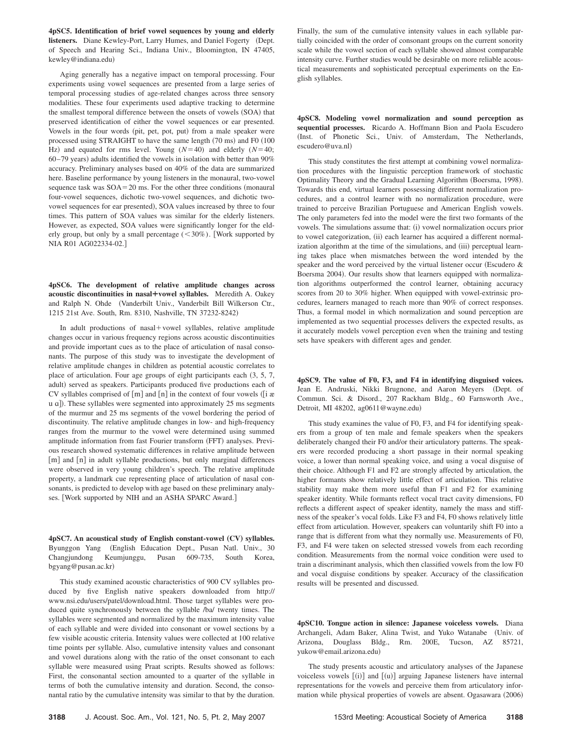**4pSC5. Identification of brief vowel sequences by young and elderly** listeners. Diane Kewley-Port, Larry Humes, and Daniel Fogerty (Dept. of Speech and Hearing Sci., Indiana Univ., Bloomington, IN 47405, kewley@indiana.edu-

Aging generally has a negative impact on temporal processing. Four experiments using vowel sequences are presented from a large series of temporal processing studies of age-related changes across three sensory modalities. These four experiments used adaptive tracking to determine the smallest temporal difference between the onsets of vowels (SOA) that preserved identification of either the vowel sequences or ear presented. Vowels in the four words (pit, pet, pot, put) from a male speaker were processed using STRAIGHT to have the same length (70 ms) and F0 (100 Hz) and equated for rms level. Young  $(N=40)$  and elderly  $(N=40)$ ;  $60-79$  years) adults identified the vowels in isolation with better than  $90\%$ accuracy. Preliminary analyses based on 40% of the data are summarized here. Baseline performance by young listeners in the monaural, two-vowel sequence task was  $SOA = 20$  ms. For the other three conditions (monaural four-vowel sequences, dichotic two-vowel sequences, and dichotic twovowel sequences for ear presented), SOA values increased by three to four times. This pattern of SOA values was similar for the elderly listeners. However, as expected, SOA values were significantly longer for the elderly group, but only by a small percentage  $(< 30\%)$ . [Work supported by NIA R01 AG022334-02.

**4pSC6. The development of relative amplitude changes across acoustic discontinuities in nasal¿vowel syllables.** Meredith A. Oakey and Ralph N. Ohde (Vanderbilt Univ., Vanderbilt Bill Wilkerson Ctr., 1215 21st Ave. South, Rm. 8310, Nashville, TN 37232-8242-

In adult productions of  $nasal+vowel$  syllables, relative amplitude changes occur in various frequency regions across acoustic discontinuities and provide important cues as to the place of articulation of nasal consonants. The purpose of this study was to investigate the development of relative amplitude changes in children as potential acoustic correlates to place of articulation. Four age groups of eight participants each  $(3, 5, 7, 7)$ adult) served as speakers. Participants produced five productions each of CV syllables comprised of  $[m]$  and  $[n]$  in the context of four vowels ( $[i \; \alpha]$ u a]). These syllables were segmented into approximately 25 ms segments of the murmur and 25 ms segments of the vowel bordering the period of discontinuity. The relative amplitude changes in low- and high-frequency ranges from the murmur to the vowel were determined using summed amplitude information from fast Fourier transform (FFT) analyses. Previous research showed systematic differences in relative amplitude between [m] and [n] in adult syllable productions, but only marginal differences were observed in very young children's speech. The relative amplitude property, a landmark cue representing place of articulation of nasal consonants, is predicted to develop with age based on these preliminary analyses. [Work supported by NIH and an ASHA SPARC Award.]

4pSC7. An acoustical study of English constant-vowel (CV) syllables. Byunggon Yang (English Education Dept., Pusan Natl. Univ., 30 Changjundong Keumjunggu, Pusan 609-735, South Korea, bgyang@pusan.ac.kr-

This study examined acoustic characteristics of 900 CV syllables produced by five English native speakers downloaded from http:// www.nsi.edu/users/patel/download.html. Those target syllables were produced quite synchronously between the syllable /ba/ twenty times. The syllables were segmented and normalized by the maximum intensity value of each syllable and were divided into consonant or vowel sections by a few visible acoustic criteria. Intensity values were collected at 100 relative time points per syllable. Also, cumulative intensity values and consonant and vowel durations along with the ratio of the onset consonant to each syllable were measured using Praat scripts. Results showed as follows: First, the consonantal section amounted to a quarter of the syllable in terms of both the cumulative intensity and duration. Second, the consonantal ratio by the cumulative intensity was similar to that by the duration.

Finally, the sum of the cumulative intensity values in each syllable partially coincided with the order of consonant groups on the current sonority scale while the vowel section of each syllable showed almost comparable intensity curve. Further studies would be desirable on more reliable acoustical measurements and sophisticated perceptual experiments on the English syllables.

**4pSC8. Modeling vowel normalization and sound perception as sequential processes.** Ricardo A. Hoffmann Bion and Paola Escudero (Inst. of Phonetic Sci., Univ. of Amsterdam, The Netherlands, escudero@uva.nl)

This study constitutes the first attempt at combining vowel normalization procedures with the linguistic perception framework of stochastic Optimality Theory and the Gradual Learning Algorithm (Boersma, 1998). Towards this end, virtual learners possessing different normalization procedures, and a control learner with no normalization procedure, were trained to perceive Brazilian Portuguese and American English vowels. The only parameters fed into the model were the first two formants of the vowels. The simulations assume that: (i) vowel normalization occurs prior to vowel categorization, (ii) each learner has acquired a different normalization algorithm at the time of the simulations, and (iii) perceptual learning takes place when mismatches between the word intended by the speaker and the word perceived by the virtual listener occur (Escudero & Boersma 2004). Our results show that learners equipped with normalization algorithms outperformed the control learner, obtaining accuracy scores from 20 to 30% higher. When equipped with vowel-extrinsic procedures, learners managed to reach more than 90% of correct responses. Thus, a formal model in which normalization and sound perception are implemented as two sequential processes delivers the expected results, as it accurately models vowel perception even when the training and testing sets have speakers with different ages and gender.

**4pSC9. The value of F0, F3, and F4 in identifying disguised voices.** Jean E. Andruski, Nikki Brugnone, and Aaron Meyers (Dept. of Commun. Sci. & Disord., 207 Rackham Bldg., 60 Farnsworth Ave., Detroit, MI 48202, ag0611@wayne.edu)

This study examines the value of F0, F3, and F4 for identifying speakers from a group of ten male and female speakers when the speakers deliberately changed their F0 and/or their articulatory patterns. The speakers were recorded producing a short passage in their normal speaking voice, a lower than normal speaking voice, and using a vocal disguise of their choice. Although F1 and F2 are strongly affected by articulation, the higher formants show relatively little effect of articulation. This relative stability may make them more useful than F1 and F2 for examining speaker identity. While formants reflect vocal tract cavity dimensions, F0 reflects a different aspect of speaker identity, namely the mass and stiffness of the speaker's vocal folds. Like F3 and F4, F0 shows relatively little effect from articulation. However, speakers can voluntarily shift F0 into a range that is different from what they normally use. Measurements of F0, F3, and F4 were taken on selected stressed vowels from each recording condition. Measurements from the normal voice condition were used to train a discriminant analysis, which then classified vowels from the low F0 and vocal disguise conditions by speaker. Accuracy of the classification results will be presented and discussed.

**4pSC10. Tongue action in silence: Japanese voiceless vowels.** Diana Archangeli, Adam Baker, Alina Twist, and Yuko Watanabe Univ. of Arizona, Douglass Bldg., Rm. 200E, Tucson, AZ 85721, yukow@email.arizona.edu)

The study presents acoustic and articulatory analyses of the Japanese voiceless vowels  $[(i)]$  and  $[(u)]$  arguing Japanese listeners have internal representations for the vowels and perceive them from articulatory information while physical properties of vowels are absent. Ogasawara (2006)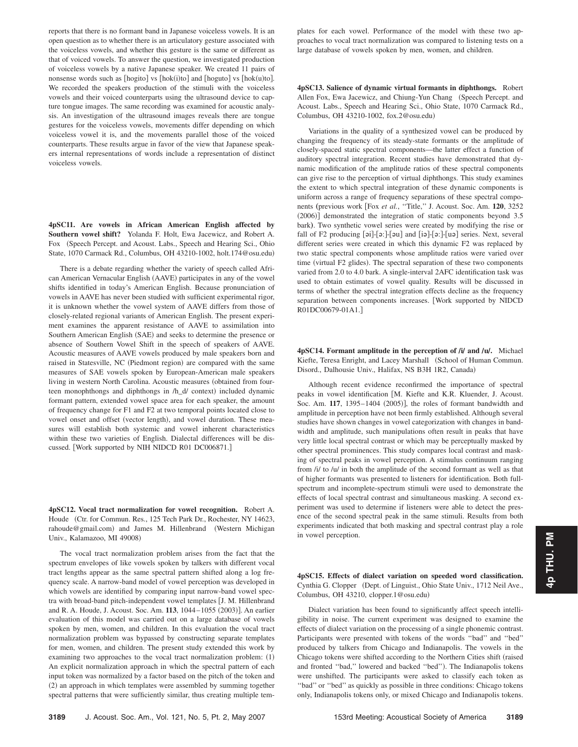reports that there is no formant band in Japanese voiceless vowels. It is an open question as to whether there is an articulatory gesture associated with the voiceless vowels, and whether this gesture is the same or different as that of voiced vowels. To answer the question, we investigated production of voiceless vowels by a native Japanese speaker. We created 11 pairs of nonsense words such as [hogito] vs [hok(i)to] and [hoguto] vs [hok(u)to]. We recorded the speakers production of the stimuli with the voiceless vowels and their voiced counterparts using the ultrasound device to capture tongue images. The same recording was examined for acoustic analysis. An investigation of the ultrasound images reveals there are tongue gestures for the voiceless vowels, movements differ depending on which voiceless vowel it is, and the movements parallel those of the voiced counterparts. These results argue in favor of the view that Japanese speakers internal representations of words include a representation of distinct voiceless vowels.

**4pSC11. Are vowels in African American English affected by Southern vowel shift?** Yolanda F. Holt, Ewa Jacewicz, and Robert A. Fox (Speech Percept. and Acoust. Labs., Speech and Hearing Sci., Ohio State, 1070 Carmack Rd., Columbus, OH 43210-1002, holt.174@osu.edu-

There is a debate regarding whether the variety of speech called African American Vernacular English (AAVE) participates in any of the vowel shifts identified in today's American English. Because pronunciation of vowels in AAVE has never been studied with sufficient experimental rigor, it is unknown whether the vowel system of AAVE differs from those of closely-related regional variants of American English. The present experiment examines the apparent resistance of AAVE to assimilation into Southern American English (SAE) and seeks to determine the presence or absence of Southern Vowel Shift in the speech of speakers of AAVE. Acoustic measures of AAVE vowels produced by male speakers born and raised in Statesville, NC (Piedmont region) are compared with the same measures of SAE vowels spoken by European-American male speakers living in western North Carolina. Acoustic measures (obtained from fourteen monophthongs and diphthongs in /h\_d/ context) included dynamic formant pattern, extended vowel space area for each speaker, the amount of frequency change for F1 and F2 at two temporal points located close to vowel onset and offset (vector length), and vowel duration. These measures will establish both systemic and vowel inherent characteristics within these two varieties of English. Dialectal differences will be discussed. [Work supported by NIH NIDCD R01 DC006871.]

**4pSC12. Vocal tract normalization for vowel recognition.** Robert A. Houde (Ctr. for Commun. Res., 125 Tech Park Dr., Rochester, NY 14623, rahoude@gmail.com) and James M. Hillenbrand (Western Michigan Univ., Kalamazoo, MI 49008-

The vocal tract normalization problem arises from the fact that the spectrum envelopes of like vowels spoken by talkers with different vocal tract lengths appear as the same spectral pattern shifted along a log frequency scale. A narrow-band model of vowel perception was developed in which vowels are identified by comparing input narrow-band vowel spectra with broad-band pitch-independent vowel templates [J. M. Hillenbrand and R. A. Houde, J. Acoust. Soc. Am. 113, 1044–1055 (2003)]. An earlier evaluation of this model was carried out on a large database of vowels spoken by men, women, and children. In this evaluation the vocal tract normalization problem was bypassed by constructing separate templates for men, women, and children. The present study extended this work by examining two approaches to the vocal tract normalization problem: (1) An explicit normalization approach in which the spectral pattern of each input token was normalized by a factor based on the pitch of the token and (2) an approach in which templates were assembled by summing together spectral patterns that were sufficiently similar, thus creating multiple tem-

plates for each vowel. Performance of the model with these two approaches to vocal tract normalization was compared to listening tests on a large database of vowels spoken by men, women, and children.

**4pSC13. Salience of dynamic virtual formants in diphthongs.** Robert Allen Fox, Ewa Jacewicz, and Chiung-Yun Chang (Speech Percept. and Acoust. Labs., Speech and Hearing Sci., Ohio State, 1070 Carmack Rd., Columbus, OH 43210-1002, fox.2@osu.edu-

Variations in the quality of a synthesized vowel can be produced by changing the frequency of its steady-state formants or the amplitude of closely-spaced static spectral components—the latter effect a function of auditory spectral integration. Recent studies have demonstrated that dynamic modification of the amplitude ratios of these spectral components can give rise to the perception of virtual diphthongs. This study examines the extent to which spectral integration of these dynamic components is uniform across a range of frequency separations of these spectral components (previous work [Fox et al., "Title," J. Acoust. Soc. Am. 120, 3252 (2006)] demonstrated the integration of static components beyond 3.5 bark). Two synthetic vowel series were created by modifying the rise or fall of F2 producing [ai]-[a:]-[au] and [ia]-[a:]-[ua] series. Next, several different series were created in which this dynamic F2 was replaced by two static spectral components whose amplitude ratios were varied over time (virtual F2 glides). The spectral separation of these two components varied from 2.0 to 4.0 bark. A single-interval 2AFC identification task was used to obtain estimates of vowel quality. Results will be discussed in terms of whether the spectral integration effects decline as the frequency separation between components increases. Work supported by NIDCD R01DC00679-01A1.

**4pSC14. Formant amplitude in the perception of**  $\hat{N}$  **and**  $\hat{N}$ **.** Michael Kiefte, Teresa Enright, and Lacey Marshall (School of Human Commun. Disord., Dalhousie Univ., Halifax, NS B3H 1R2, Canada)

Although recent evidence reconfirmed the importance of spectral peaks in vowel identification [M. Kiefte and K.R. Kluender, J. Acoust. Soc. Am. 117, 1395–1404 (2005)], the roles of formant bandwidth and amplitude in perception have not been firmly established. Although several studies have shown changes in vowel categorization with changes in bandwidth and amplitude, such manipulations often result in peaks that have very little local spectral contrast or which may be perceptually masked by other spectral prominences. This study compares local contrast and masking of spectral peaks in vowel perception. A stimulus continuum ranging from /i/ to /u/ in both the amplitude of the second formant as well as that of higher formants was presented to listeners for identification. Both fullspectrum and incomplete-spectrum stimuli were used to demonstrate the effects of local spectral contrast and simultaneous masking. A second experiment was used to determine if listeners were able to detect the presence of the second spectral peak in the same stimuli. Results from both experiments indicated that both masking and spectral contrast play a role in vowel perception.

**4pSC15. Effects of dialect variation on speeded word classification.** Cynthia G. Clopper (Dept. of Linguist., Ohio State Univ., 1712 Neil Ave., Columbus, OH 43210, clopper.1@osu.edu-

Dialect variation has been found to significantly affect speech intelligibility in noise. The current experiment was designed to examine the effects of dialect variation on the processing of a single phonemic contrast. Participants were presented with tokens of the words ''bad'' and ''bed'' produced by talkers from Chicago and Indianapolis. The vowels in the Chicago tokens were shifted according to the Northern Cities shift (raised and fronted "bad," lowered and backed "bed"). The Indianapolis tokens were unshifted. The participants were asked to classify each token as "bad" or "bed" as quickly as possible in three conditions: Chicago tokens only, Indianapolis tokens only, or mixed Chicago and Indianapolis tokens.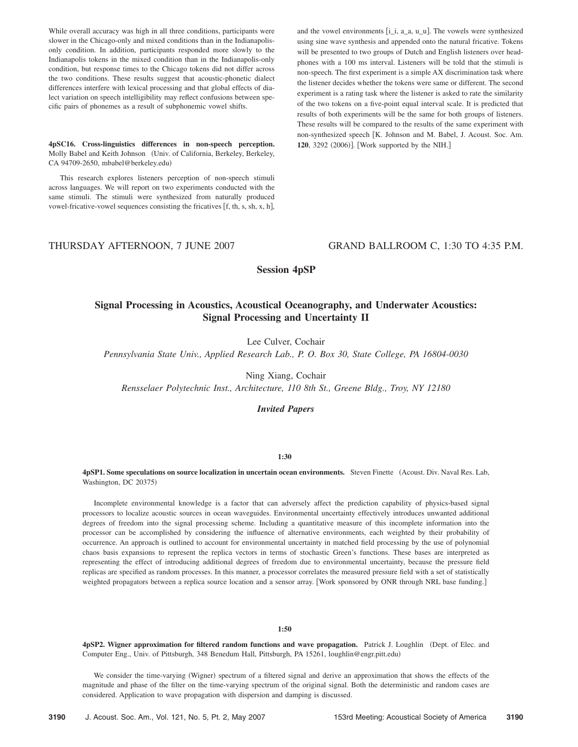While overall accuracy was high in all three conditions, participants were slower in the Chicago-only and mixed conditions than in the Indianapolisonly condition. In addition, participants responded more slowly to the Indianapolis tokens in the mixed condition than in the Indianapolis-only condition, but response times to the Chicago tokens did not differ across the two conditions. These results suggest that acoustic-phonetic dialect differences interfere with lexical processing and that global effects of dialect variation on speech intelligibility may reflect confusions between specific pairs of phonemes as a result of subphonemic vowel shifts.

**4pSC16. Cross-linguistics differences in non-speech perception.** Molly Babel and Keith Johnson Univ. of California, Berkeley, Berkeley, CA 94709-2650, mbabel@berkeley.edu)

This research explores listeners perception of non-speech stimuli across languages. We will report on two experiments conducted with the same stimuli. The stimuli were synthesized from naturally produced vowel-fricative-vowel sequences consisting the fricatives  $[f, th, s, sh, x, h]$ , and the vowel environments  $[i_i, a_a, u_u]$ . The vowels were synthesized using sine wave synthesis and appended onto the natural fricative. Tokens will be presented to two groups of Dutch and English listeners over headphones with a 100 ms interval. Listeners will be told that the stimuli is non-speech. The first experiment is a simple AX discrimination task where the listener decides whether the tokens were same or different. The second experiment is a rating task where the listener is asked to rate the similarity of the two tokens on a five-point equal interval scale. It is predicted that results of both experiments will be the same for both groups of listeners. These results will be compared to the results of the same experiment with non-synthesized speech [K. Johnson and M. Babel, J. Acoust. Soc. Am. 120, 3292 (2006)]. [Work supported by the NIH.]

THURSDAY AFTERNOON, 7 JUNE 2007 GRAND BALLROOM C, 1:30 TO 4:35 P.M.

**Session 4pSP**

# **Signal Processing in Acoustics, Acoustical Oceanography, and Underwater Acoustics: Signal Processing and Uncertainty II**

Lee Culver, Cochair

*Pennsylvania State Univ., Applied Research Lab., P. O. Box 30, State College, PA 16804-0030*

Ning Xiang, Cochair

*Rensselaer Polytechnic Inst., Architecture, 110 8th St., Greene Bldg., Troy, NY 12180*

*Invited Papers*

**1:30**

## 4pSP1. Some speculations on source localization in uncertain ocean environments. Steven Finette (Acoust. Div. Naval Res. Lab, Washington, DC 20375)

Incomplete environmental knowledge is a factor that can adversely affect the prediction capability of physics-based signal processors to localize acoustic sources in ocean waveguides. Environmental uncertainty effectively introduces unwanted additional degrees of freedom into the signal processing scheme. Including a quantitative measure of this incomplete information into the processor can be accomplished by considering the influence of alternative environments, each weighted by their probability of occurrence. An approach is outlined to account for environmental uncertainty in matched field processing by the use of polynomial chaos basis expansions to represent the replica vectors in terms of stochastic Green's functions. These bases are interpreted as representing the effect of introducing additional degrees of freedom due to environmental uncertainty, because the pressure field replicas are specified as random processes. In this manner, a processor correlates the measured pressure field with a set of statistically weighted propagators between a replica source location and a sensor array. Work sponsored by ONR through NRL base funding.

#### **1:50**

**4pSP2. Wigner approximation for filtered random functions and wave propagation.** Patrick J. Loughlin Dept. of Elec. and Computer Eng., Univ. of Pittsburgh, 348 Benedum Hall, Pittsburgh, PA 15261, loughlin@engr.pitt.edu-

We consider the time-varying (Wigner) spectrum of a filtered signal and derive an approximation that shows the effects of the magnitude and phase of the filter on the time-varying spectrum of the original signal. Both the deterministic and random cases are considered. Application to wave propagation with dispersion and damping is discussed.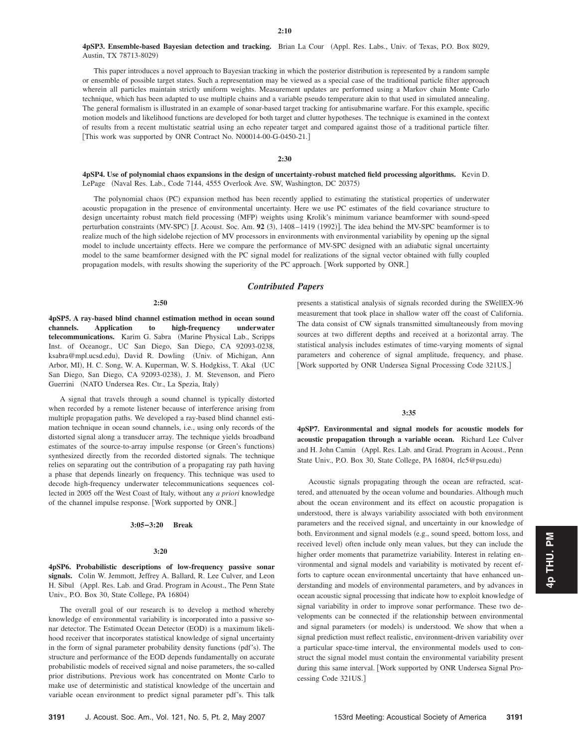4pSP3. Ensemble-based Bayesian detection and tracking. Brian La Cour (Appl. Res. Labs., Univ. of Texas, P.O. Box 8029, Austin, TX 78713-8029)

This paper introduces a novel approach to Bayesian tracking in which the posterior distribution is represented by a random sample or ensemble of possible target states. Such a representation may be viewed as a special case of the traditional particle filter approach wherein all particles maintain strictly uniform weights. Measurement updates are performed using a Markov chain Monte Carlo technique, which has been adapted to use multiple chains and a variable pseudo temperature akin to that used in simulated annealing. The general formalism is illustrated in an example of sonar-based target tracking for antisubmarine warfare. For this example, specific motion models and likelihood functions are developed for both target and clutter hypotheses. The technique is examined in the context of results from a recent multistatic seatrial using an echo repeater target and compared against those of a traditional particle filter. This work was supported by ONR Contract No. N00014-00-G-0450-21.

## **2:30**

**4pSP4. Use of polynomial chaos expansions in the design of uncertainty-robust matched field processing algorithms.** Kevin D. LePage (Naval Res. Lab., Code 7144, 4555 Overlook Ave. SW, Washington, DC 20375)

The polynomial chaos (PC) expansion method has been recently applied to estimating the statistical properties of underwater acoustic propagation in the presence of environmental uncertainty. Here we use PC estimates of the field covariance structure to design uncertainty robust match field processing (MFP) weights using Krolik's minimum variance beamformer with sound-speed perturbation constraints (MV-SPC) [J. Acoust. Soc. Am. 92 (3), 1408–1419 (1992)]. The idea behind the MV-SPC beamformer is to realize much of the high sidelobe rejection of MV processors in environments with environmental variability by opening up the signal model to include uncertainty effects. Here we compare the performance of MV-SPC designed with an adiabatic signal uncertainty model to the same beamformer designed with the PC signal model for realizations of the signal vector obtained with fully coupled propagation models, with results showing the superiority of the PC approach. Work supported by ONR.

## *Contributed Papers*

#### **2:50**

**4pSP5. A ray-based blind channel estimation method in ocean sound channels. Application to high-frequency underwater** telecommunications. Karim G. Sabra (Marine Physical Lab., Scripps Inst. of Oceanogr., UC San Diego, San Diego, CA 92093-0238, ksabra@mpl.ucsd.edu), David R. Dowling (Univ. of Michigan, Ann Arbor, MI), H. C. Song, W. A. Kuperman, W. S. Hodgkiss, T. Akal (UC San Diego, San Diego, CA 92093-0238), J. M. Stevenson, and Piero Guerrini (NATO Undersea Res. Ctr., La Spezia, Italy)

A signal that travels through a sound channel is typically distorted when recorded by a remote listener because of interference arising from multiple propagation paths. We developed a ray-based blind channel estimation technique in ocean sound channels, i.e., using only records of the distorted signal along a transducer array. The technique yields broadband estimates of the source-to-array impulse response (or Green's functions) synthesized directly from the recorded distorted signals. The technique relies on separating out the contribution of a propagating ray path having a phase that depends linearly on frequency. This technique was used to decode high-frequency underwater telecommunications sequences collected in 2005 off the West Coast of Italy, without any *a priori* knowledge of the channel impulse response. Work supported by ONR.

#### **3:05–3:20 Break**

### **3:20**

**4pSP6. Probabilistic descriptions of low-frequency passive sonar signals.** Colin W. Jemmott, Jeffrey A. Ballard, R. Lee Culver, and Leon H. Sibul (Appl. Res. Lab. and Grad. Program in Acoust., The Penn State Univ., P.O. Box 30, State College, PA 16804)

The overall goal of our research is to develop a method whereby knowledge of environmental variability is incorporated into a passive sonar detector. The Estimated Ocean Detector (EOD) is a maximum likelihood receiver that incorporates statistical knowledge of signal uncertainty in the form of signal parameter probability density functions (pdf's). The structure and performance of the EOD depends fundamentally on accurate probabilistic models of received signal and noise parameters, the so-called prior distributions. Previous work has concentrated on Monte Carlo to make use of deterministic and statistical knowledge of the uncertain and variable ocean environment to predict signal parameter pdf's. This talk

presents a statistical analysis of signals recorded during the SWellEX-96 measurement that took place in shallow water off the coast of California. The data consist of CW signals transmitted simultaneously from moving sources at two different depths and received at a horizontal array. The statistical analysis includes estimates of time-varying moments of signal parameters and coherence of signal amplitude, frequency, and phase. Work supported by ONR Undersea Signal Processing Code 321US.

## **3:35**

**4pSP7. Environmental and signal models for acoustic models for acoustic propagation through a variable ocean.** Richard Lee Culver and H. John Camin (Appl. Res. Lab. and Grad. Program in Acoust., Penn State Univ., P.O. Box 30, State College, PA 16804, rlc5@psu.edu)

Acoustic signals propagating through the ocean are refracted, scattered, and attenuated by the ocean volume and boundaries. Although much about the ocean environment and its effect on acoustic propagation is understood, there is always variability associated with both environment parameters and the received signal, and uncertainty in our knowledge of both. Environment and signal models (e.g., sound speed, bottom loss, and received level) often include only mean values, but they can include the higher order moments that parametrize variability. Interest in relating environmental and signal models and variability is motivated by recent efforts to capture ocean environmental uncertainty that have enhanced understanding and models of environmental parameters, and by advances in ocean acoustic signal processing that indicate how to exploit knowledge of signal variability in order to improve sonar performance. These two developments can be connected if the relationship between environmental and signal parameters (or models) is understood. We show that when a signal prediction must reflect realistic, environment-driven variability over a particular space-time interval, the environmental models used to construct the signal model must contain the environmental variability present during this same interval. Work supported by ONR Undersea Signal Processing Code 321US.